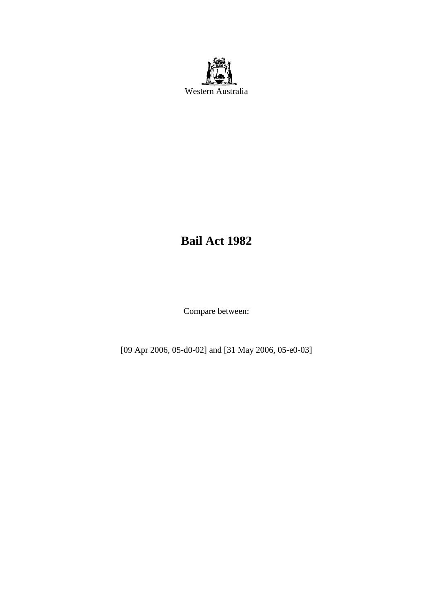

# **Bail Act 1982**

Compare between:

[09 Apr 2006, 05-d0-02] and [31 May 2006, 05-e0-03]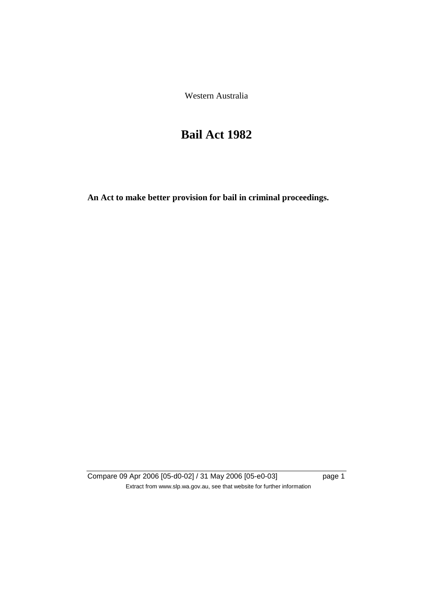Western Australia

# **Bail Act 1982**

**An Act to make better provision for bail in criminal proceedings.** 

Compare 09 Apr 2006 [05-d0-02] / 31 May 2006 [05-e0-03] page 1 Extract from www.slp.wa.gov.au, see that website for further information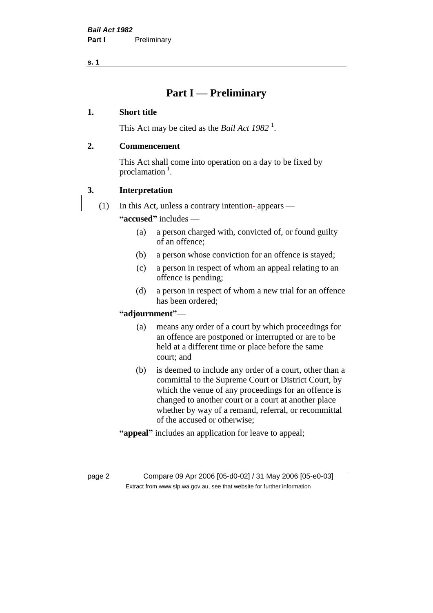# **Part I — Preliminary**

# **1. Short title**

This Act may be cited as the *Bail Act* 1982<sup>1</sup>.

# **2. Commencement**

This Act shall come into operation on a day to be fixed by proclamation  $<sup>1</sup>$ .</sup>

# **3. Interpretation**

(1) In this Act, unless a contrary intention-appears —

**"accused"** includes —

- (a) a person charged with, convicted of, or found guilty of an offence;
- (b) a person whose conviction for an offence is stayed;
- (c) a person in respect of whom an appeal relating to an offence is pending;
- (d) a person in respect of whom a new trial for an offence has been ordered;

# **"adjournment"**—

- (a) means any order of a court by which proceedings for an offence are postponed or interrupted or are to be held at a different time or place before the same court; and
- (b) is deemed to include any order of a court, other than a committal to the Supreme Court or District Court, by which the venue of any proceedings for an offence is changed to another court or a court at another place whether by way of a remand, referral, or recommittal of the accused or otherwise;
- **"appeal"** includes an application for leave to appeal;

page 2 Compare 09 Apr 2006 [05-d0-02] / 31 May 2006 [05-e0-03] Extract from www.slp.wa.gov.au, see that website for further information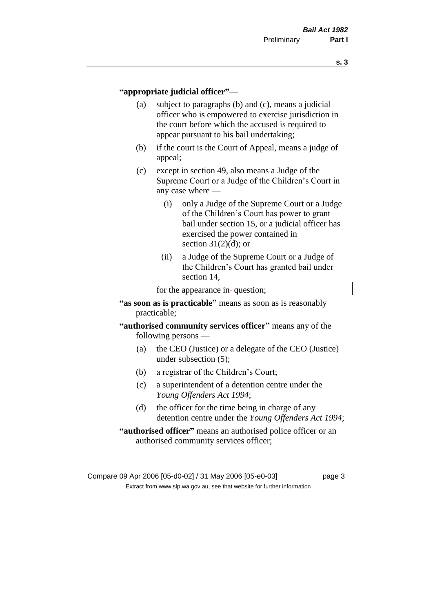### **"appropriate judicial officer"**—

- (a) subject to paragraphs (b) and (c), means a judicial officer who is empowered to exercise jurisdiction in the court before which the accused is required to appear pursuant to his bail undertaking;
- (b) if the court is the Court of Appeal, means a judge of appeal;
- (c) except in section 49, also means a Judge of the Supreme Court or a Judge of the Children's Court in any case where —
	- (i) only a Judge of the Supreme Court or a Judge of the Children's Court has power to grant bail under section 15, or a judicial officer has exercised the power contained in section  $31(2)(d)$ ; or
	- (ii) a Judge of the Supreme Court or a Judge of the Children's Court has granted bail under section 14,

for the appearance in-question;

# **"as soon as is practicable"** means as soon as is reasonably practicable;

- **"authorised community services officer"** means any of the following persons —
	- (a) the CEO (Justice) or a delegate of the CEO (Justice) under subsection (5);
	- (b) a registrar of the Children's Court;
	- (c) a superintendent of a detention centre under the *Young Offenders Act 1994*;
	- (d) the officer for the time being in charge of any detention centre under the *Young Offenders Act 1994*;
- **"authorised officer"** means an authorised police officer or an authorised community services officer;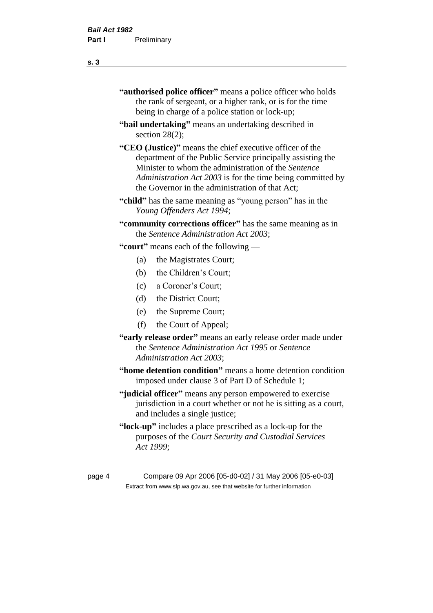| "authorised police officer" means a police officer who holds |
|--------------------------------------------------------------|
| the rank of sergeant, or a higher rank, or is for the time   |
| being in charge of a police station or lock-up;              |

- **"bail undertaking"** means an undertaking described in section 28(2);
- **"CEO (Justice)"** means the chief executive officer of the department of the Public Service principally assisting the Minister to whom the administration of the *Sentence Administration Act 2003* is for the time being committed by the Governor in the administration of that Act;
- **"child"** has the same meaning as "young person" has in the *Young Offenders Act 1994*;
- **"community corrections officer"** has the same meaning as in the *Sentence Administration Act 2003*;

**"court"** means each of the following —

- (a) the Magistrates Court;
- (b) the Children's Court;
- (c) a Coroner's Court;
- (d) the District Court;
- (e) the Supreme Court;
- (f) the Court of Appeal;
- **"early release order"** means an early release order made under the *Sentence Administration Act 1995* or *Sentence Administration Act 2003*;
- **"home detention condition"** means a home detention condition imposed under clause 3 of Part D of Schedule 1;
- **"judicial officer"** means any person empowered to exercise jurisdiction in a court whether or not he is sitting as a court, and includes a single justice;
- **"lock-up"** includes a place prescribed as a lock-up for the purposes of the *Court Security and Custodial Services Act 1999*;

page 4 Compare 09 Apr 2006 [05-d0-02] / 31 May 2006 [05-e0-03] Extract from www.slp.wa.gov.au, see that website for further information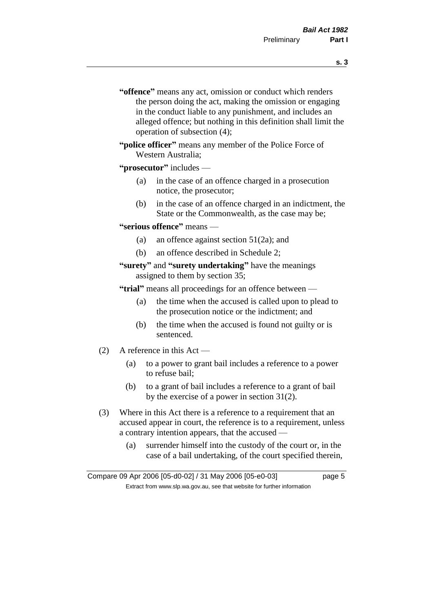- **s. 3**
- **"offence"** means any act, omission or conduct which renders the person doing the act, making the omission or engaging in the conduct liable to any punishment, and includes an alleged offence; but nothing in this definition shall limit the operation of subsection (4);
- **"police officer"** means any member of the Police Force of Western Australia;

# **"prosecutor"** includes —

- (a) in the case of an offence charged in a prosecution notice, the prosecutor;
- (b) in the case of an offence charged in an indictment, the State or the Commonwealth, as the case may be;

### **"serious offence"** means —

- (a) an offence against section 51(2a); and
- (b) an offence described in Schedule 2;

# **"surety"** and **"surety undertaking"** have the meanings assigned to them by section 35;

**"trial"** means all proceedings for an offence between —

- (a) the time when the accused is called upon to plead to the prosecution notice or the indictment; and
- (b) the time when the accused is found not guilty or is sentenced.
- (2) A reference in this Act
	- (a) to a power to grant bail includes a reference to a power to refuse bail;
	- (b) to a grant of bail includes a reference to a grant of bail by the exercise of a power in section 31(2).
- (3) Where in this Act there is a reference to a requirement that an accused appear in court, the reference is to a requirement, unless a contrary intention appears, that the accused —
	- (a) surrender himself into the custody of the court or, in the case of a bail undertaking, of the court specified therein,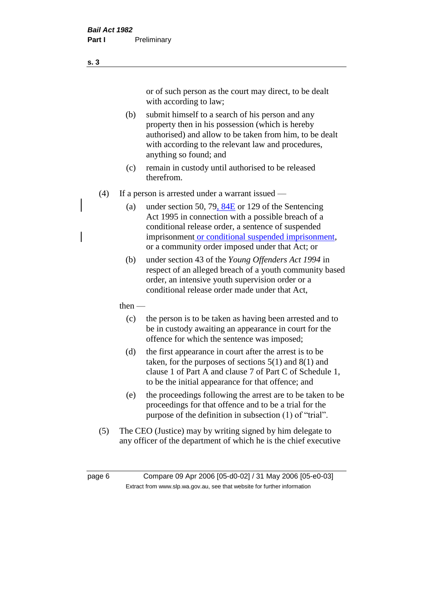or of such person as the court may direct, to be dealt with according to law;

(b) submit himself to a search of his person and any property then in his possession (which is hereby authorised) and allow to be taken from him, to be dealt with according to the relevant law and procedures, anything so found; and

- (c) remain in custody until authorised to be released therefrom.
- (4) If a person is arrested under a warrant issued
	- (a) under section 50, 79,  $84E$  or 129 of the Sentencing Act 1995 in connection with a possible breach of a conditional release order, a sentence of suspended imprisonment or conditional suspended imprisonment, or a community order imposed under that Act; or
	- (b) under section 43 of the *Young Offenders Act 1994* in respect of an alleged breach of a youth community based order, an intensive youth supervision order or a conditional release order made under that Act,
	- then
		- (c) the person is to be taken as having been arrested and to be in custody awaiting an appearance in court for the offence for which the sentence was imposed;
		- (d) the first appearance in court after the arrest is to be taken, for the purposes of sections  $5(1)$  and  $8(1)$  and clause 1 of Part A and clause 7 of Part C of Schedule 1, to be the initial appearance for that offence; and
		- (e) the proceedings following the arrest are to be taken to be proceedings for that offence and to be a trial for the purpose of the definition in subsection (1) of "trial".
- (5) The CEO (Justice) may by writing signed by him delegate to any officer of the department of which he is the chief executive

page 6 Compare 09 Apr 2006 [05-d0-02] / 31 May 2006 [05-e0-03] Extract from www.slp.wa.gov.au, see that website for further information

**s. 3**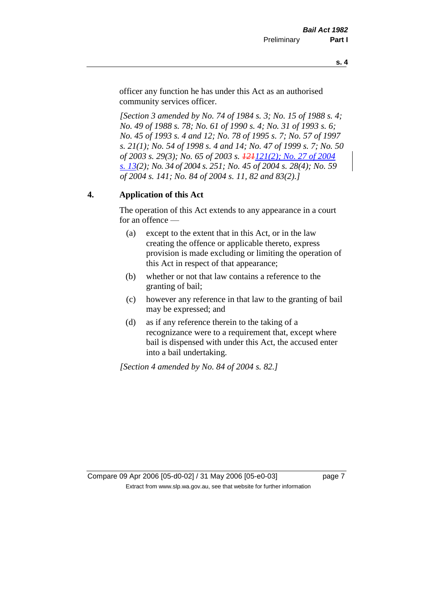officer any function he has under this Act as an authorised community services officer.

*[Section 3 amended by No. 74 of 1984 s. 3; No. 15 of 1988 s. 4; No. 49 of 1988 s. 78; No. 61 of 1990 s. 4; No. 31 of 1993 s. 6; No. 45 of 1993 s. 4 and 12; No. 78 of 1995 s. 7; No. 57 of 1997 s. 21(1); No. 54 of 1998 s. 4 and 14; No. 47 of 1999 s. 7; No. 50 of 2003 s. 29(3); No. 65 of 2003 s. 121121(2); No. 27 of 2004 s. 13(2); No. 34 of 2004 s. 251; No. 45 of 2004 s. 28(4); No. 59 of 2004 s. 141; No. 84 of 2004 s. 11, 82 and 83(2).]* 

# **4. Application of this Act**

The operation of this Act extends to any appearance in a court for an offence —

- (a) except to the extent that in this Act, or in the law creating the offence or applicable thereto, express provision is made excluding or limiting the operation of this Act in respect of that appearance;
- (b) whether or not that law contains a reference to the granting of bail;
- (c) however any reference in that law to the granting of bail may be expressed; and
- (d) as if any reference therein to the taking of a recognizance were to a requirement that, except where bail is dispensed with under this Act, the accused enter into a bail undertaking.

*[Section 4 amended by No. 84 of 2004 s. 82.]*

Compare 09 Apr 2006 [05-d0-02] / 31 May 2006 [05-e0-03] page 7 Extract from www.slp.wa.gov.au, see that website for further information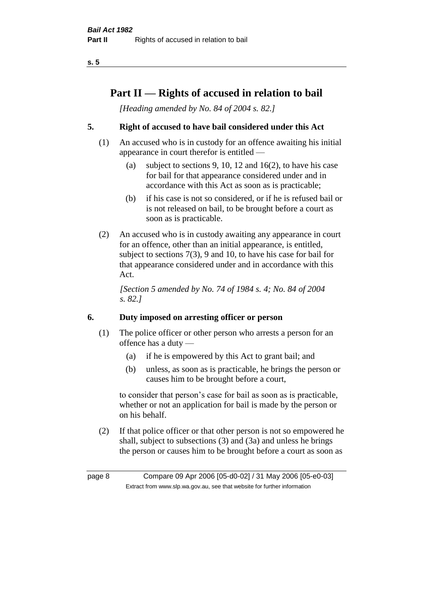# **Part II — Rights of accused in relation to bail**

*[Heading amended by No. 84 of 2004 s. 82.]* 

# **5. Right of accused to have bail considered under this Act**

- (1) An accused who is in custody for an offence awaiting his initial appearance in court therefor is entitled —
	- (a) subject to sections 9, 10, 12 and 16(2), to have his case for bail for that appearance considered under and in accordance with this Act as soon as is practicable;
	- (b) if his case is not so considered, or if he is refused bail or is not released on bail, to be brought before a court as soon as is practicable.
- (2) An accused who is in custody awaiting any appearance in court for an offence, other than an initial appearance, is entitled, subject to sections 7(3), 9 and 10, to have his case for bail for that appearance considered under and in accordance with this Act.

*[Section 5 amended by No. 74 of 1984 s. 4; No. 84 of 2004 s. 82.]* 

# **6. Duty imposed on arresting officer or person**

- (1) The police officer or other person who arrests a person for an offence has a duty —
	- (a) if he is empowered by this Act to grant bail; and
	- (b) unless, as soon as is practicable, he brings the person or causes him to be brought before a court,

to consider that person's case for bail as soon as is practicable, whether or not an application for bail is made by the person or on his behalf.

(2) If that police officer or that other person is not so empowered he shall, subject to subsections (3) and (3a) and unless he brings the person or causes him to be brought before a court as soon as

page 8 Compare 09 Apr 2006 [05-d0-02] / 31 May 2006 [05-e0-03] Extract from www.slp.wa.gov.au, see that website for further information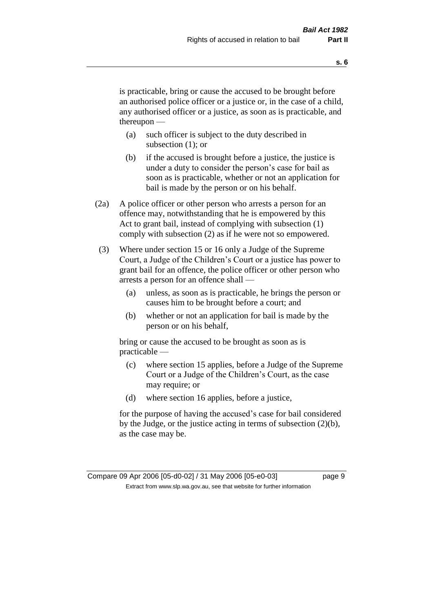is practicable, bring or cause the accused to be brought before an authorised police officer or a justice or, in the case of a child, any authorised officer or a justice, as soon as is practicable, and thereupon —

- (a) such officer is subject to the duty described in subsection (1); or
- (b) if the accused is brought before a justice, the justice is under a duty to consider the person's case for bail as soon as is practicable, whether or not an application for bail is made by the person or on his behalf.
- (2a) A police officer or other person who arrests a person for an offence may, notwithstanding that he is empowered by this Act to grant bail, instead of complying with subsection (1) comply with subsection (2) as if he were not so empowered.
- (3) Where under section 15 or 16 only a Judge of the Supreme Court, a Judge of the Children's Court or a justice has power to grant bail for an offence, the police officer or other person who arrests a person for an offence shall —
	- (a) unless, as soon as is practicable, he brings the person or causes him to be brought before a court; and
	- (b) whether or not an application for bail is made by the person or on his behalf,

bring or cause the accused to be brought as soon as is practicable —

- (c) where section 15 applies, before a Judge of the Supreme Court or a Judge of the Children's Court, as the case may require; or
- (d) where section 16 applies, before a justice,

for the purpose of having the accused's case for bail considered by the Judge, or the justice acting in terms of subsection (2)(b), as the case may be.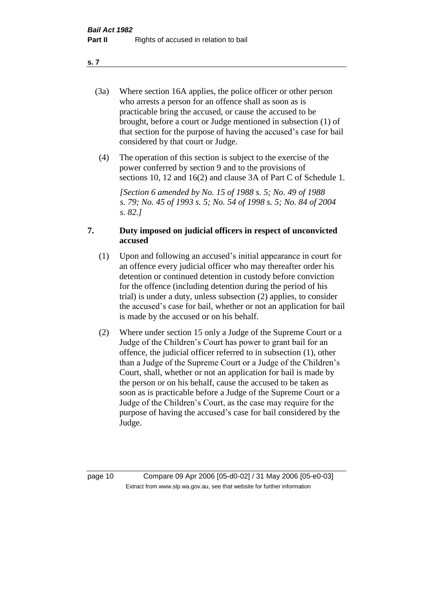- (3a) Where section 16A applies, the police officer or other person who arrests a person for an offence shall as soon as is practicable bring the accused, or cause the accused to be brought, before a court or Judge mentioned in subsection (1) of that section for the purpose of having the accused's case for bail considered by that court or Judge.
- (4) The operation of this section is subject to the exercise of the power conferred by section 9 and to the provisions of sections 10, 12 and 16(2) and clause 3A of Part C of Schedule 1.

*[Section 6 amended by No. 15 of 1988 s. 5; No. 49 of 1988 s. 79; No. 45 of 1993 s. 5; No. 54 of 1998 s. 5; No. 84 of 2004 s. 82.]* 

# **7. Duty imposed on judicial officers in respect of unconvicted accused**

- (1) Upon and following an accused's initial appearance in court for an offence every judicial officer who may thereafter order his detention or continued detention in custody before conviction for the offence (including detention during the period of his trial) is under a duty, unless subsection (2) applies, to consider the accused's case for bail, whether or not an application for bail is made by the accused or on his behalf.
- (2) Where under section 15 only a Judge of the Supreme Court or a Judge of the Children's Court has power to grant bail for an offence, the judicial officer referred to in subsection (1), other than a Judge of the Supreme Court or a Judge of the Children's Court, shall, whether or not an application for bail is made by the person or on his behalf, cause the accused to be taken as soon as is practicable before a Judge of the Supreme Court or a Judge of the Children's Court, as the case may require for the purpose of having the accused's case for bail considered by the Judge.

page 10 Compare 09 Apr 2006 [05-d0-02] / 31 May 2006 [05-e0-03] Extract from www.slp.wa.gov.au, see that website for further information

**s. 7**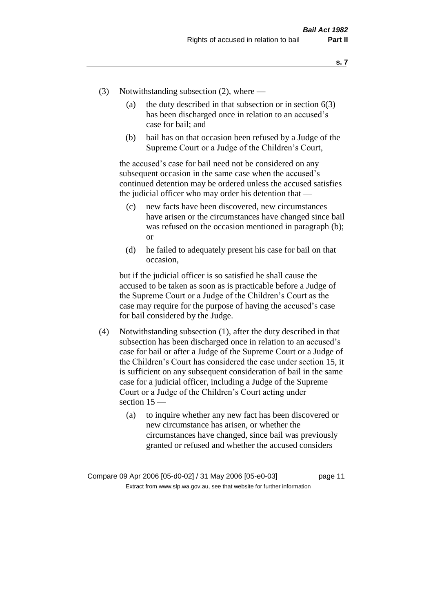- (3) Notwithstanding subsection (2), where
	- (a) the duty described in that subsection or in section  $6(3)$ has been discharged once in relation to an accused's case for bail; and
	- (b) bail has on that occasion been refused by a Judge of the Supreme Court or a Judge of the Children's Court,

the accused's case for bail need not be considered on any subsequent occasion in the same case when the accused's continued detention may be ordered unless the accused satisfies the judicial officer who may order his detention that —

- (c) new facts have been discovered, new circumstances have arisen or the circumstances have changed since bail was refused on the occasion mentioned in paragraph (b); or
- (d) he failed to adequately present his case for bail on that occasion,

but if the judicial officer is so satisfied he shall cause the accused to be taken as soon as is practicable before a Judge of the Supreme Court or a Judge of the Children's Court as the case may require for the purpose of having the accused's case for bail considered by the Judge.

- (4) Notwithstanding subsection (1), after the duty described in that subsection has been discharged once in relation to an accused's case for bail or after a Judge of the Supreme Court or a Judge of the Children's Court has considered the case under section 15, it is sufficient on any subsequent consideration of bail in the same case for a judicial officer, including a Judge of the Supreme Court or a Judge of the Children's Court acting under section 15 —
	- (a) to inquire whether any new fact has been discovered or new circumstance has arisen, or whether the circumstances have changed, since bail was previously granted or refused and whether the accused considers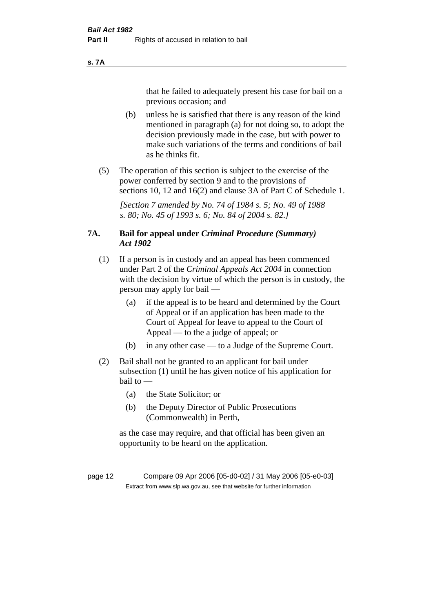#### **s. 7A**

that he failed to adequately present his case for bail on a previous occasion; and

- (b) unless he is satisfied that there is any reason of the kind mentioned in paragraph (a) for not doing so, to adopt the decision previously made in the case, but with power to make such variations of the terms and conditions of bail as he thinks fit.
- (5) The operation of this section is subject to the exercise of the power conferred by section 9 and to the provisions of sections 10, 12 and 16(2) and clause 3A of Part C of Schedule 1.

*[Section 7 amended by No. 74 of 1984 s. 5; No. 49 of 1988 s. 80; No. 45 of 1993 s. 6; No. 84 of 2004 s. 82.]* 

# **7A. Bail for appeal under** *Criminal Procedure (Summary) Act 1902*

- (1) If a person is in custody and an appeal has been commenced under Part 2 of the *Criminal Appeals Act 2004* in connection with the decision by virtue of which the person is in custody, the person may apply for bail —
	- (a) if the appeal is to be heard and determined by the Court of Appeal or if an application has been made to the Court of Appeal for leave to appeal to the Court of Appeal — to the a judge of appeal; or
	- (b) in any other case to a Judge of the Supreme Court.
- (2) Bail shall not be granted to an applicant for bail under subsection (1) until he has given notice of his application for bail to —
	- (a) the State Solicitor; or
	- (b) the Deputy Director of Public Prosecutions (Commonwealth) in Perth,

as the case may require, and that official has been given an opportunity to be heard on the application.

page 12 Compare 09 Apr 2006 [05-d0-02] / 31 May 2006 [05-e0-03] Extract from www.slp.wa.gov.au, see that website for further information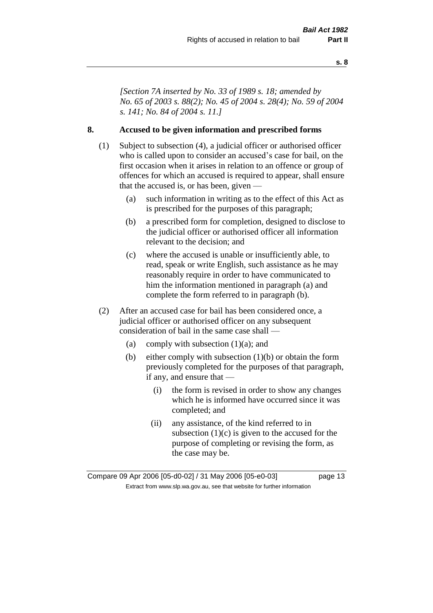*[Section 7A inserted by No. 33 of 1989 s. 18; amended by No. 65 of 2003 s. 88(2); No. 45 of 2004 s. 28(4); No. 59 of 2004 s. 141; No. 84 of 2004 s. 11.]* 

# **8. Accused to be given information and prescribed forms**

- (1) Subject to subsection (4), a judicial officer or authorised officer who is called upon to consider an accused's case for bail, on the first occasion when it arises in relation to an offence or group of offences for which an accused is required to appear, shall ensure that the accused is, or has been, given —
	- (a) such information in writing as to the effect of this Act as is prescribed for the purposes of this paragraph;
	- (b) a prescribed form for completion, designed to disclose to the judicial officer or authorised officer all information relevant to the decision; and
	- (c) where the accused is unable or insufficiently able, to read, speak or write English, such assistance as he may reasonably require in order to have communicated to him the information mentioned in paragraph (a) and complete the form referred to in paragraph (b).
- (2) After an accused case for bail has been considered once, a judicial officer or authorised officer on any subsequent consideration of bail in the same case shall —
	- (a) comply with subsection  $(1)(a)$ ; and
	- (b) either comply with subsection (1)(b) or obtain the form previously completed for the purposes of that paragraph, if any, and ensure that —
		- (i) the form is revised in order to show any changes which he is informed have occurred since it was completed; and
		- (ii) any assistance, of the kind referred to in subsection  $(1)(c)$  is given to the accused for the purpose of completing or revising the form, as the case may be.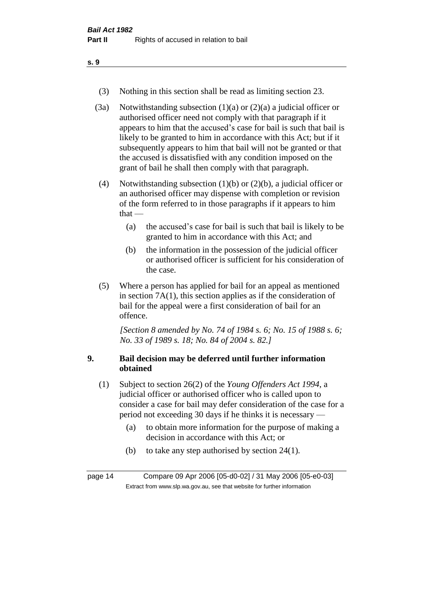- (3) Nothing in this section shall be read as limiting section 23.
- (3a) Notwithstanding subsection  $(1)(a)$  or  $(2)(a)$  a judicial officer or authorised officer need not comply with that paragraph if it appears to him that the accused's case for bail is such that bail is likely to be granted to him in accordance with this Act; but if it subsequently appears to him that bail will not be granted or that the accused is dissatisfied with any condition imposed on the grant of bail he shall then comply with that paragraph.
- (4) Notwithstanding subsection (1)(b) or (2)(b), a judicial officer or an authorised officer may dispense with completion or revision of the form referred to in those paragraphs if it appears to him that  $-$ 
	- (a) the accused's case for bail is such that bail is likely to be granted to him in accordance with this Act; and
	- (b) the information in the possession of the judicial officer or authorised officer is sufficient for his consideration of the case.
- (5) Where a person has applied for bail for an appeal as mentioned in section 7A(1), this section applies as if the consideration of bail for the appeal were a first consideration of bail for an offence.

*[Section 8 amended by No. 74 of 1984 s. 6; No. 15 of 1988 s. 6; No. 33 of 1989 s. 18; No. 84 of 2004 s. 82.]* 

# **9. Bail decision may be deferred until further information obtained**

- (1) Subject to section 26(2) of the *Young Offenders Act 1994*, a judicial officer or authorised officer who is called upon to consider a case for bail may defer consideration of the case for a period not exceeding 30 days if he thinks it is necessary —
	- (a) to obtain more information for the purpose of making a decision in accordance with this Act; or
	- (b) to take any step authorised by section 24(1).

page 14 Compare 09 Apr 2006 [05-d0-02] / 31 May 2006 [05-e0-03] Extract from www.slp.wa.gov.au, see that website for further information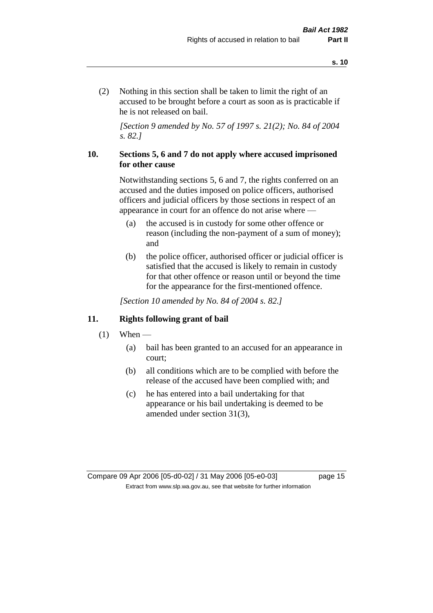(2) Nothing in this section shall be taken to limit the right of an accused to be brought before a court as soon as is practicable if he is not released on bail.

*[Section 9 amended by No. 57 of 1997 s. 21(2); No. 84 of 2004 s. 82.]*

# **10. Sections 5, 6 and 7 do not apply where accused imprisoned for other cause**

Notwithstanding sections 5, 6 and 7, the rights conferred on an accused and the duties imposed on police officers, authorised officers and judicial officers by those sections in respect of an appearance in court for an offence do not arise where —

- (a) the accused is in custody for some other offence or reason (including the non-payment of a sum of money); and
- (b) the police officer, authorised officer or judicial officer is satisfied that the accused is likely to remain in custody for that other offence or reason until or beyond the time for the appearance for the first-mentioned offence.

*[Section 10 amended by No. 84 of 2004 s. 82.]*

# **11. Rights following grant of bail**

- $(1)$  When
	- (a) bail has been granted to an accused for an appearance in court;
	- (b) all conditions which are to be complied with before the release of the accused have been complied with; and
	- (c) he has entered into a bail undertaking for that appearance or his bail undertaking is deemed to be amended under section 31(3),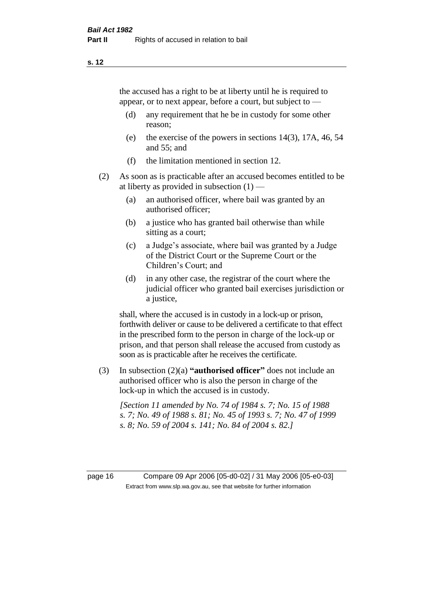the accused has a right to be at liberty until he is required to appear, or to next appear, before a court, but subject to —

- (d) any requirement that he be in custody for some other reason;
- (e) the exercise of the powers in sections 14(3), 17A, 46, 54 and 55; and
- (f) the limitation mentioned in section 12.
- (2) As soon as is practicable after an accused becomes entitled to be at liberty as provided in subsection  $(1)$  —
	- (a) an authorised officer, where bail was granted by an authorised officer;
	- (b) a justice who has granted bail otherwise than while sitting as a court;
	- (c) a Judge's associate, where bail was granted by a Judge of the District Court or the Supreme Court or the Children's Court; and
	- (d) in any other case, the registrar of the court where the judicial officer who granted bail exercises jurisdiction or a justice,

shall, where the accused is in custody in a lock-up or prison, forthwith deliver or cause to be delivered a certificate to that effect in the prescribed form to the person in charge of the lock-up or prison, and that person shall release the accused from custody as soon as is practicable after he receives the certificate.

(3) In subsection (2)(a) **"authorised officer"** does not include an authorised officer who is also the person in charge of the lock-up in which the accused is in custody.

*[Section 11 amended by No. 74 of 1984 s. 7; No. 15 of 1988 s. 7; No. 49 of 1988 s. 81; No. 45 of 1993 s. 7; No. 47 of 1999 s. 8; No. 59 of 2004 s. 141; No. 84 of 2004 s. 82.]* 

page 16 Compare 09 Apr 2006 [05-d0-02] / 31 May 2006 [05-e0-03] Extract from www.slp.wa.gov.au, see that website for further information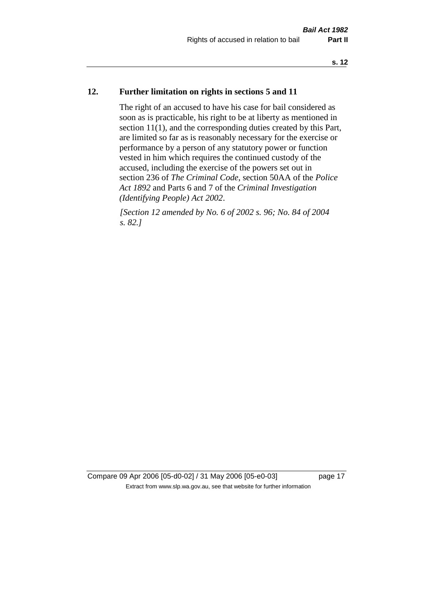# **12. Further limitation on rights in sections 5 and 11**

The right of an accused to have his case for bail considered as soon as is practicable, his right to be at liberty as mentioned in section 11(1), and the corresponding duties created by this Part, are limited so far as is reasonably necessary for the exercise or performance by a person of any statutory power or function vested in him which requires the continued custody of the accused, including the exercise of the powers set out in section 236 of *The Criminal Code*, section 50AA of the *Police Act 1892* and Parts 6 and 7 of the *Criminal Investigation (Identifying People) Act 2002*.

*[Section 12 amended by No. 6 of 2002 s. 96; No. 84 of 2004 s. 82.]*

Compare 09 Apr 2006 [05-d0-02] / 31 May 2006 [05-e0-03] page 17 Extract from www.slp.wa.gov.au, see that website for further information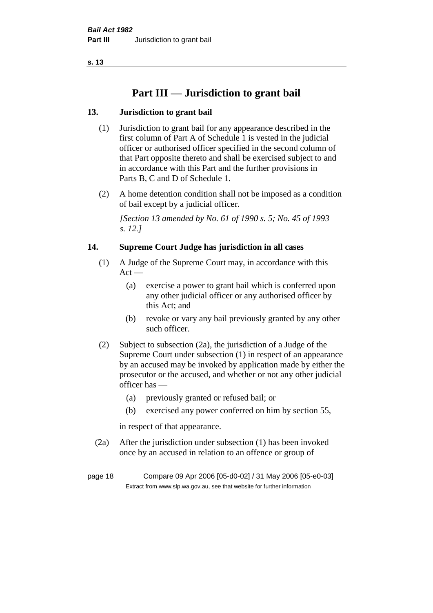# **Part III — Jurisdiction to grant bail**

# **13. Jurisdiction to grant bail**

- (1) Jurisdiction to grant bail for any appearance described in the first column of Part A of Schedule 1 is vested in the judicial officer or authorised officer specified in the second column of that Part opposite thereto and shall be exercised subject to and in accordance with this Part and the further provisions in Parts B, C and D of Schedule 1.
- (2) A home detention condition shall not be imposed as a condition of bail except by a judicial officer.

*[Section 13 amended by No. 61 of 1990 s. 5; No. 45 of 1993 s. 12.]* 

# **14. Supreme Court Judge has jurisdiction in all cases**

- (1) A Judge of the Supreme Court may, in accordance with this  $Act -$ 
	- (a) exercise a power to grant bail which is conferred upon any other judicial officer or any authorised officer by this Act; and
	- (b) revoke or vary any bail previously granted by any other such officer.
- (2) Subject to subsection (2a), the jurisdiction of a Judge of the Supreme Court under subsection (1) in respect of an appearance by an accused may be invoked by application made by either the prosecutor or the accused, and whether or not any other judicial officer has —
	- (a) previously granted or refused bail; or
	- (b) exercised any power conferred on him by section 55,

in respect of that appearance.

(2a) After the jurisdiction under subsection (1) has been invoked once by an accused in relation to an offence or group of

page 18 Compare 09 Apr 2006 [05-d0-02] / 31 May 2006 [05-e0-03] Extract from www.slp.wa.gov.au, see that website for further information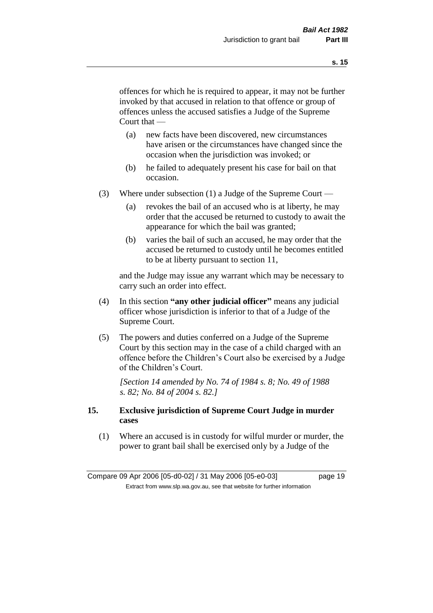offences for which he is required to appear, it may not be further invoked by that accused in relation to that offence or group of offences unless the accused satisfies a Judge of the Supreme Court that —

- (a) new facts have been discovered, new circumstances have arisen or the circumstances have changed since the occasion when the jurisdiction was invoked; or
- (b) he failed to adequately present his case for bail on that occasion.
- (3) Where under subsection (1) a Judge of the Supreme Court
	- (a) revokes the bail of an accused who is at liberty, he may order that the accused be returned to custody to await the appearance for which the bail was granted;
	- (b) varies the bail of such an accused, he may order that the accused be returned to custody until he becomes entitled to be at liberty pursuant to section 11,

and the Judge may issue any warrant which may be necessary to carry such an order into effect.

- (4) In this section **"any other judicial officer"** means any judicial officer whose jurisdiction is inferior to that of a Judge of the Supreme Court.
- (5) The powers and duties conferred on a Judge of the Supreme Court by this section may in the case of a child charged with an offence before the Children's Court also be exercised by a Judge of the Children's Court.

*[Section 14 amended by No. 74 of 1984 s. 8; No. 49 of 1988 s. 82; No. 84 of 2004 s. 82.]* 

# **15. Exclusive jurisdiction of Supreme Court Judge in murder cases**

(1) Where an accused is in custody for wilful murder or murder, the power to grant bail shall be exercised only by a Judge of the

Compare 09 Apr 2006 [05-d0-02] / 31 May 2006 [05-e0-03] page 19 Extract from www.slp.wa.gov.au, see that website for further information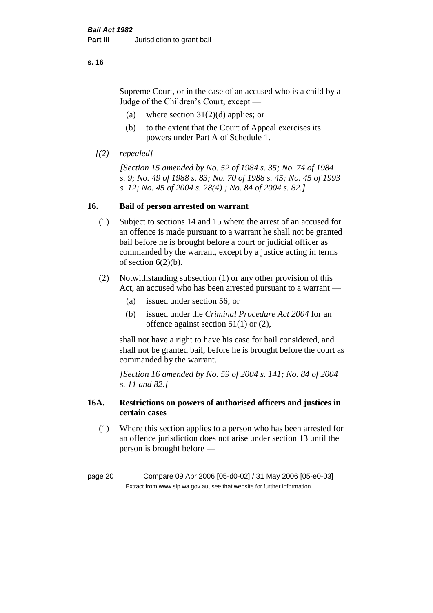Supreme Court, or in the case of an accused who is a child by a Judge of the Children's Court, except —

- (a) where section  $31(2)(d)$  applies; or
- (b) to the extent that the Court of Appeal exercises its powers under Part A of Schedule 1.
- *[(2) repealed]*

*[Section 15 amended by No. 52 of 1984 s. 35; No. 74 of 1984 s. 9; No. 49 of 1988 s. 83; No. 70 of 1988 s. 45; No. 45 of 1993 s. 12; No. 45 of 2004 s. 28(4) ; No. 84 of 2004 s. 82.]* 

# **16. Bail of person arrested on warrant**

- (1) Subject to sections 14 and 15 where the arrest of an accused for an offence is made pursuant to a warrant he shall not be granted bail before he is brought before a court or judicial officer as commanded by the warrant, except by a justice acting in terms of section  $6(2)(b)$ .
- (2) Notwithstanding subsection (1) or any other provision of this Act, an accused who has been arrested pursuant to a warrant -
	- (a) issued under section 56; or
	- (b) issued under the *Criminal Procedure Act 2004* for an offence against section 51(1) or (2),

shall not have a right to have his case for bail considered, and shall not be granted bail, before he is brought before the court as commanded by the warrant.

*[Section 16 amended by No. 59 of 2004 s. 141; No. 84 of 2004 s. 11 and 82.]*

# **16A. Restrictions on powers of authorised officers and justices in certain cases**

(1) Where this section applies to a person who has been arrested for an offence jurisdiction does not arise under section 13 until the person is brought before —

page 20 Compare 09 Apr 2006 [05-d0-02] / 31 May 2006 [05-e0-03] Extract from www.slp.wa.gov.au, see that website for further information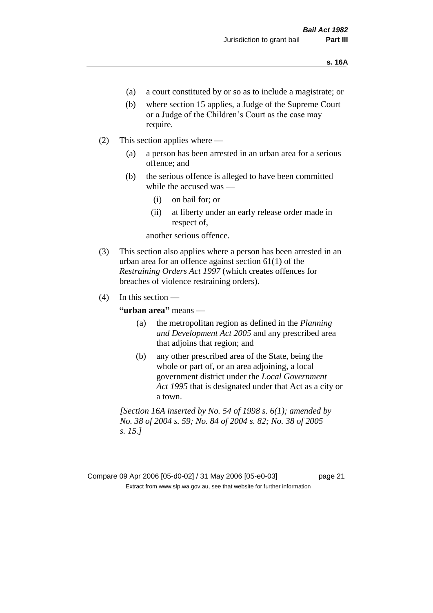- (a) a court constituted by or so as to include a magistrate; or
- (b) where section 15 applies, a Judge of the Supreme Court or a Judge of the Children's Court as the case may require.
- (2) This section applies where
	- (a) a person has been arrested in an urban area for a serious offence; and
	- (b) the serious offence is alleged to have been committed while the accused was —
		- (i) on bail for; or
		- (ii) at liberty under an early release order made in respect of,

another serious offence.

- (3) This section also applies where a person has been arrested in an urban area for an offence against section 61(1) of the *Restraining Orders Act 1997* (which creates offences for breaches of violence restraining orders).
- $(4)$  In this section —

**"urban area"** means —

- (a) the metropolitan region as defined in the *Planning and Development Act 2005* and any prescribed area that adjoins that region; and
- (b) any other prescribed area of the State, being the whole or part of, or an area adjoining, a local government district under the *Local Government Act 1995* that is designated under that Act as a city or a town.

*[Section 16A inserted by No. 54 of 1998 s. 6(1); amended by No. 38 of 2004 s. 59; No. 84 of 2004 s. 82; No. 38 of 2005 s. 15.]*

Compare 09 Apr 2006 [05-d0-02] / 31 May 2006 [05-e0-03] page 21 Extract from www.slp.wa.gov.au, see that website for further information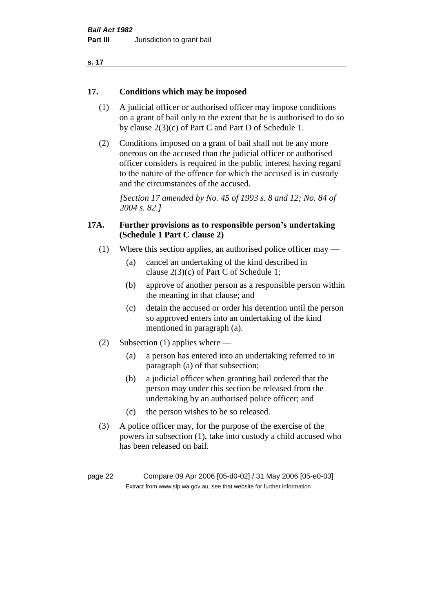| ×<br>. . |  |
|----------|--|
|----------|--|

# **17. Conditions which may be imposed**

- (1) A judicial officer or authorised officer may impose conditions on a grant of bail only to the extent that he is authorised to do so by clause 2(3)(c) of Part C and Part D of Schedule 1.
- (2) Conditions imposed on a grant of bail shall not be any more onerous on the accused than the judicial officer or authorised officer considers is required in the public interest having regard to the nature of the offence for which the accused is in custody and the circumstances of the accused.

*[Section 17 amended by No. 45 of 1993 s. 8 and 12; No. 84 of 2004 s. 82.]* 

# **17A. Further provisions as to responsible person's undertaking (Schedule 1 Part C clause 2)**

- (1) Where this section applies, an authorised police officer may
	- (a) cancel an undertaking of the kind described in clause 2(3)(c) of Part C of Schedule 1;
	- (b) approve of another person as a responsible person within the meaning in that clause; and
	- (c) detain the accused or order his detention until the person so approved enters into an undertaking of the kind mentioned in paragraph (a).
- (2) Subsection (1) applies where
	- (a) a person has entered into an undertaking referred to in paragraph (a) of that subsection;
	- (b) a judicial officer when granting bail ordered that the person may under this section be released from the undertaking by an authorised police officer; and
	- (c) the person wishes to be so released.
- (3) A police officer may, for the purpose of the exercise of the powers in subsection (1), take into custody a child accused who has been released on bail.

page 22 Compare 09 Apr 2006 [05-d0-02] / 31 May 2006 [05-e0-03] Extract from www.slp.wa.gov.au, see that website for further information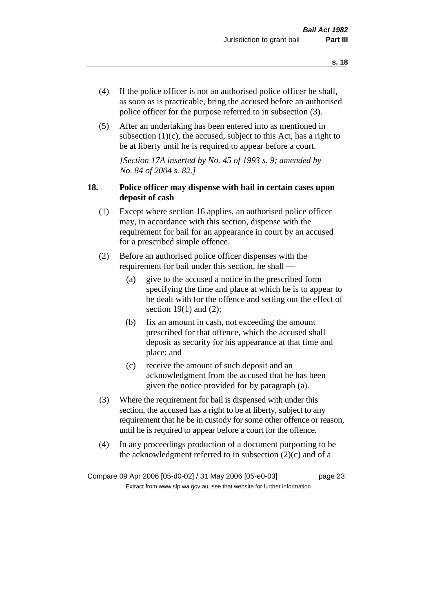- (4) If the police officer is not an authorised police officer he shall, as soon as is practicable, bring the accused before an authorised police officer for the purpose referred to in subsection (3).
- (5) After an undertaking has been entered into as mentioned in subsection  $(1)(c)$ , the accused, subject to this Act, has a right to be at liberty until he is required to appear before a court.

*[Section 17A inserted by No. 45 of 1993 s. 9; amended by No. 84 of 2004 s. 82.]* 

# **18. Police officer may dispense with bail in certain cases upon deposit of cash**

- (1) Except where section 16 applies, an authorised police officer may, in accordance with this section, dispense with the requirement for bail for an appearance in court by an accused for a prescribed simple offence.
- (2) Before an authorised police officer dispenses with the requirement for bail under this section, he shall —
	- (a) give to the accused a notice in the prescribed form specifying the time and place at which he is to appear to be dealt with for the offence and setting out the effect of section  $19(1)$  and  $(2)$ ;
	- (b) fix an amount in cash, not exceeding the amount prescribed for that offence, which the accused shall deposit as security for his appearance at that time and place; and
	- (c) receive the amount of such deposit and an acknowledgment from the accused that he has been given the notice provided for by paragraph (a).
- (3) Where the requirement for bail is dispensed with under this section, the accused has a right to be at liberty, subject to any requirement that he be in custody for some other offence or reason, until he is required to appear before a court for the offence.
- (4) In any proceedings production of a document purporting to be the acknowledgment referred to in subsection  $(2)(c)$  and of a

Compare 09 Apr 2006 [05-d0-02] / 31 May 2006 [05-e0-03] page 23 Extract from www.slp.wa.gov.au, see that website for further information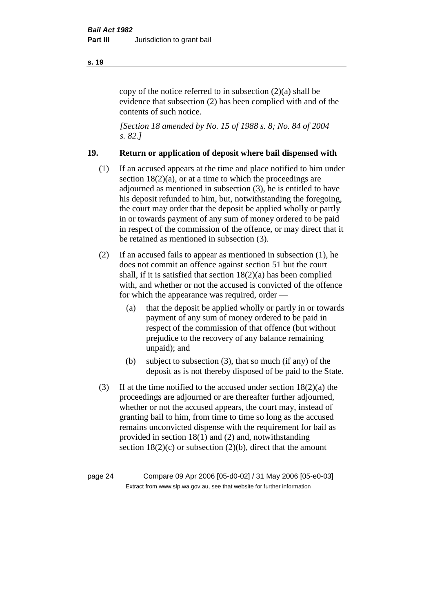copy of the notice referred to in subsection (2)(a) shall be evidence that subsection (2) has been complied with and of the contents of such notice.

*[Section 18 amended by No. 15 of 1988 s. 8; No. 84 of 2004 s. 82.]* 

# **19. Return or application of deposit where bail dispensed with**

- (1) If an accused appears at the time and place notified to him under section  $18(2)(a)$ , or at a time to which the proceedings are adjourned as mentioned in subsection (3), he is entitled to have his deposit refunded to him, but, notwithstanding the foregoing, the court may order that the deposit be applied wholly or partly in or towards payment of any sum of money ordered to be paid in respect of the commission of the offence, or may direct that it be retained as mentioned in subsection (3).
- (2) If an accused fails to appear as mentioned in subsection (1), he does not commit an offence against section 51 but the court shall, if it is satisfied that section 18(2)(a) has been complied with, and whether or not the accused is convicted of the offence for which the appearance was required, order —
	- (a) that the deposit be applied wholly or partly in or towards payment of any sum of money ordered to be paid in respect of the commission of that offence (but without prejudice to the recovery of any balance remaining unpaid); and
	- (b) subject to subsection (3), that so much (if any) of the deposit as is not thereby disposed of be paid to the State.
- (3) If at the time notified to the accused under section  $18(2)(a)$  the proceedings are adjourned or are thereafter further adjourned, whether or not the accused appears, the court may, instead of granting bail to him, from time to time so long as the accused remains unconvicted dispense with the requirement for bail as provided in section 18(1) and (2) and, notwithstanding section  $18(2)(c)$  or subsection  $(2)(b)$ , direct that the amount

page 24 Compare 09 Apr 2006 [05-d0-02] / 31 May 2006 [05-e0-03] Extract from www.slp.wa.gov.au, see that website for further information

#### **s. 19**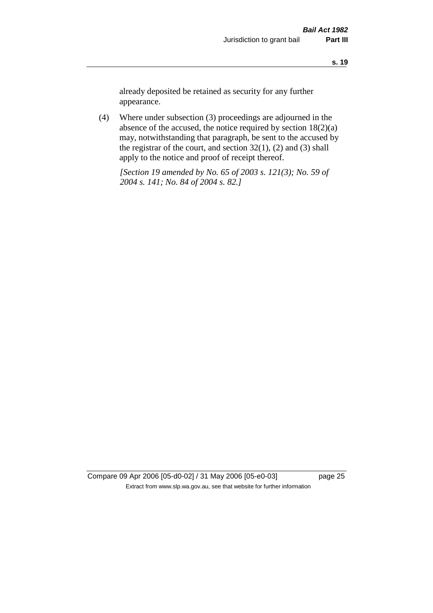already deposited be retained as security for any further appearance.

(4) Where under subsection (3) proceedings are adjourned in the absence of the accused, the notice required by section 18(2)(a) may, notwithstanding that paragraph, be sent to the accused by the registrar of the court, and section  $32(1)$ ,  $(2)$  and  $(3)$  shall apply to the notice and proof of receipt thereof.

*[Section 19 amended by No. 65 of 2003 s. 121(3); No. 59 of 2004 s. 141; No. 84 of 2004 s. 82.]*

Compare 09 Apr 2006 [05-d0-02] / 31 May 2006 [05-e0-03] page 25 Extract from www.slp.wa.gov.au, see that website for further information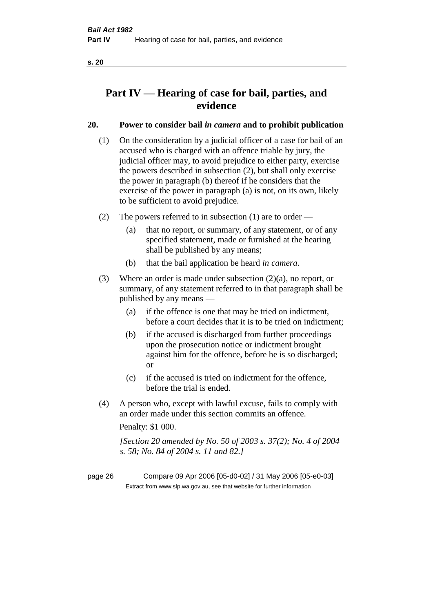# **Part IV — Hearing of case for bail, parties, and evidence**

# **20. Power to consider bail** *in camera* **and to prohibit publication**

- (1) On the consideration by a judicial officer of a case for bail of an accused who is charged with an offence triable by jury, the judicial officer may, to avoid prejudice to either party, exercise the powers described in subsection (2), but shall only exercise the power in paragraph (b) thereof if he considers that the exercise of the power in paragraph (a) is not, on its own, likely to be sufficient to avoid prejudice.
- (2) The powers referred to in subsection (1) are to order
	- (a) that no report, or summary, of any statement, or of any specified statement, made or furnished at the hearing shall be published by any means;
	- (b) that the bail application be heard *in camera*.
- (3) Where an order is made under subsection (2)(a), no report, or summary, of any statement referred to in that paragraph shall be published by any means —
	- (a) if the offence is one that may be tried on indictment, before a court decides that it is to be tried on indictment;
	- (b) if the accused is discharged from further proceedings upon the prosecution notice or indictment brought against him for the offence, before he is so discharged; or
	- (c) if the accused is tried on indictment for the offence, before the trial is ended.
- (4) A person who, except with lawful excuse, fails to comply with an order made under this section commits an offence.

Penalty: \$1 000.

*[Section 20 amended by No. 50 of 2003 s. 37(2); No. 4 of 2004 s. 58; No. 84 of 2004 s. 11 and 82.]*

page 26 Compare 09 Apr 2006 [05-d0-02] / 31 May 2006 [05-e0-03] Extract from www.slp.wa.gov.au, see that website for further information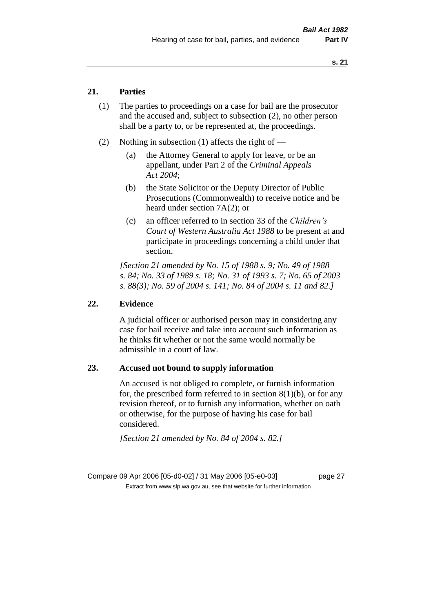# **21. Parties**

- (1) The parties to proceedings on a case for bail are the prosecutor and the accused and, subject to subsection (2), no other person shall be a party to, or be represented at, the proceedings.
- (2) Nothing in subsection (1) affects the right of
	- (a) the Attorney General to apply for leave, or be an appellant, under Part 2 of the *Criminal Appeals Act 2004*;
	- (b) the State Solicitor or the Deputy Director of Public Prosecutions (Commonwealth) to receive notice and be heard under section 7A(2); or
	- (c) an officer referred to in section 33 of the *Children's Court of Western Australia Act 1988* to be present at and participate in proceedings concerning a child under that section.

*[Section 21 amended by No. 15 of 1988 s. 9; No. 49 of 1988 s. 84; No. 33 of 1989 s. 18; No. 31 of 1993 s. 7; No. 65 of 2003 s. 88(3); No. 59 of 2004 s. 141; No. 84 of 2004 s. 11 and 82.]* 

### **22. Evidence**

A judicial officer or authorised person may in considering any case for bail receive and take into account such information as he thinks fit whether or not the same would normally be admissible in a court of law.

# **23. Accused not bound to supply information**

An accused is not obliged to complete, or furnish information for, the prescribed form referred to in section  $8(1)(b)$ , or for any revision thereof, or to furnish any information, whether on oath or otherwise, for the purpose of having his case for bail considered.

*[Section 21 amended by No. 84 of 2004 s. 82.]* 

Compare 09 Apr 2006 [05-d0-02] / 31 May 2006 [05-e0-03] page 27 Extract from www.slp.wa.gov.au, see that website for further information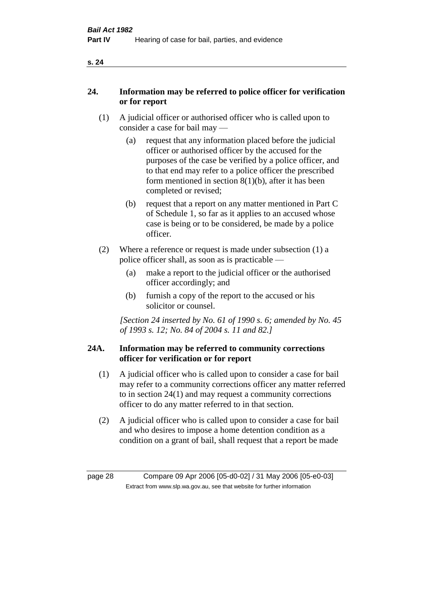|--|

# **24. Information may be referred to police officer for verification or for report**

- (1) A judicial officer or authorised officer who is called upon to consider a case for bail may —
	- (a) request that any information placed before the judicial officer or authorised officer by the accused for the purposes of the case be verified by a police officer, and to that end may refer to a police officer the prescribed form mentioned in section 8(1)(b), after it has been completed or revised;
	- (b) request that a report on any matter mentioned in Part C of Schedule 1, so far as it applies to an accused whose case is being or to be considered, be made by a police officer.
- (2) Where a reference or request is made under subsection (1) a police officer shall, as soon as is practicable —
	- (a) make a report to the judicial officer or the authorised officer accordingly; and
	- (b) furnish a copy of the report to the accused or his solicitor or counsel.

*[Section 24 inserted by No. 61 of 1990 s. 6; amended by No. 45 of 1993 s. 12; No. 84 of 2004 s. 11 and 82.]* 

# **24A. Information may be referred to community corrections officer for verification or for report**

- (1) A judicial officer who is called upon to consider a case for bail may refer to a community corrections officer any matter referred to in section 24(1) and may request a community corrections officer to do any matter referred to in that section.
- (2) A judicial officer who is called upon to consider a case for bail and who desires to impose a home detention condition as a condition on a grant of bail, shall request that a report be made

page 28 Compare 09 Apr 2006 [05-d0-02] / 31 May 2006 [05-e0-03] Extract from www.slp.wa.gov.au, see that website for further information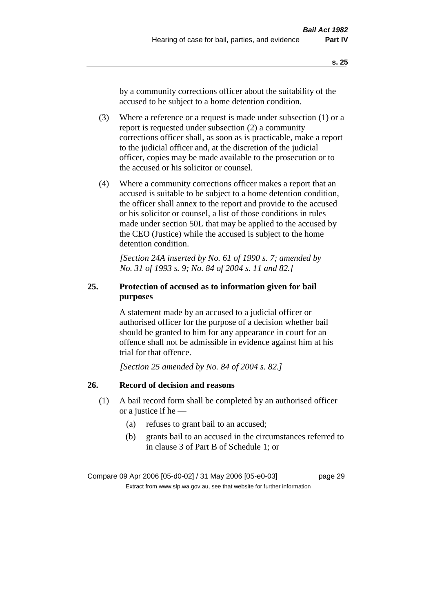by a community corrections officer about the suitability of the accused to be subject to a home detention condition.

- (3) Where a reference or a request is made under subsection (1) or a report is requested under subsection (2) a community corrections officer shall, as soon as is practicable, make a report to the judicial officer and, at the discretion of the judicial officer, copies may be made available to the prosecution or to the accused or his solicitor or counsel.
- (4) Where a community corrections officer makes a report that an accused is suitable to be subject to a home detention condition, the officer shall annex to the report and provide to the accused or his solicitor or counsel, a list of those conditions in rules made under section 50L that may be applied to the accused by the CEO (Justice) while the accused is subject to the home detention condition.

*[Section 24A inserted by No. 61 of 1990 s. 7; amended by No. 31 of 1993 s. 9; No. 84 of 2004 s. 11 and 82.]* 

# **25. Protection of accused as to information given for bail purposes**

A statement made by an accused to a judicial officer or authorised officer for the purpose of a decision whether bail should be granted to him for any appearance in court for an offence shall not be admissible in evidence against him at his trial for that offence.

*[Section 25 amended by No. 84 of 2004 s. 82.]* 

# **26. Record of decision and reasons**

- (1) A bail record form shall be completed by an authorised officer or a justice if he —
	- (a) refuses to grant bail to an accused;
	- (b) grants bail to an accused in the circumstances referred to in clause 3 of Part B of Schedule 1; or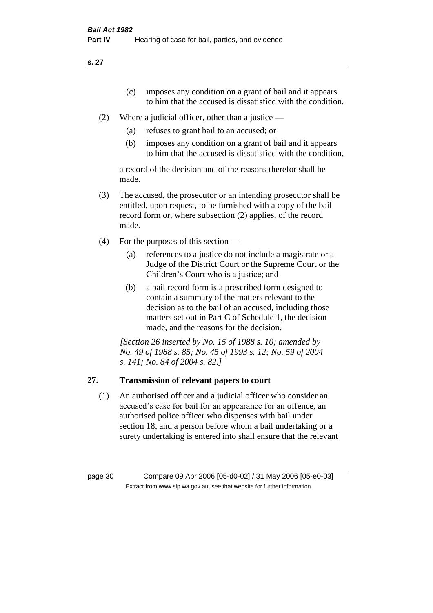- (c) imposes any condition on a grant of bail and it appears to him that the accused is dissatisfied with the condition.
- (2) Where a judicial officer, other than a justice
	- (a) refuses to grant bail to an accused; or
	- (b) imposes any condition on a grant of bail and it appears to him that the accused is dissatisfied with the condition,

a record of the decision and of the reasons therefor shall be made.

- (3) The accused, the prosecutor or an intending prosecutor shall be entitled, upon request, to be furnished with a copy of the bail record form or, where subsection (2) applies, of the record made.
- (4) For the purposes of this section
	- (a) references to a justice do not include a magistrate or a Judge of the District Court or the Supreme Court or the Children's Court who is a justice; and
	- (b) a bail record form is a prescribed form designed to contain a summary of the matters relevant to the decision as to the bail of an accused, including those matters set out in Part C of Schedule 1, the decision made, and the reasons for the decision.

*[Section 26 inserted by No. 15 of 1988 s. 10; amended by No. 49 of 1988 s. 85; No. 45 of 1993 s. 12; No. 59 of 2004 s. 141; No. 84 of 2004 s. 82.]* 

# **27. Transmission of relevant papers to court**

(1) An authorised officer and a judicial officer who consider an accused's case for bail for an appearance for an offence, an authorised police officer who dispenses with bail under section 18, and a person before whom a bail undertaking or a surety undertaking is entered into shall ensure that the relevant

page 30 Compare 09 Apr 2006 [05-d0-02] / 31 May 2006 [05-e0-03] Extract from www.slp.wa.gov.au, see that website for further information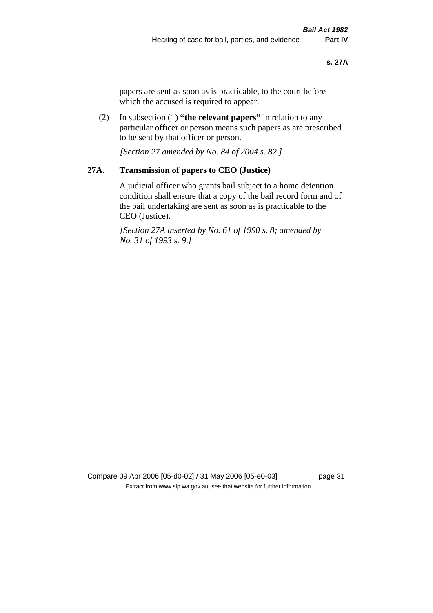papers are sent as soon as is practicable, to the court before which the accused is required to appear.

(2) In subsection (1) **"the relevant papers"** in relation to any particular officer or person means such papers as are prescribed to be sent by that officer or person.

*[Section 27 amended by No. 84 of 2004 s. 82.]* 

# **27A. Transmission of papers to CEO (Justice)**

A judicial officer who grants bail subject to a home detention condition shall ensure that a copy of the bail record form and of the bail undertaking are sent as soon as is practicable to the CEO (Justice).

*[Section 27A inserted by No. 61 of 1990 s. 8; amended by No. 31 of 1993 s. 9.]* 

Compare 09 Apr 2006 [05-d0-02] / 31 May 2006 [05-e0-03] page 31 Extract from www.slp.wa.gov.au, see that website for further information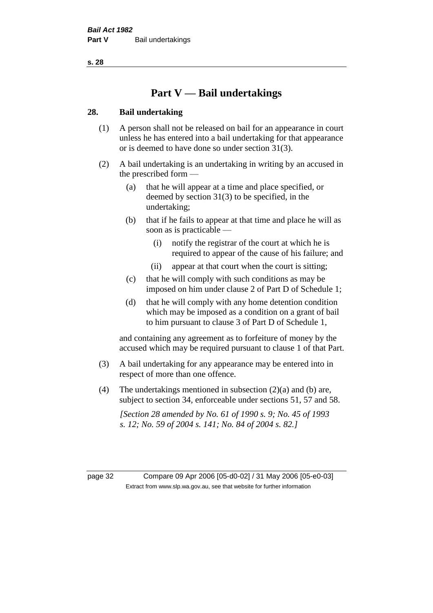# **Part V — Bail undertakings**

# **28. Bail undertaking**

- (1) A person shall not be released on bail for an appearance in court unless he has entered into a bail undertaking for that appearance or is deemed to have done so under section 31(3).
- (2) A bail undertaking is an undertaking in writing by an accused in the prescribed form —
	- (a) that he will appear at a time and place specified, or deemed by section 31(3) to be specified, in the undertaking;
	- (b) that if he fails to appear at that time and place he will as soon as is practicable —
		- (i) notify the registrar of the court at which he is required to appear of the cause of his failure; and
		- (ii) appear at that court when the court is sitting;
	- (c) that he will comply with such conditions as may be imposed on him under clause 2 of Part D of Schedule 1;
	- (d) that he will comply with any home detention condition which may be imposed as a condition on a grant of bail to him pursuant to clause 3 of Part D of Schedule 1,

and containing any agreement as to forfeiture of money by the accused which may be required pursuant to clause 1 of that Part.

- (3) A bail undertaking for any appearance may be entered into in respect of more than one offence.
- (4) The undertakings mentioned in subsection  $(2)(a)$  and (b) are, subject to section 34, enforceable under sections 51, 57 and 58.

*[Section 28 amended by No. 61 of 1990 s. 9; No. 45 of 1993 s. 12; No. 59 of 2004 s. 141; No. 84 of 2004 s. 82.]*

page 32 Compare 09 Apr 2006 [05-d0-02] / 31 May 2006 [05-e0-03] Extract from www.slp.wa.gov.au, see that website for further information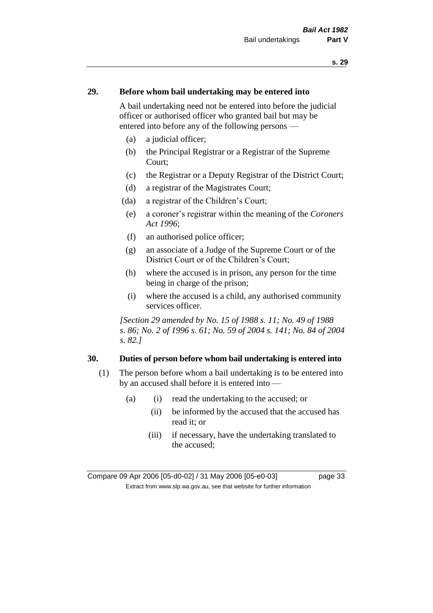# **29. Before whom bail undertaking may be entered into**

A bail undertaking need not be entered into before the judicial officer or authorised officer who granted bail but may be entered into before any of the following persons —

- (a) a judicial officer;
- (b) the Principal Registrar or a Registrar of the Supreme Court;
- (c) the Registrar or a Deputy Registrar of the District Court;
- (d) a registrar of the Magistrates Court;
- (da) a registrar of the Children's Court;
- (e) a coroner's registrar within the meaning of the *Coroners Act 1996*;
- (f) an authorised police officer;
- (g) an associate of a Judge of the Supreme Court or of the District Court or of the Children's Court;
- (h) where the accused is in prison, any person for the time being in charge of the prison;
- (i) where the accused is a child, any authorised community services officer.

*[Section 29 amended by No. 15 of 1988 s. 11; No. 49 of 1988 s. 86; No. 2 of 1996 s. 61; No. 59 of 2004 s. 141; No. 84 of 2004 s. 82.]* 

### **30. Duties of person before whom bail undertaking is entered into**

- (1) The person before whom a bail undertaking is to be entered into by an accused shall before it is entered into —
	- (a) (i) read the undertaking to the accused; or
		- (ii) be informed by the accused that the accused has read it; or
		- (iii) if necessary, have the undertaking translated to the accused;

Compare 09 Apr 2006 [05-d0-02] / 31 May 2006 [05-e0-03] page 33 Extract from www.slp.wa.gov.au, see that website for further information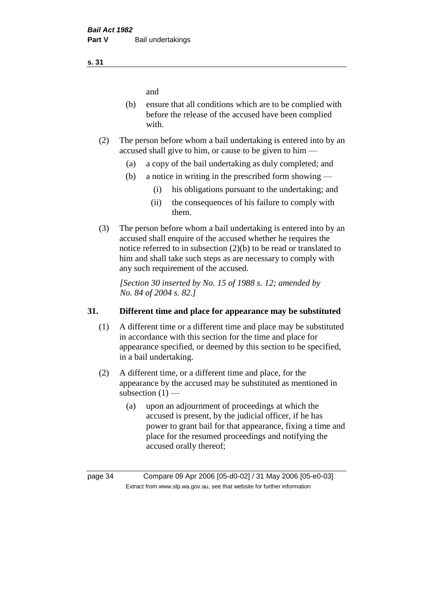and

- (b) ensure that all conditions which are to be complied with before the release of the accused have been complied with.
- (2) The person before whom a bail undertaking is entered into by an accused shall give to him, or cause to be given to him —
	- (a) a copy of the bail undertaking as duly completed; and
	- (b) a notice in writing in the prescribed form showing
		- (i) his obligations pursuant to the undertaking; and
		- (ii) the consequences of his failure to comply with them.
- (3) The person before whom a bail undertaking is entered into by an accused shall enquire of the accused whether he requires the notice referred to in subsection (2)(b) to be read or translated to him and shall take such steps as are necessary to comply with any such requirement of the accused.

*[Section 30 inserted by No. 15 of 1988 s. 12; amended by No. 84 of 2004 s. 82.]* 

# **31. Different time and place for appearance may be substituted**

- (1) A different time or a different time and place may be substituted in accordance with this section for the time and place for appearance specified, or deemed by this section to be specified, in a bail undertaking.
- (2) A different time, or a different time and place, for the appearance by the accused may be substituted as mentioned in subsection  $(1)$  —
	- (a) upon an adjournment of proceedings at which the accused is present, by the judicial officer, if he has power to grant bail for that appearance, fixing a time and place for the resumed proceedings and notifying the accused orally thereof;

**s. 31**

page 34 Compare 09 Apr 2006 [05-d0-02] / 31 May 2006 [05-e0-03] Extract from www.slp.wa.gov.au, see that website for further information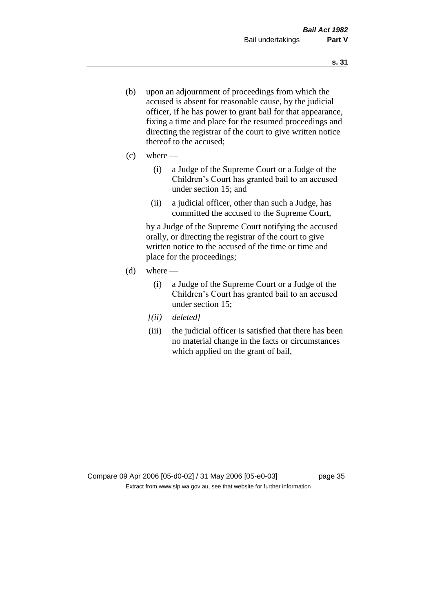- (b) upon an adjournment of proceedings from which the accused is absent for reasonable cause, by the judicial officer, if he has power to grant bail for that appearance, fixing a time and place for the resumed proceedings and directing the registrar of the court to give written notice thereof to the accused;
- $(c)$  where
	- (i) a Judge of the Supreme Court or a Judge of the Children's Court has granted bail to an accused under section 15; and
	- (ii) a judicial officer, other than such a Judge, has committed the accused to the Supreme Court,

by a Judge of the Supreme Court notifying the accused orally, or directing the registrar of the court to give written notice to the accused of the time or time and place for the proceedings;

- $(d)$  where
	- (i) a Judge of the Supreme Court or a Judge of the Children's Court has granted bail to an accused under section 15;
	- *[(ii) deleted]*
	- (iii) the judicial officer is satisfied that there has been no material change in the facts or circumstances which applied on the grant of bail,

Compare 09 Apr 2006 [05-d0-02] / 31 May 2006 [05-e0-03] page 35 Extract from www.slp.wa.gov.au, see that website for further information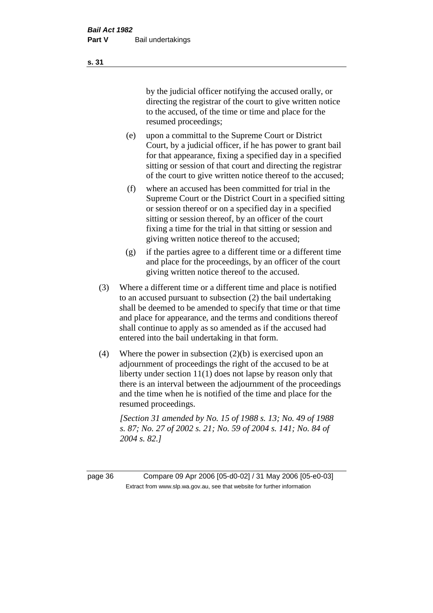by the judicial officer notifying the accused orally, or directing the registrar of the court to give written notice to the accused, of the time or time and place for the resumed proceedings;

- (e) upon a committal to the Supreme Court or District Court, by a judicial officer, if he has power to grant bail for that appearance, fixing a specified day in a specified sitting or session of that court and directing the registrar of the court to give written notice thereof to the accused;
- (f) where an accused has been committed for trial in the Supreme Court or the District Court in a specified sitting or session thereof or on a specified day in a specified sitting or session thereof, by an officer of the court fixing a time for the trial in that sitting or session and giving written notice thereof to the accused;
- (g) if the parties agree to a different time or a different time and place for the proceedings, by an officer of the court giving written notice thereof to the accused.
- (3) Where a different time or a different time and place is notified to an accused pursuant to subsection (2) the bail undertaking shall be deemed to be amended to specify that time or that time and place for appearance, and the terms and conditions thereof shall continue to apply as so amended as if the accused had entered into the bail undertaking in that form.
- (4) Where the power in subsection (2)(b) is exercised upon an adjournment of proceedings the right of the accused to be at liberty under section 11(1) does not lapse by reason only that there is an interval between the adjournment of the proceedings and the time when he is notified of the time and place for the resumed proceedings.

*[Section 31 amended by No. 15 of 1988 s. 13; No. 49 of 1988 s. 87; No. 27 of 2002 s. 21; No. 59 of 2004 s. 141; No. 84 of 2004 s. 82.]* 

page 36 Compare 09 Apr 2006 [05-d0-02] / 31 May 2006 [05-e0-03] Extract from www.slp.wa.gov.au, see that website for further information

**s. 31**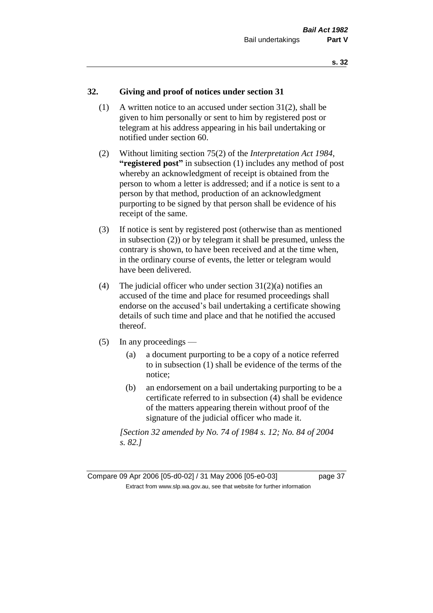# **32. Giving and proof of notices under section 31**

- (1) A written notice to an accused under section 31(2), shall be given to him personally or sent to him by registered post or telegram at his address appearing in his bail undertaking or notified under section 60.
- (2) Without limiting section 75(2) of the *Interpretation Act 1984*, **"registered post"** in subsection (1) includes any method of post whereby an acknowledgment of receipt is obtained from the person to whom a letter is addressed; and if a notice is sent to a person by that method, production of an acknowledgment purporting to be signed by that person shall be evidence of his receipt of the same.
- (3) If notice is sent by registered post (otherwise than as mentioned in subsection (2)) or by telegram it shall be presumed, unless the contrary is shown, to have been received and at the time when, in the ordinary course of events, the letter or telegram would have been delivered.
- (4) The judicial officer who under section  $31(2)(a)$  notifies an accused of the time and place for resumed proceedings shall endorse on the accused's bail undertaking a certificate showing details of such time and place and that he notified the accused thereof.
- (5) In any proceedings
	- (a) a document purporting to be a copy of a notice referred to in subsection (1) shall be evidence of the terms of the notice;
	- (b) an endorsement on a bail undertaking purporting to be a certificate referred to in subsection (4) shall be evidence of the matters appearing therein without proof of the signature of the judicial officer who made it.

*[Section 32 amended by No. 74 of 1984 s. 12; No. 84 of 2004 s. 82.]*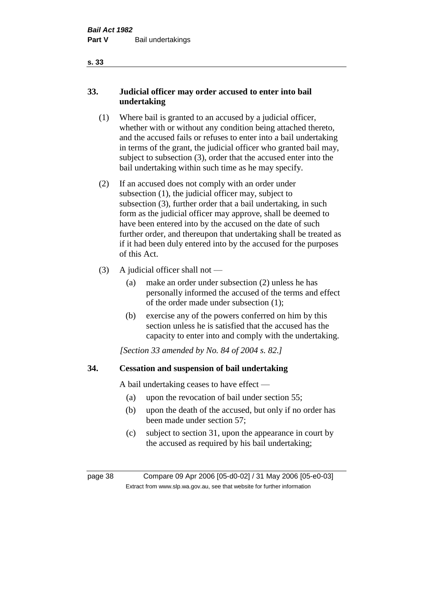# **33. Judicial officer may order accused to enter into bail undertaking**

- (1) Where bail is granted to an accused by a judicial officer, whether with or without any condition being attached thereto, and the accused fails or refuses to enter into a bail undertaking in terms of the grant, the judicial officer who granted bail may, subject to subsection (3), order that the accused enter into the bail undertaking within such time as he may specify.
- (2) If an accused does not comply with an order under subsection (1), the judicial officer may, subject to subsection (3), further order that a bail undertaking, in such form as the judicial officer may approve, shall be deemed to have been entered into by the accused on the date of such further order, and thereupon that undertaking shall be treated as if it had been duly entered into by the accused for the purposes of this Act.
- (3) A judicial officer shall not
	- (a) make an order under subsection (2) unless he has personally informed the accused of the terms and effect of the order made under subsection (1);
	- (b) exercise any of the powers conferred on him by this section unless he is satisfied that the accused has the capacity to enter into and comply with the undertaking.

*[Section 33 amended by No. 84 of 2004 s. 82.]* 

# **34. Cessation and suspension of bail undertaking**

A bail undertaking ceases to have effect —

- (a) upon the revocation of bail under section 55;
- (b) upon the death of the accused, but only if no order has been made under section 57;
- (c) subject to section 31, upon the appearance in court by the accused as required by his bail undertaking;

page 38 Compare 09 Apr 2006 [05-d0-02] / 31 May 2006 [05-e0-03] Extract from www.slp.wa.gov.au, see that website for further information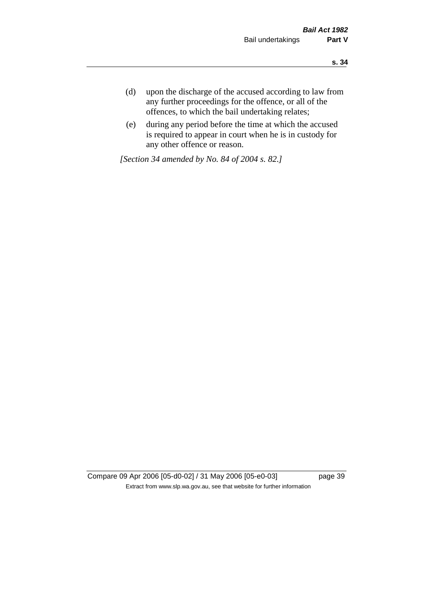- **s. 34**
- (d) upon the discharge of the accused according to law from any further proceedings for the offence, or all of the offences, to which the bail undertaking relates;
- (e) during any period before the time at which the accused is required to appear in court when he is in custody for any other offence or reason.

*[Section 34 amended by No. 84 of 2004 s. 82.]* 

Compare 09 Apr 2006 [05-d0-02] / 31 May 2006 [05-e0-03] page 39 Extract from www.slp.wa.gov.au, see that website for further information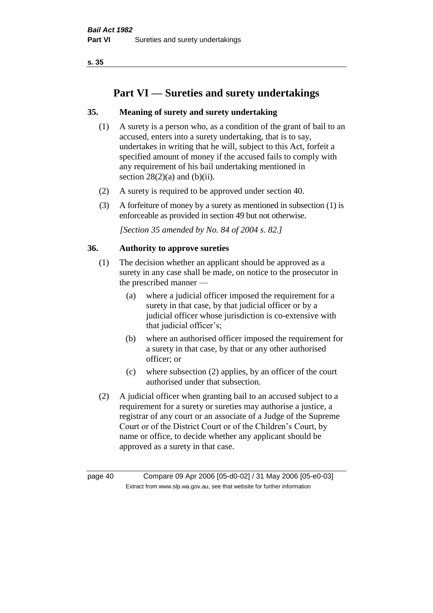# **Part VI — Sureties and surety undertakings**

# **35. Meaning of surety and surety undertaking**

- (1) A surety is a person who, as a condition of the grant of bail to an accused, enters into a surety undertaking, that is to say, undertakes in writing that he will, subject to this Act, forfeit a specified amount of money if the accused fails to comply with any requirement of his bail undertaking mentioned in section  $28(2)(a)$  and  $(b)(ii)$ .
- (2) A surety is required to be approved under section 40.
- (3) A forfeiture of money by a surety as mentioned in subsection (1) is enforceable as provided in section 49 but not otherwise.

*[Section 35 amended by No. 84 of 2004 s. 82.]* 

#### **36. Authority to approve sureties**

- (1) The decision whether an applicant should be approved as a surety in any case shall be made, on notice to the prosecutor in the prescribed manner —
	- (a) where a judicial officer imposed the requirement for a surety in that case, by that judicial officer or by a judicial officer whose jurisdiction is co-extensive with that judicial officer's;
	- (b) where an authorised officer imposed the requirement for a surety in that case, by that or any other authorised officer; or
	- (c) where subsection (2) applies, by an officer of the court authorised under that subsection.
- (2) A judicial officer when granting bail to an accused subject to a requirement for a surety or sureties may authorise a justice, a registrar of any court or an associate of a Judge of the Supreme Court or of the District Court or of the Children's Court, by name or office, to decide whether any applicant should be approved as a surety in that case.

page 40 Compare 09 Apr 2006 [05-d0-02] / 31 May 2006 [05-e0-03] Extract from www.slp.wa.gov.au, see that website for further information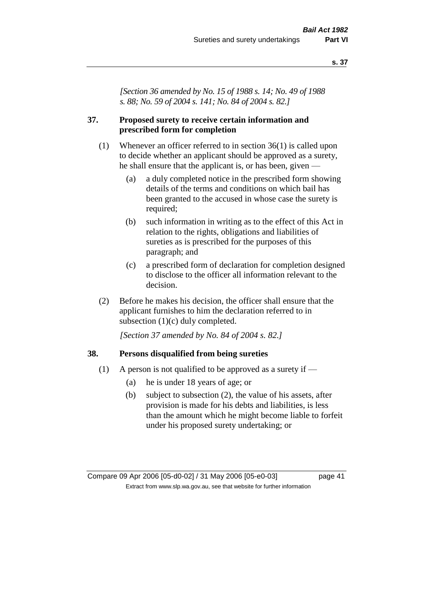*[Section 36 amended by No. 15 of 1988 s. 14; No. 49 of 1988 s. 88; No. 59 of 2004 s. 141; No. 84 of 2004 s. 82.]* 

## **37. Proposed surety to receive certain information and prescribed form for completion**

- (1) Whenever an officer referred to in section 36(1) is called upon to decide whether an applicant should be approved as a surety, he shall ensure that the applicant is, or has been, given —
	- (a) a duly completed notice in the prescribed form showing details of the terms and conditions on which bail has been granted to the accused in whose case the surety is required;
	- (b) such information in writing as to the effect of this Act in relation to the rights, obligations and liabilities of sureties as is prescribed for the purposes of this paragraph; and
	- (c) a prescribed form of declaration for completion designed to disclose to the officer all information relevant to the decision.
- (2) Before he makes his decision, the officer shall ensure that the applicant furnishes to him the declaration referred to in subsection (1)(c) duly completed.

*[Section 37 amended by No. 84 of 2004 s. 82.]* 

#### **38. Persons disqualified from being sureties**

- (1) A person is not qualified to be approved as a surety if  $-$ 
	- (a) he is under 18 years of age; or
	- (b) subject to subsection (2), the value of his assets, after provision is made for his debts and liabilities, is less than the amount which he might become liable to forfeit under his proposed surety undertaking; or

Compare 09 Apr 2006 [05-d0-02] / 31 May 2006 [05-e0-03] page 41 Extract from www.slp.wa.gov.au, see that website for further information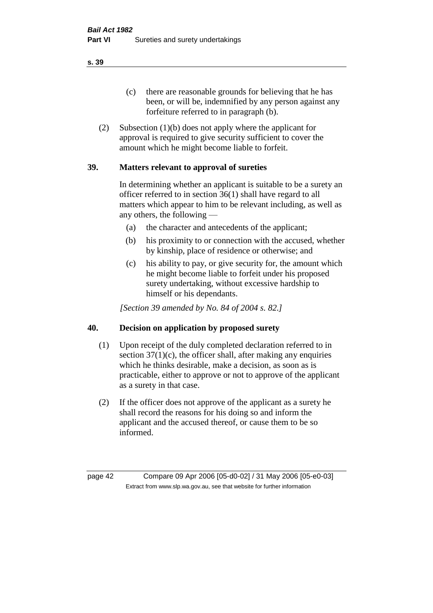(c) there are reasonable grounds for believing that he has been, or will be, indemnified by any person against any forfeiture referred to in paragraph (b).

(2) Subsection (1)(b) does not apply where the applicant for approval is required to give security sufficient to cover the amount which he might become liable to forfeit.

# **39. Matters relevant to approval of sureties**

In determining whether an applicant is suitable to be a surety an officer referred to in section 36(1) shall have regard to all matters which appear to him to be relevant including, as well as any others, the following —

- (a) the character and antecedents of the applicant;
- (b) his proximity to or connection with the accused, whether by kinship, place of residence or otherwise; and
- (c) his ability to pay, or give security for, the amount which he might become liable to forfeit under his proposed surety undertaking, without excessive hardship to himself or his dependants.

*[Section 39 amended by No. 84 of 2004 s. 82.]* 

#### **40. Decision on application by proposed surety**

- (1) Upon receipt of the duly completed declaration referred to in section  $37(1)(c)$ , the officer shall, after making any enquiries which he thinks desirable, make a decision, as soon as is practicable, either to approve or not to approve of the applicant as a surety in that case.
- (2) If the officer does not approve of the applicant as a surety he shall record the reasons for his doing so and inform the applicant and the accused thereof, or cause them to be so informed.

page 42 Compare 09 Apr 2006 [05-d0-02] / 31 May 2006 [05-e0-03] Extract from www.slp.wa.gov.au, see that website for further information

**s. 39**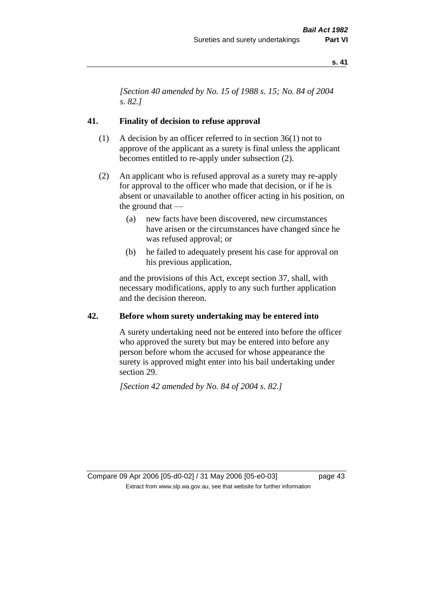*[Section 40 amended by No. 15 of 1988 s. 15; No. 84 of 2004 s. 82.]* 

#### **41. Finality of decision to refuse approval**

- (1) A decision by an officer referred to in section 36(1) not to approve of the applicant as a surety is final unless the applicant becomes entitled to re-apply under subsection (2).
- (2) An applicant who is refused approval as a surety may re-apply for approval to the officer who made that decision, or if he is absent or unavailable to another officer acting in his position, on the ground that —
	- (a) new facts have been discovered, new circumstances have arisen or the circumstances have changed since he was refused approval; or
	- (b) he failed to adequately present his case for approval on his previous application,

and the provisions of this Act, except section 37, shall, with necessary modifications, apply to any such further application and the decision thereon.

#### **42. Before whom surety undertaking may be entered into**

A surety undertaking need not be entered into before the officer who approved the surety but may be entered into before any person before whom the accused for whose appearance the surety is approved might enter into his bail undertaking under section 29.

*[Section 42 amended by No. 84 of 2004 s. 82.]* 

Compare 09 Apr 2006 [05-d0-02] / 31 May 2006 [05-e0-03] page 43 Extract from www.slp.wa.gov.au, see that website for further information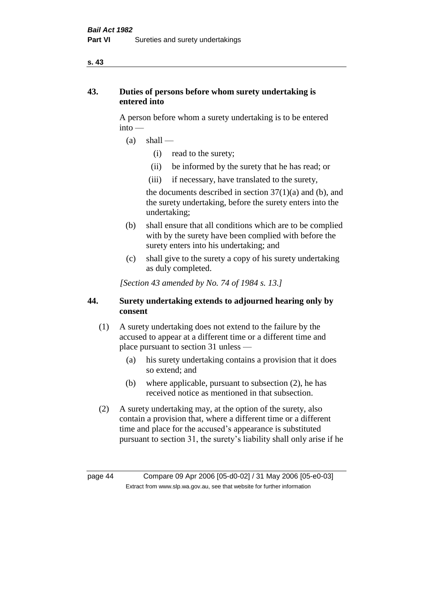# **43. Duties of persons before whom surety undertaking is entered into**

A person before whom a surety undertaking is to be entered into —

- $(a)$  shall
	- (i) read to the surety;
	- (ii) be informed by the surety that he has read; or
	- (iii) if necessary, have translated to the surety,

the documents described in section  $37(1)(a)$  and (b), and the surety undertaking, before the surety enters into the undertaking;

- (b) shall ensure that all conditions which are to be complied with by the surety have been complied with before the surety enters into his undertaking; and
- (c) shall give to the surety a copy of his surety undertaking as duly completed.

*[Section 43 amended by No. 74 of 1984 s. 13.]* 

# **44. Surety undertaking extends to adjourned hearing only by consent**

- (1) A surety undertaking does not extend to the failure by the accused to appear at a different time or a different time and place pursuant to section 31 unless —
	- (a) his surety undertaking contains a provision that it does so extend; and
	- (b) where applicable, pursuant to subsection (2), he has received notice as mentioned in that subsection.
- (2) A surety undertaking may, at the option of the surety, also contain a provision that, where a different time or a different time and place for the accused's appearance is substituted pursuant to section 31, the surety's liability shall only arise if he

page 44 Compare 09 Apr 2006 [05-d0-02] / 31 May 2006 [05-e0-03] Extract from www.slp.wa.gov.au, see that website for further information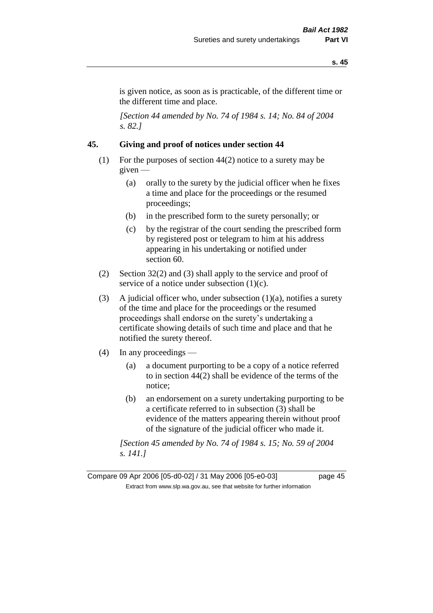is given notice, as soon as is practicable, of the different time or the different time and place.

*[Section 44 amended by No. 74 of 1984 s. 14; No. 84 of 2004 s. 82.]* 

# **45. Giving and proof of notices under section 44**

- (1) For the purposes of section 44(2) notice to a surety may be given —
	- (a) orally to the surety by the judicial officer when he fixes a time and place for the proceedings or the resumed proceedings;
	- (b) in the prescribed form to the surety personally; or
	- (c) by the registrar of the court sending the prescribed form by registered post or telegram to him at his address appearing in his undertaking or notified under section 60.
- (2) Section 32(2) and (3) shall apply to the service and proof of service of a notice under subsection  $(1)(c)$ .
- (3) A judicial officer who, under subsection  $(1)(a)$ , notifies a surety of the time and place for the proceedings or the resumed proceedings shall endorse on the surety's undertaking a certificate showing details of such time and place and that he notified the surety thereof.
- (4) In any proceedings
	- (a) a document purporting to be a copy of a notice referred to in section 44(2) shall be evidence of the terms of the notice;
	- (b) an endorsement on a surety undertaking purporting to be a certificate referred to in subsection (3) shall be evidence of the matters appearing therein without proof of the signature of the judicial officer who made it.

*[Section 45 amended by No. 74 of 1984 s. 15; No. 59 of 2004 s. 141.]* 

Compare 09 Apr 2006 [05-d0-02] / 31 May 2006 [05-e0-03] page 45 Extract from www.slp.wa.gov.au, see that website for further information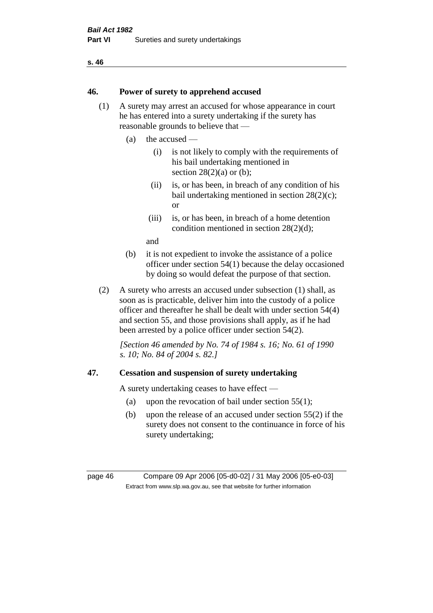#### **46. Power of surety to apprehend accused**

- (1) A surety may arrest an accused for whose appearance in court he has entered into a surety undertaking if the surety has reasonable grounds to believe that —
	- (a) the accused
		- (i) is not likely to comply with the requirements of his bail undertaking mentioned in section  $28(2)(a)$  or (b):
		- (ii) is, or has been, in breach of any condition of his bail undertaking mentioned in section 28(2)(c); or
		- (iii) is, or has been, in breach of a home detention condition mentioned in section 28(2)(d);

and

- (b) it is not expedient to invoke the assistance of a police officer under section 54(1) because the delay occasioned by doing so would defeat the purpose of that section.
- (2) A surety who arrests an accused under subsection (1) shall, as soon as is practicable, deliver him into the custody of a police officer and thereafter he shall be dealt with under section 54(4) and section 55, and those provisions shall apply, as if he had been arrested by a police officer under section 54(2).

*[Section 46 amended by No. 74 of 1984 s. 16; No. 61 of 1990 s. 10; No. 84 of 2004 s. 82.]* 

#### **47. Cessation and suspension of surety undertaking**

A surety undertaking ceases to have effect —

- (a) upon the revocation of bail under section  $55(1)$ ;
- (b) upon the release of an accused under section 55(2) if the surety does not consent to the continuance in force of his surety undertaking;

page 46 Compare 09 Apr 2006 [05-d0-02] / 31 May 2006 [05-e0-03] Extract from www.slp.wa.gov.au, see that website for further information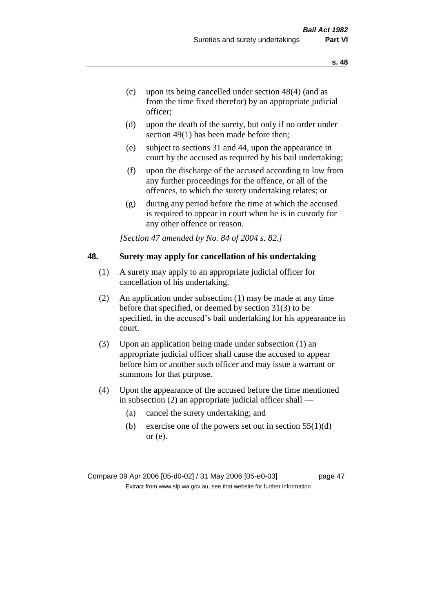- (c) upon its being cancelled under section 48(4) (and as from the time fixed therefor) by an appropriate judicial officer;
- (d) upon the death of the surety, but only if no order under section 49(1) has been made before then;
- (e) subject to sections 31 and 44, upon the appearance in court by the accused as required by his bail undertaking;
- (f) upon the discharge of the accused according to law from any further proceedings for the offence, or all of the offences, to which the surety undertaking relates; or
- (g) during any period before the time at which the accused is required to appear in court when he is in custody for any other offence or reason.

*[Section 47 amended by No. 84 of 2004 s. 82.]* 

#### **48. Surety may apply for cancellation of his undertaking**

- (1) A surety may apply to an appropriate judicial officer for cancellation of his undertaking.
- (2) An application under subsection (1) may be made at any time before that specified, or deemed by section 31(3) to be specified, in the accused's bail undertaking for his appearance in court.
- (3) Upon an application being made under subsection (1) an appropriate judicial officer shall cause the accused to appear before him or another such officer and may issue a warrant or summons for that purpose.
- (4) Upon the appearance of the accused before the time mentioned in subsection (2) an appropriate judicial officer shall —
	- (a) cancel the surety undertaking; and
	- (b) exercise one of the powers set out in section  $55(1)(d)$ or (e).

Compare 09 Apr 2006 [05-d0-02] / 31 May 2006 [05-e0-03] page 47 Extract from www.slp.wa.gov.au, see that website for further information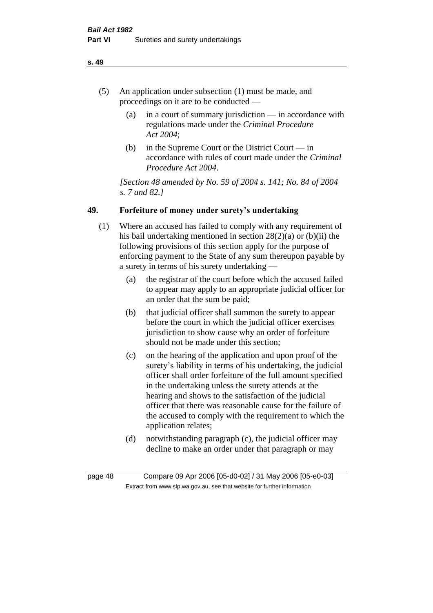- (5) An application under subsection (1) must be made, and proceedings on it are to be conducted —
	- (a) in a court of summary jurisdiction in accordance with regulations made under the *Criminal Procedure Act 2004*;
	- (b) in the Supreme Court or the District Court  $-\text{in}$ accordance with rules of court made under the *Criminal Procedure Act 2004*.

*[Section 48 amended by No. 59 of 2004 s. 141; No. 84 of 2004 s. 7 and 82.]* 

# **49. Forfeiture of money under surety's undertaking**

- (1) Where an accused has failed to comply with any requirement of his bail undertaking mentioned in section 28(2)(a) or (b)(ii) the following provisions of this section apply for the purpose of enforcing payment to the State of any sum thereupon payable by a surety in terms of his surety undertaking —
	- (a) the registrar of the court before which the accused failed to appear may apply to an appropriate judicial officer for an order that the sum be paid;
	- (b) that judicial officer shall summon the surety to appear before the court in which the judicial officer exercises jurisdiction to show cause why an order of forfeiture should not be made under this section;
	- (c) on the hearing of the application and upon proof of the surety's liability in terms of his undertaking, the judicial officer shall order forfeiture of the full amount specified in the undertaking unless the surety attends at the hearing and shows to the satisfaction of the judicial officer that there was reasonable cause for the failure of the accused to comply with the requirement to which the application relates;
	- (d) notwithstanding paragraph (c), the judicial officer may decline to make an order under that paragraph or may

page 48 Compare 09 Apr 2006 [05-d0-02] / 31 May 2006 [05-e0-03] Extract from www.slp.wa.gov.au, see that website for further information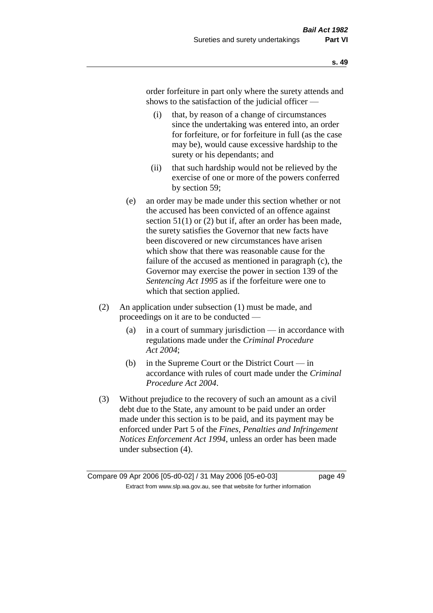order forfeiture in part only where the surety attends and shows to the satisfaction of the judicial officer —

- (i) that, by reason of a change of circumstances since the undertaking was entered into, an order for forfeiture, or for forfeiture in full (as the case may be), would cause excessive hardship to the surety or his dependants; and
- (ii) that such hardship would not be relieved by the exercise of one or more of the powers conferred by section 59;
- (e) an order may be made under this section whether or not the accused has been convicted of an offence against section 51(1) or (2) but if, after an order has been made, the surety satisfies the Governor that new facts have been discovered or new circumstances have arisen which show that there was reasonable cause for the failure of the accused as mentioned in paragraph (c), the Governor may exercise the power in section 139 of the *Sentencing Act 1995* as if the forfeiture were one to which that section applied.
- (2) An application under subsection (1) must be made, and proceedings on it are to be conducted —
	- (a) in a court of summary jurisdiction in accordance with regulations made under the *Criminal Procedure Act 2004*;
	- (b) in the Supreme Court or the District Court in accordance with rules of court made under the *Criminal Procedure Act 2004*.
- (3) Without prejudice to the recovery of such an amount as a civil debt due to the State, any amount to be paid under an order made under this section is to be paid, and its payment may be enforced under Part 5 of the *Fines, Penalties and Infringement Notices Enforcement Act 1994*, unless an order has been made under subsection (4).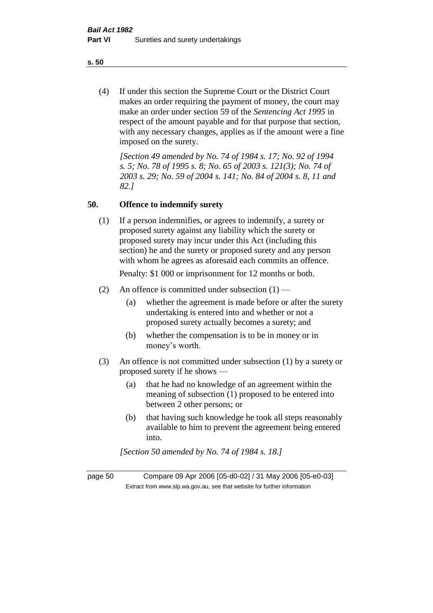(4) If under this section the Supreme Court or the District Court makes an order requiring the payment of money, the court may make an order under section 59 of the *Sentencing Act 1995* in respect of the amount payable and for that purpose that section, with any necessary changes, applies as if the amount were a fine imposed on the surety.

*[Section 49 amended by No. 74 of 1984 s. 17; No. 92 of 1994 s. 5; No. 78 of 1995 s. 8; No. 65 of 2003 s. 121(3); No. 74 of 2003 s. 29; No. 59 of 2004 s. 141; No. 84 of 2004 s. 8, 11 and 82.]* 

#### **50. Offence to indemnify surety**

(1) If a person indemnifies, or agrees to indemnify, a surety or proposed surety against any liability which the surety or proposed surety may incur under this Act (including this section) he and the surety or proposed surety and any person with whom he agrees as aforesaid each commits an offence.

Penalty: \$1 000 or imprisonment for 12 months or both.

- (2) An offence is committed under subsection  $(1)$ 
	- (a) whether the agreement is made before or after the surety undertaking is entered into and whether or not a proposed surety actually becomes a surety; and
	- (b) whether the compensation is to be in money or in money's worth.
- (3) An offence is not committed under subsection (1) by a surety or proposed surety if he shows —
	- (a) that he had no knowledge of an agreement within the meaning of subsection (1) proposed to be entered into between 2 other persons; or
	- (b) that having such knowledge he took all steps reasonably available to him to prevent the agreement being entered into.

*[Section 50 amended by No. 74 of 1984 s. 18.]* 

page 50 Compare 09 Apr 2006 [05-d0-02] / 31 May 2006 [05-e0-03] Extract from www.slp.wa.gov.au, see that website for further information

**s. 50**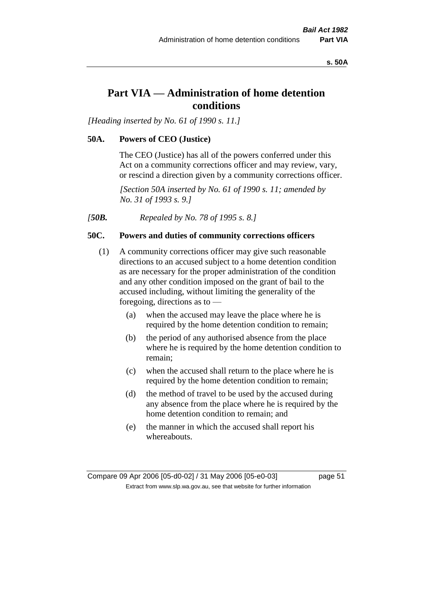**s. 50A**

# **Part VIA — Administration of home detention conditions**

*[Heading inserted by No. 61 of 1990 s. 11.]* 

#### **50A. Powers of CEO (Justice)**

The CEO (Justice) has all of the powers conferred under this Act on a community corrections officer and may review, vary, or rescind a direction given by a community corrections officer.

*[Section 50A inserted by No. 61 of 1990 s. 11; amended by No. 31 of 1993 s. 9.]* 

*[50B. Repealed by No. 78 of 1995 s. 8.]* 

# **50C. Powers and duties of community corrections officers**

- (1) A community corrections officer may give such reasonable directions to an accused subject to a home detention condition as are necessary for the proper administration of the condition and any other condition imposed on the grant of bail to the accused including, without limiting the generality of the foregoing, directions as to —
	- (a) when the accused may leave the place where he is required by the home detention condition to remain;
	- (b) the period of any authorised absence from the place where he is required by the home detention condition to remain;
	- (c) when the accused shall return to the place where he is required by the home detention condition to remain;
	- (d) the method of travel to be used by the accused during any absence from the place where he is required by the home detention condition to remain; and
	- (e) the manner in which the accused shall report his whereabouts.

Compare 09 Apr 2006 [05-d0-02] / 31 May 2006 [05-e0-03] page 51 Extract from www.slp.wa.gov.au, see that website for further information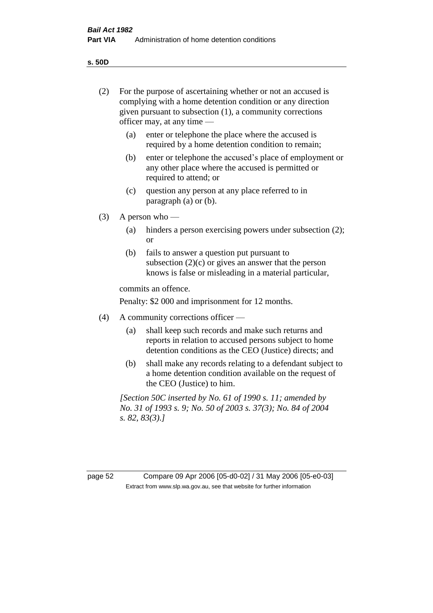**s. 50D**

| (2)     | For the purpose of ascertaining whether or not an accused is<br>complying with a home detention condition or any direction<br>given pursuant to subsection (1), a community corrections<br>officer may, at any time $-$ |                                                                                                                                                                       |  |  |
|---------|-------------------------------------------------------------------------------------------------------------------------------------------------------------------------------------------------------------------------|-----------------------------------------------------------------------------------------------------------------------------------------------------------------------|--|--|
|         | (a)                                                                                                                                                                                                                     | enter or telephone the place where the accused is<br>required by a home detention condition to remain;                                                                |  |  |
|         | (b)                                                                                                                                                                                                                     | enter or telephone the accused's place of employment or<br>any other place where the accused is permitted or<br>required to attend; or                                |  |  |
|         | (c)                                                                                                                                                                                                                     | question any person at any place referred to in<br>paragraph $(a)$ or $(b)$ .                                                                                         |  |  |
| (3)     | A person who $-$                                                                                                                                                                                                        |                                                                                                                                                                       |  |  |
|         | (a)                                                                                                                                                                                                                     | hinders a person exercising powers under subsection (2);<br><sub>or</sub>                                                                                             |  |  |
|         | (b)                                                                                                                                                                                                                     | fails to answer a question put pursuant to<br>subsection $(2)(c)$ or gives an answer that the person<br>knows is false or misleading in a material particular,        |  |  |
|         | commits an offence.                                                                                                                                                                                                     |                                                                                                                                                                       |  |  |
|         | Penalty: \$2 000 and imprisonment for 12 months.                                                                                                                                                                        |                                                                                                                                                                       |  |  |
| (4)     | A community corrections officer —                                                                                                                                                                                       |                                                                                                                                                                       |  |  |
|         | (a)                                                                                                                                                                                                                     | shall keep such records and make such returns and<br>reports in relation to accused persons subject to home<br>detention conditions as the CEO (Justice) directs; and |  |  |
|         | (b)                                                                                                                                                                                                                     | shall make any records relating to a defendant subject to<br>a home detention condition available on the request of<br>the CEO (Justice) to him.                      |  |  |
|         | [Section 50C inserted by No. 61 of 1990 s. 11; amended by<br>No. 31 of 1993 s. 9; No. 50 of 2003 s. 37(3); No. 84 of 2004<br>s. 82, 83(3).                                                                              |                                                                                                                                                                       |  |  |
|         |                                                                                                                                                                                                                         |                                                                                                                                                                       |  |  |
| page 52 |                                                                                                                                                                                                                         | Compare 09 Apr 2006 [05-d0-02] / 31 May 2006 [05-e0-03]                                                                                                               |  |  |
|         |                                                                                                                                                                                                                         | Extract from www.slp.wa.gov.au, see that website for further information                                                                                              |  |  |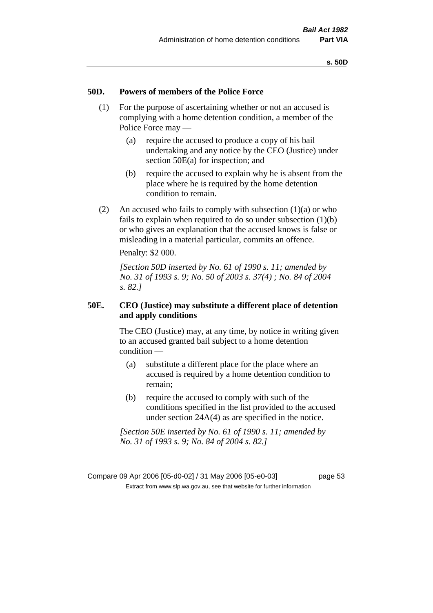#### **50D. Powers of members of the Police Force**

- (1) For the purpose of ascertaining whether or not an accused is complying with a home detention condition, a member of the Police Force may —
	- (a) require the accused to produce a copy of his bail undertaking and any notice by the CEO (Justice) under section 50E(a) for inspection; and
	- (b) require the accused to explain why he is absent from the place where he is required by the home detention condition to remain.
- (2) An accused who fails to comply with subsection  $(1)(a)$  or who fails to explain when required to do so under subsection (1)(b) or who gives an explanation that the accused knows is false or misleading in a material particular, commits an offence.

Penalty: \$2 000.

*[Section 50D inserted by No. 61 of 1990 s. 11; amended by No. 31 of 1993 s. 9; No. 50 of 2003 s. 37(4) ; No. 84 of 2004 s. 82.]* 

#### **50E. CEO (Justice) may substitute a different place of detention and apply conditions**

The CEO (Justice) may, at any time, by notice in writing given to an accused granted bail subject to a home detention condition —

- (a) substitute a different place for the place where an accused is required by a home detention condition to remain;
- (b) require the accused to comply with such of the conditions specified in the list provided to the accused under section 24A(4) as are specified in the notice.

*[Section 50E inserted by No. 61 of 1990 s. 11; amended by No. 31 of 1993 s. 9; No. 84 of 2004 s. 82.]* 

Compare 09 Apr 2006 [05-d0-02] / 31 May 2006 [05-e0-03] page 53 Extract from www.slp.wa.gov.au, see that website for further information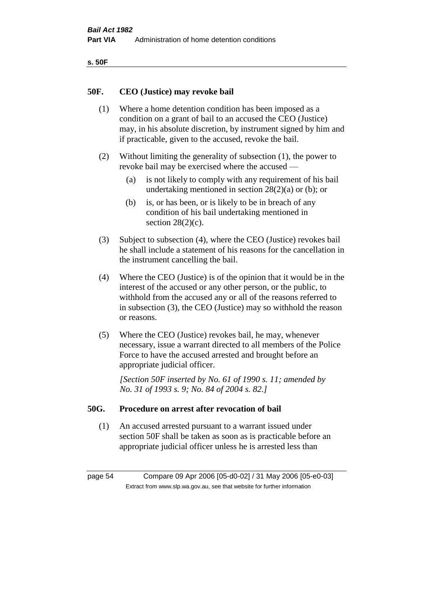| ۰.<br>×<br>-<br>۰.<br>× |  |
|-------------------------|--|
|-------------------------|--|

#### **50F. CEO (Justice) may revoke bail**

- (1) Where a home detention condition has been imposed as a condition on a grant of bail to an accused the CEO (Justice) may, in his absolute discretion, by instrument signed by him and if practicable, given to the accused, revoke the bail.
- (2) Without limiting the generality of subsection (1), the power to revoke bail may be exercised where the accused —
	- (a) is not likely to comply with any requirement of his bail undertaking mentioned in section  $28(2)(a)$  or (b); or
	- (b) is, or has been, or is likely to be in breach of any condition of his bail undertaking mentioned in section  $28(2)(c)$ .
- (3) Subject to subsection (4), where the CEO (Justice) revokes bail he shall include a statement of his reasons for the cancellation in the instrument cancelling the bail.
- (4) Where the CEO (Justice) is of the opinion that it would be in the interest of the accused or any other person, or the public, to withhold from the accused any or all of the reasons referred to in subsection (3), the CEO (Justice) may so withhold the reason or reasons.
- (5) Where the CEO (Justice) revokes bail, he may, whenever necessary, issue a warrant directed to all members of the Police Force to have the accused arrested and brought before an appropriate judicial officer.

*[Section 50F inserted by No. 61 of 1990 s. 11; amended by No. 31 of 1993 s. 9; No. 84 of 2004 s. 82.]* 

#### **50G. Procedure on arrest after revocation of bail**

(1) An accused arrested pursuant to a warrant issued under section 50F shall be taken as soon as is practicable before an appropriate judicial officer unless he is arrested less than

page 54 Compare 09 Apr 2006 [05-d0-02] / 31 May 2006 [05-e0-03] Extract from www.slp.wa.gov.au, see that website for further information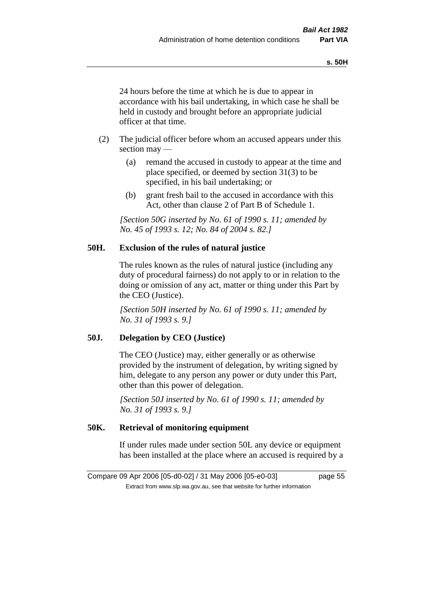24 hours before the time at which he is due to appear in accordance with his bail undertaking, in which case he shall be held in custody and brought before an appropriate judicial officer at that time.

- (2) The judicial officer before whom an accused appears under this section may —
	- (a) remand the accused in custody to appear at the time and place specified, or deemed by section 31(3) to be specified, in his bail undertaking; or
	- (b) grant fresh bail to the accused in accordance with this Act, other than clause 2 of Part B of Schedule 1.

*[Section 50G inserted by No. 61 of 1990 s. 11; amended by No. 45 of 1993 s. 12; No. 84 of 2004 s. 82.]* 

#### **50H. Exclusion of the rules of natural justice**

The rules known as the rules of natural justice (including any duty of procedural fairness) do not apply to or in relation to the doing or omission of any act, matter or thing under this Part by the CEO (Justice).

*[Section 50H inserted by No. 61 of 1990 s. 11; amended by No. 31 of 1993 s. 9.]* 

# **50J. Delegation by CEO (Justice)**

The CEO (Justice) may, either generally or as otherwise provided by the instrument of delegation, by writing signed by him, delegate to any person any power or duty under this Part, other than this power of delegation.

*[Section 50J inserted by No. 61 of 1990 s. 11; amended by No. 31 of 1993 s. 9.]* 

# **50K. Retrieval of monitoring equipment**

If under rules made under section 50L any device or equipment has been installed at the place where an accused is required by a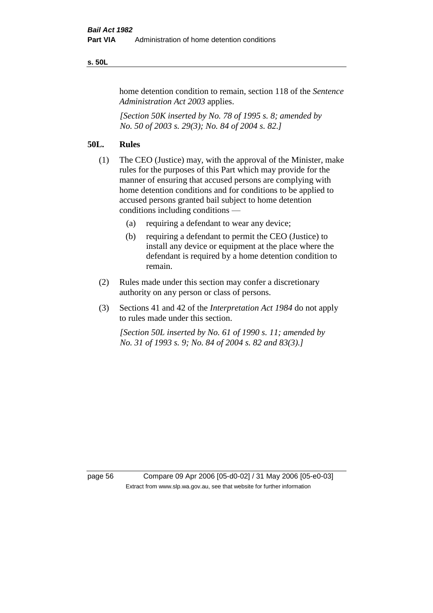#### **s. 50L**

home detention condition to remain, section 118 of the *Sentence Administration Act 2003* applies.

*[Section 50K inserted by No. 78 of 1995 s. 8; amended by No. 50 of 2003 s. 29(3); No. 84 of 2004 s. 82.]* 

## **50L. Rules**

- (1) The CEO (Justice) may, with the approval of the Minister, make rules for the purposes of this Part which may provide for the manner of ensuring that accused persons are complying with home detention conditions and for conditions to be applied to accused persons granted bail subject to home detention conditions including conditions —
	- (a) requiring a defendant to wear any device;
	- (b) requiring a defendant to permit the CEO (Justice) to install any device or equipment at the place where the defendant is required by a home detention condition to remain.
- (2) Rules made under this section may confer a discretionary authority on any person or class of persons.
- (3) Sections 41 and 42 of the *Interpretation Act 1984* do not apply to rules made under this section.

*[Section 50L inserted by No. 61 of 1990 s. 11; amended by No. 31 of 1993 s. 9; No. 84 of 2004 s. 82 and 83(3).]* 

page 56 Compare 09 Apr 2006 [05-d0-02] / 31 May 2006 [05-e0-03] Extract from www.slp.wa.gov.au, see that website for further information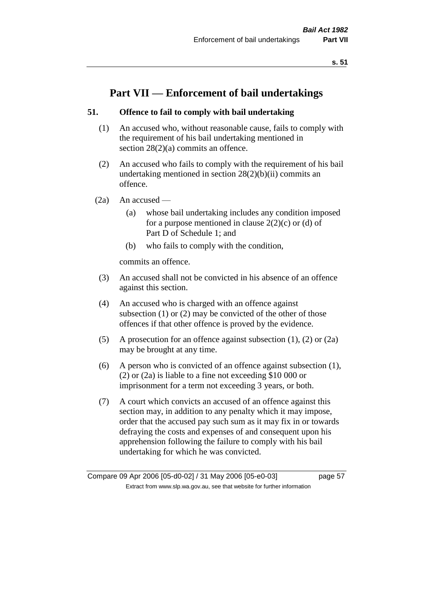# **Part VII — Enforcement of bail undertakings**

## **51. Offence to fail to comply with bail undertaking**

- (1) An accused who, without reasonable cause, fails to comply with the requirement of his bail undertaking mentioned in section 28(2)(a) commits an offence.
- (2) An accused who fails to comply with the requirement of his bail undertaking mentioned in section  $28(2)(b)(ii)$  commits an offence.
- $(2a)$  An accused
	- (a) whose bail undertaking includes any condition imposed for a purpose mentioned in clause  $2(2)(c)$  or (d) of Part D of Schedule 1; and
	- (b) who fails to comply with the condition,

commits an offence.

- (3) An accused shall not be convicted in his absence of an offence against this section.
- (4) An accused who is charged with an offence against subsection (1) or (2) may be convicted of the other of those offences if that other offence is proved by the evidence.
- (5) A prosecution for an offence against subsection (1), (2) or (2a) may be brought at any time.
- (6) A person who is convicted of an offence against subsection (1), (2) or (2a) is liable to a fine not exceeding \$10 000 or imprisonment for a term not exceeding 3 years, or both.
- (7) A court which convicts an accused of an offence against this section may, in addition to any penalty which it may impose, order that the accused pay such sum as it may fix in or towards defraying the costs and expenses of and consequent upon his apprehension following the failure to comply with his bail undertaking for which he was convicted.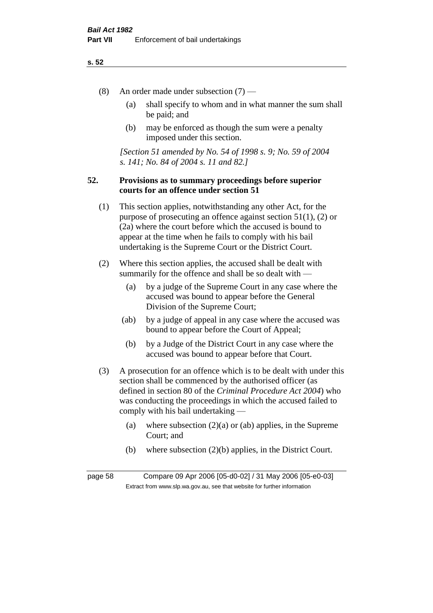- (8) An order made under subsection (7)
	- (a) shall specify to whom and in what manner the sum shall be paid; and
	- (b) may be enforced as though the sum were a penalty imposed under this section.

*[Section 51 amended by No. 54 of 1998 s. 9; No. 59 of 2004 s. 141; No. 84 of 2004 s. 11 and 82.]*

## **52. Provisions as to summary proceedings before superior courts for an offence under section 51**

- (1) This section applies, notwithstanding any other Act, for the purpose of prosecuting an offence against section 51(1), (2) or (2a) where the court before which the accused is bound to appear at the time when he fails to comply with his bail undertaking is the Supreme Court or the District Court.
- (2) Where this section applies, the accused shall be dealt with summarily for the offence and shall be so dealt with —
	- (a) by a judge of the Supreme Court in any case where the accused was bound to appear before the General Division of the Supreme Court;
	- (ab) by a judge of appeal in any case where the accused was bound to appear before the Court of Appeal;
	- (b) by a Judge of the District Court in any case where the accused was bound to appear before that Court.
- (3) A prosecution for an offence which is to be dealt with under this section shall be commenced by the authorised officer (as defined in section 80 of the *Criminal Procedure Act 2004*) who was conducting the proceedings in which the accused failed to comply with his bail undertaking —
	- (a) where subsection  $(2)(a)$  or (ab) applies, in the Supreme Court; and
	- (b) where subsection (2)(b) applies, in the District Court.

page 58 Compare 09 Apr 2006 [05-d0-02] / 31 May 2006 [05-e0-03] Extract from www.slp.wa.gov.au, see that website for further information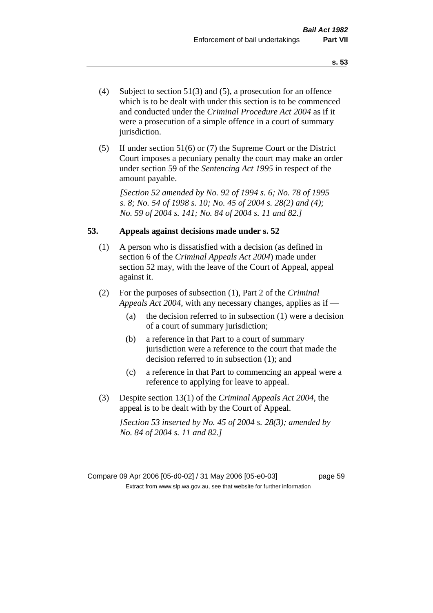- (4) Subject to section 51(3) and (5), a prosecution for an offence which is to be dealt with under this section is to be commenced and conducted under the *Criminal Procedure Act 2004* as if it were a prosecution of a simple offence in a court of summary jurisdiction.
- (5) If under section 51(6) or (7) the Supreme Court or the District Court imposes a pecuniary penalty the court may make an order under section 59 of the *Sentencing Act 1995* in respect of the amount payable.

*[Section 52 amended by No. 92 of 1994 s. 6; No. 78 of 1995 s. 8; No. 54 of 1998 s. 10; No. 45 of 2004 s. 28(2) and (4); No. 59 of 2004 s. 141; No. 84 of 2004 s. 11 and 82.]* 

#### **53. Appeals against decisions made under s. 52**

- (1) A person who is dissatisfied with a decision (as defined in section 6 of the *Criminal Appeals Act 2004*) made under section 52 may, with the leave of the Court of Appeal, appeal against it.
- (2) For the purposes of subsection (1), Part 2 of the *Criminal Appeals Act 2004*, with any necessary changes, applies as if —
	- (a) the decision referred to in subsection (1) were a decision of a court of summary jurisdiction;
	- (b) a reference in that Part to a court of summary jurisdiction were a reference to the court that made the decision referred to in subsection (1); and
	- (c) a reference in that Part to commencing an appeal were a reference to applying for leave to appeal.
- (3) Despite section 13(1) of the *Criminal Appeals Act 2004*, the appeal is to be dealt with by the Court of Appeal.

*[Section 53 inserted by No. 45 of 2004 s. 28(3); amended by No. 84 of 2004 s. 11 and 82.]*

Compare 09 Apr 2006 [05-d0-02] / 31 May 2006 [05-e0-03] page 59 Extract from www.slp.wa.gov.au, see that website for further information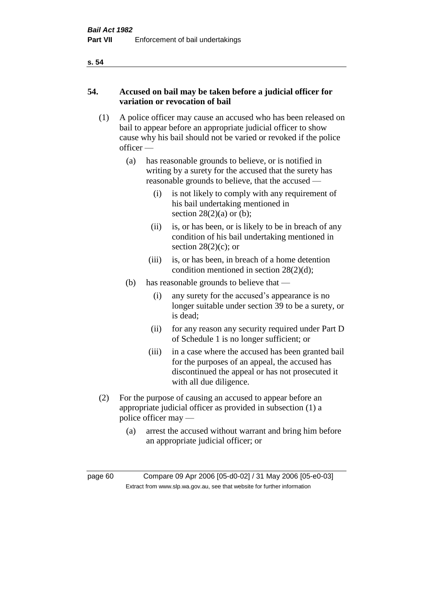# **54. Accused on bail may be taken before a judicial officer for variation or revocation of bail**

- (1) A police officer may cause an accused who has been released on bail to appear before an appropriate judicial officer to show cause why his bail should not be varied or revoked if the police officer —
	- (a) has reasonable grounds to believe, or is notified in writing by a surety for the accused that the surety has reasonable grounds to believe, that the accused —
		- (i) is not likely to comply with any requirement of his bail undertaking mentioned in section  $28(2)(a)$  or (b);
		- (ii) is, or has been, or is likely to be in breach of any condition of his bail undertaking mentioned in section  $28(2)(c)$ ; or
		- (iii) is, or has been, in breach of a home detention condition mentioned in section 28(2)(d);
	- (b) has reasonable grounds to believe that
		- (i) any surety for the accused's appearance is no longer suitable under section 39 to be a surety, or is dead;
		- (ii) for any reason any security required under Part D of Schedule 1 is no longer sufficient; or
		- (iii) in a case where the accused has been granted bail for the purposes of an appeal, the accused has discontinued the appeal or has not prosecuted it with all due diligence.
- (2) For the purpose of causing an accused to appear before an appropriate judicial officer as provided in subsection (1) a police officer may —
	- (a) arrest the accused without warrant and bring him before an appropriate judicial officer; or

page 60 Compare 09 Apr 2006 [05-d0-02] / 31 May 2006 [05-e0-03] Extract from www.slp.wa.gov.au, see that website for further information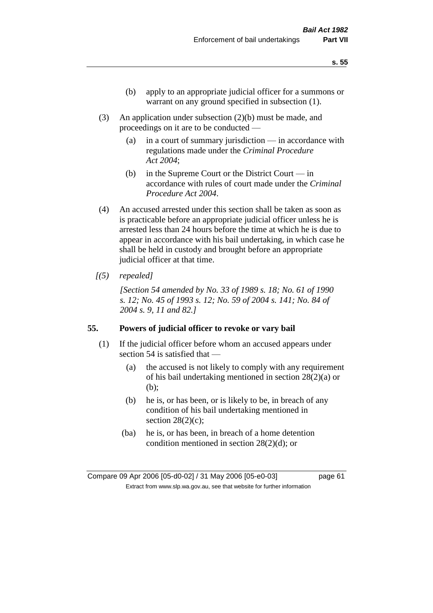- (b) apply to an appropriate judicial officer for a summons or warrant on any ground specified in subsection (1).
- (3) An application under subsection (2)(b) must be made, and proceedings on it are to be conducted —
	- (a) in a court of summary jurisdiction in accordance with regulations made under the *Criminal Procedure Act 2004*;
	- (b) in the Supreme Court or the District Court  $-\text{in}$ accordance with rules of court made under the *Criminal Procedure Act 2004*.
- (4) An accused arrested under this section shall be taken as soon as is practicable before an appropriate judicial officer unless he is arrested less than 24 hours before the time at which he is due to appear in accordance with his bail undertaking, in which case he shall be held in custody and brought before an appropriate judicial officer at that time.
- *[(5) repealed]*

*[Section 54 amended by No. 33 of 1989 s. 18; No. 61 of 1990 s. 12; No. 45 of 1993 s. 12; No. 59 of 2004 s. 141; No. 84 of 2004 s. 9, 11 and 82.]* 

#### **55. Powers of judicial officer to revoke or vary bail**

- (1) If the judicial officer before whom an accused appears under section 54 is satisfied that —
	- (a) the accused is not likely to comply with any requirement of his bail undertaking mentioned in section 28(2)(a) or (b);
	- (b) he is, or has been, or is likely to be, in breach of any condition of his bail undertaking mentioned in section  $28(2)(c)$ ;
	- (ba) he is, or has been, in breach of a home detention condition mentioned in section 28(2)(d); or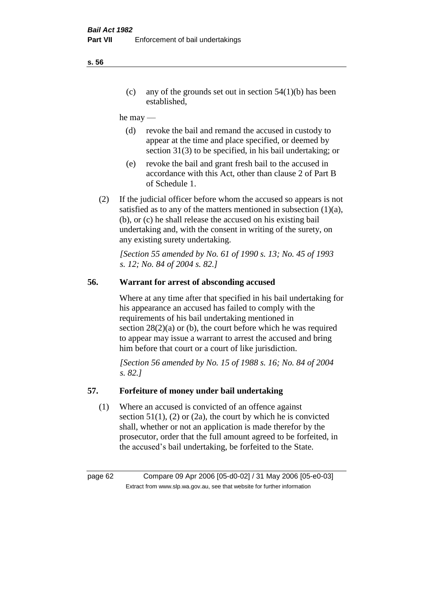(c) any of the grounds set out in section  $54(1)(b)$  has been established,

#### he may —

- (d) revoke the bail and remand the accused in custody to appear at the time and place specified, or deemed by section 31(3) to be specified, in his bail undertaking; or
- (e) revoke the bail and grant fresh bail to the accused in accordance with this Act, other than clause 2 of Part B of Schedule 1.
- (2) If the judicial officer before whom the accused so appears is not satisfied as to any of the matters mentioned in subsection (1)(a), (b), or (c) he shall release the accused on his existing bail undertaking and, with the consent in writing of the surety, on any existing surety undertaking.

*[Section 55 amended by No. 61 of 1990 s. 13; No. 45 of 1993 s. 12; No. 84 of 2004 s. 82.]* 

# **56. Warrant for arrest of absconding accused**

Where at any time after that specified in his bail undertaking for his appearance an accused has failed to comply with the requirements of his bail undertaking mentioned in section  $28(2)(a)$  or (b), the court before which he was required to appear may issue a warrant to arrest the accused and bring him before that court or a court of like jurisdiction.

*[Section 56 amended by No. 15 of 1988 s. 16; No. 84 of 2004 s. 82.]* 

#### **57. Forfeiture of money under bail undertaking**

(1) Where an accused is convicted of an offence against section  $51(1)$ , (2) or (2a), the court by which he is convicted shall, whether or not an application is made therefor by the prosecutor, order that the full amount agreed to be forfeited, in the accused's bail undertaking, be forfeited to the State.

page 62 Compare 09 Apr 2006 [05-d0-02] / 31 May 2006 [05-e0-03] Extract from www.slp.wa.gov.au, see that website for further information

**s. 56**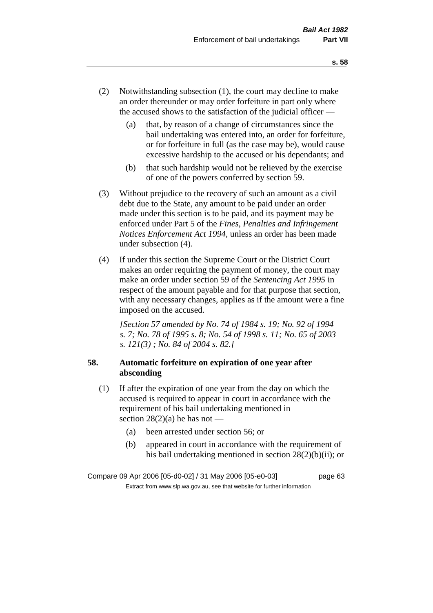- (2) Notwithstanding subsection (1), the court may decline to make an order thereunder or may order forfeiture in part only where the accused shows to the satisfaction of the judicial officer —
	- (a) that, by reason of a change of circumstances since the bail undertaking was entered into, an order for forfeiture, or for forfeiture in full (as the case may be), would cause excessive hardship to the accused or his dependants; and
	- (b) that such hardship would not be relieved by the exercise of one of the powers conferred by section 59.
- (3) Without prejudice to the recovery of such an amount as a civil debt due to the State, any amount to be paid under an order made under this section is to be paid, and its payment may be enforced under Part 5 of the *Fines, Penalties and Infringement Notices Enforcement Act 1994*, unless an order has been made under subsection (4).
- (4) If under this section the Supreme Court or the District Court makes an order requiring the payment of money, the court may make an order under section 59 of the *Sentencing Act 1995* in respect of the amount payable and for that purpose that section, with any necessary changes, applies as if the amount were a fine imposed on the accused.

*[Section 57 amended by No. 74 of 1984 s. 19; No. 92 of 1994 s. 7; No. 78 of 1995 s. 8; No. 54 of 1998 s. 11; No. 65 of 2003 s. 121(3) ; No. 84 of 2004 s. 82.]* 

# **58. Automatic forfeiture on expiration of one year after absconding**

- (1) If after the expiration of one year from the day on which the accused is required to appear in court in accordance with the requirement of his bail undertaking mentioned in section  $28(2)(a)$  he has not —
	- (a) been arrested under section 56; or
	- (b) appeared in court in accordance with the requirement of his bail undertaking mentioned in section 28(2)(b)(ii); or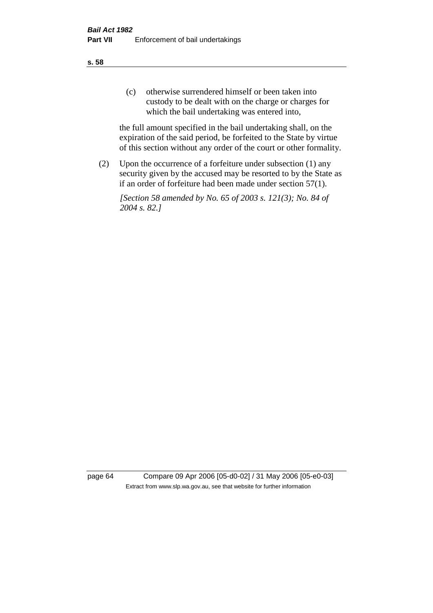(c) otherwise surrendered himself or been taken into custody to be dealt with on the charge or charges for which the bail undertaking was entered into,

the full amount specified in the bail undertaking shall, on the expiration of the said period, be forfeited to the State by virtue of this section without any order of the court or other formality.

(2) Upon the occurrence of a forfeiture under subsection (1) any security given by the accused may be resorted to by the State as if an order of forfeiture had been made under section 57(1).

*[Section 58 amended by No. 65 of 2003 s. 121(3); No. 84 of 2004 s. 82.]*

page 64 Compare 09 Apr 2006 [05-d0-02] / 31 May 2006 [05-e0-03] Extract from www.slp.wa.gov.au, see that website for further information

**s. 58**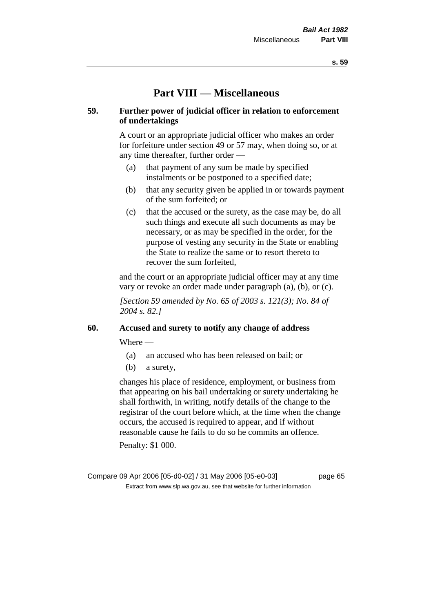# **Part VIII — Miscellaneous**

### **59. Further power of judicial officer in relation to enforcement of undertakings**

A court or an appropriate judicial officer who makes an order for forfeiture under section 49 or 57 may, when doing so, or at any time thereafter, further order —

- (a) that payment of any sum be made by specified instalments or be postponed to a specified date;
- (b) that any security given be applied in or towards payment of the sum forfeited; or
- (c) that the accused or the surety, as the case may be, do all such things and execute all such documents as may be necessary, or as may be specified in the order, for the purpose of vesting any security in the State or enabling the State to realize the same or to resort thereto to recover the sum forfeited,

and the court or an appropriate judicial officer may at any time vary or revoke an order made under paragraph (a), (b), or (c).

*[Section 59 amended by No. 65 of 2003 s. 121(3); No. 84 of 2004 s. 82.]*

#### **60. Accused and surety to notify any change of address**

Where —

- (a) an accused who has been released on bail; or
- (b) a surety,

changes his place of residence, employment, or business from that appearing on his bail undertaking or surety undertaking he shall forthwith, in writing, notify details of the change to the registrar of the court before which, at the time when the change occurs, the accused is required to appear, and if without reasonable cause he fails to do so he commits an offence.

Penalty: \$1 000.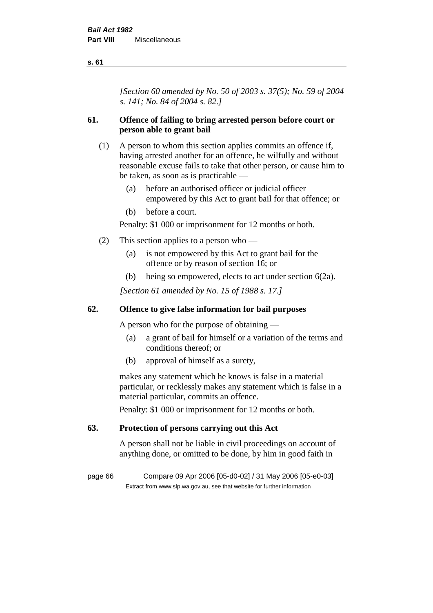*[Section 60 amended by No. 50 of 2003 s. 37(5); No. 59 of 2004 s. 141; No. 84 of 2004 s. 82.]*

# **61. Offence of failing to bring arrested person before court or person able to grant bail**

- (1) A person to whom this section applies commits an offence if, having arrested another for an offence, he wilfully and without reasonable excuse fails to take that other person, or cause him to be taken, as soon as is practicable —
	- (a) before an authorised officer or judicial officer empowered by this Act to grant bail for that offence; or
	- (b) before a court.

Penalty: \$1 000 or imprisonment for 12 months or both.

- (2) This section applies to a person who
	- (a) is not empowered by this Act to grant bail for the offence or by reason of section 16; or
	- (b) being so empowered, elects to act under section 6(2a).

*[Section 61 amended by No. 15 of 1988 s. 17.]* 

## **62. Offence to give false information for bail purposes**

A person who for the purpose of obtaining —

- (a) a grant of bail for himself or a variation of the terms and conditions thereof; or
- (b) approval of himself as a surety,

makes any statement which he knows is false in a material particular, or recklessly makes any statement which is false in a material particular, commits an offence.

Penalty: \$1 000 or imprisonment for 12 months or both.

#### **63. Protection of persons carrying out this Act**

A person shall not be liable in civil proceedings on account of anything done, or omitted to be done, by him in good faith in

page 66 Compare 09 Apr 2006 [05-d0-02] / 31 May 2006 [05-e0-03] Extract from www.slp.wa.gov.au, see that website for further information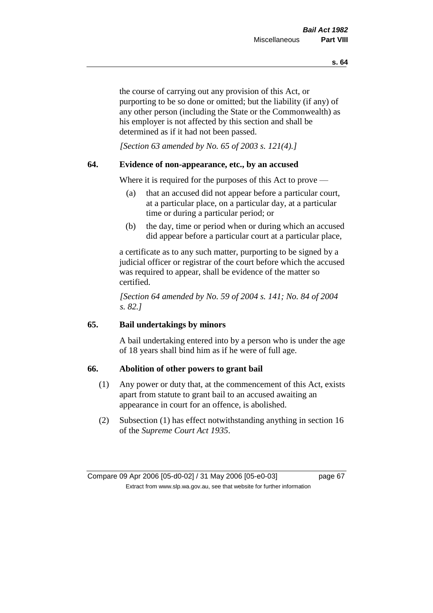the course of carrying out any provision of this Act, or purporting to be so done or omitted; but the liability (if any) of any other person (including the State or the Commonwealth) as his employer is not affected by this section and shall be determined as if it had not been passed.

*[Section 63 amended by No. 65 of 2003 s. 121(4).]*

#### **64. Evidence of non-appearance, etc., by an accused**

Where it is required for the purposes of this Act to prove —

- (a) that an accused did not appear before a particular court, at a particular place, on a particular day, at a particular time or during a particular period; or
- (b) the day, time or period when or during which an accused did appear before a particular court at a particular place,

a certificate as to any such matter, purporting to be signed by a judicial officer or registrar of the court before which the accused was required to appear, shall be evidence of the matter so certified.

*[Section 64 amended by No. 59 of 2004 s. 141; No. 84 of 2004 s. 82.]* 

## **65. Bail undertakings by minors**

A bail undertaking entered into by a person who is under the age of 18 years shall bind him as if he were of full age.

#### **66. Abolition of other powers to grant bail**

- (1) Any power or duty that, at the commencement of this Act, exists apart from statute to grant bail to an accused awaiting an appearance in court for an offence, is abolished.
- (2) Subsection (1) has effect notwithstanding anything in section 16 of the *Supreme Court Act 1935*.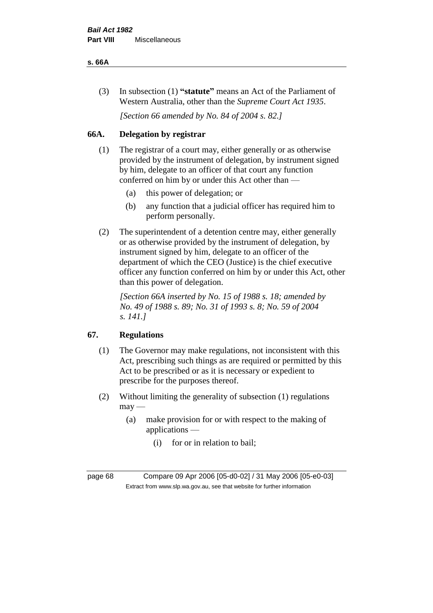#### **s. 66A**

(3) In subsection (1) **"statute"** means an Act of the Parliament of Western Australia, other than the *Supreme Court Act 1935*.

*[Section 66 amended by No. 84 of 2004 s. 82.]*

# **66A. Delegation by registrar**

- (1) The registrar of a court may, either generally or as otherwise provided by the instrument of delegation, by instrument signed by him, delegate to an officer of that court any function conferred on him by or under this Act other than —
	- (a) this power of delegation; or
	- (b) any function that a judicial officer has required him to perform personally.
- (2) The superintendent of a detention centre may, either generally or as otherwise provided by the instrument of delegation, by instrument signed by him, delegate to an officer of the department of which the CEO (Justice) is the chief executive officer any function conferred on him by or under this Act, other than this power of delegation.

*[Section 66A inserted by No. 15 of 1988 s. 18; amended by No. 49 of 1988 s. 89; No. 31 of 1993 s. 8; No. 59 of 2004 s. 141.]* 

#### **67. Regulations**

- (1) The Governor may make regulations, not inconsistent with this Act, prescribing such things as are required or permitted by this Act to be prescribed or as it is necessary or expedient to prescribe for the purposes thereof.
- (2) Without limiting the generality of subsection (1) regulations  $may -$ 
	- (a) make provision for or with respect to the making of applications —
		- (i) for or in relation to bail;

page 68 Compare 09 Apr 2006 [05-d0-02] / 31 May 2006 [05-e0-03] Extract from www.slp.wa.gov.au, see that website for further information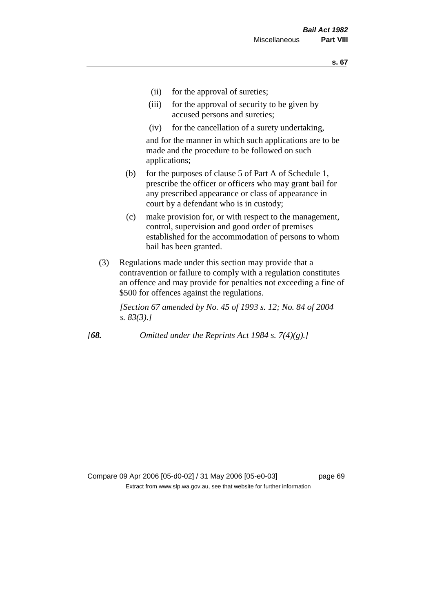- (ii) for the approval of sureties;
- (iii) for the approval of security to be given by accused persons and sureties;
- (iv) for the cancellation of a surety undertaking,

and for the manner in which such applications are to be made and the procedure to be followed on such applications;

- (b) for the purposes of clause 5 of Part A of Schedule 1, prescribe the officer or officers who may grant bail for any prescribed appearance or class of appearance in court by a defendant who is in custody;
- (c) make provision for, or with respect to the management, control, supervision and good order of premises established for the accommodation of persons to whom bail has been granted.
- (3) Regulations made under this section may provide that a contravention or failure to comply with a regulation constitutes an offence and may provide for penalties not exceeding a fine of \$500 for offences against the regulations.

*[Section 67 amended by No. 45 of 1993 s. 12; No. 84 of 2004 s. 83(3).]*

*[68. Omitted under the Reprints Act 1984 s. 7(4)(g).]*

Compare 09 Apr 2006 [05-d0-02] / 31 May 2006 [05-e0-03] page 69 Extract from www.slp.wa.gov.au, see that website for further information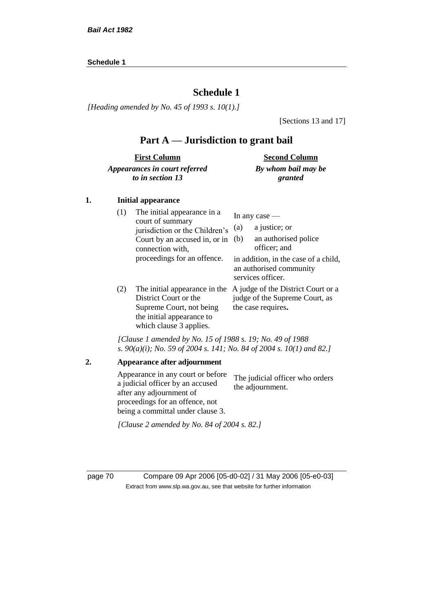#### **Schedule 1**

# **Schedule 1**

*[Heading amended by No. 45 of 1993 s. 10(1).]*

[Sections 13 and 17]

# **Part A — Jurisdiction to grant bail**

| <b>First Column</b>           | <b>Second Column</b> |
|-------------------------------|----------------------|
| Appearances in court referred | By whom bail may be  |
| to in section 13              | granted              |

#### **1. Initial appearance**

| (1) | The initial appearance in a<br>court of summary<br>jurisdiction or the Children's<br>Court by an accused in, or in<br>connection with,<br>proceedings for an offence. | In any case $-$<br>a justice; or<br>(a)<br>an authorised police<br>(b)<br>officer; and<br>in addition, in the case of a child,<br>an authorised community<br>services officer. |
|-----|-----------------------------------------------------------------------------------------------------------------------------------------------------------------------|--------------------------------------------------------------------------------------------------------------------------------------------------------------------------------|
| (2) | The initial appearance in the<br>District Court or the<br>Supreme Court, not being<br>the initial appearance to<br>which clause 3 applies.                            | A judge of the District Court or a<br>judge of the Supreme Court, as<br>the case requires.                                                                                     |

*[Clause 1 amended by No. 15 of 1988 s. 19; No. 49 of 1988 s. 90(a)(i); No. 59 of 2004 s. 141; No. 84 of 2004 s. 10(1) and 82.]*

```
2. Appearance after adjournment
Appearance in any court or before 
a judicial officer by an accused 
after any adjournment of 
proceedings for an offence, not 
being a committal under clause 3.
                                   The judicial officer who orders 
                                   the adjournment.
[Clause 2 amended by No. 84 of 2004 s. 82.]
```
page 70 Compare 09 Apr 2006 [05-d0-02] / 31 May 2006 [05-e0-03] Extract from www.slp.wa.gov.au, see that website for further information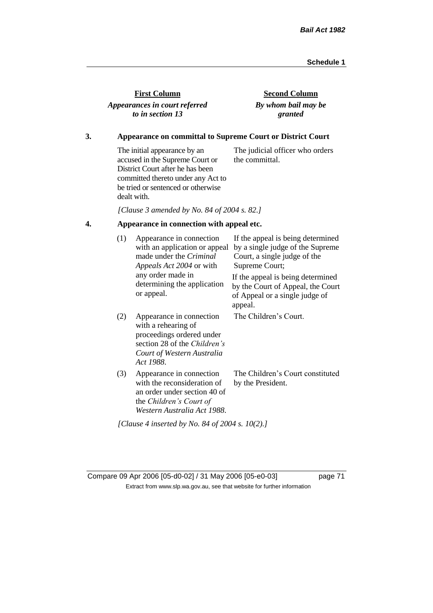| <b>First Column</b>           |
|-------------------------------|
| Appearances in court referred |
| to in section 13              |

**Second Column** *By whom bail may be granted*

## **3. Appearance on committal to Supreme Court or District Court**

The initial appearance by an accused in the Supreme Court or District Court after he has been committed thereto under any Act to be tried or sentenced or otherwise dealt with. The judicial officer who orders the committal.

*[Clause 3 amended by No. 84 of 2004 s. 82.]*

## **4. Appearance in connection with appeal etc.**

| (1) | Appearance in connection<br>with an application or appeal<br>made under the <i>Criminal</i><br><i>Appeals Act 2004</i> or with                          | If the appeal is being determined<br>by a single judge of the Supreme<br>Court, a single judge of the<br>Supreme Court; |
|-----|---------------------------------------------------------------------------------------------------------------------------------------------------------|-------------------------------------------------------------------------------------------------------------------------|
|     | any order made in<br>determining the application<br>or appeal.                                                                                          | If the appeal is being determined<br>by the Court of Appeal, the Court<br>of Appeal or a single judge of<br>appeal.     |
| (2) | Appearance in connection<br>with a rehearing of<br>proceedings ordered under<br>section 28 of the Children's<br>Court of Western Australia<br>Act 1988. | The Children's Court.                                                                                                   |
| (3) | Appearance in connection<br>with the reconsideration of<br>an order under section 40 of<br>the Children's Court of<br>Western Australia Act 1988.       | The Children's Court constituted<br>by the President.                                                                   |
|     | [Clause 4 inserted by No. 84 of 2004 s. 10(2).]                                                                                                         |                                                                                                                         |

Compare 09 Apr 2006 [05-d0-02] / 31 May 2006 [05-e0-03] page 71 Extract from www.slp.wa.gov.au, see that website for further information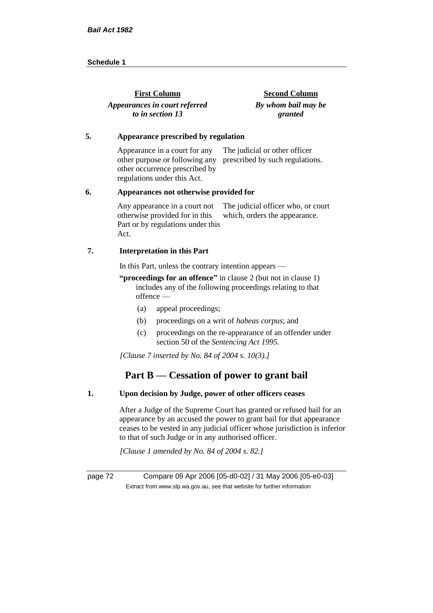| <b>First Column</b>           | <b>Second Column</b> |
|-------------------------------|----------------------|
| Appearances in court referred | By whom bail may be  |
| to in section 13              | granted              |

#### **5. Appearance prescribed by regulation**

Appearance in a court for any other purpose or following any prescribed by such regulations. other occurrence prescribed by regulations under this Act. The judicial or other officer

#### **6. Appearances not otherwise provided for**

Any appearance in a court not otherwise provided for in this Part or by regulations under this Act. The judicial officer who, or court which, orders the appearance.

#### **7. Interpretation in this Part**

In this Part, unless the contrary intention appears —

**"proceedings for an offence"** in clause 2 (but not in clause 1) includes any of the following proceedings relating to that offence —

- (a) appeal proceedings;
- (b) proceedings on a writ of *habeas corpus*; and
- (c) proceedings on the re-appearance of an offender under section 50 of the *Sentencing Act 1995*.

*[Clause 7 inserted by No. 84 of 2004 s. 10(3).]*

# **Part B — Cessation of power to grant bail**

#### **1. Upon decision by Judge, power of other officers ceases**

After a Judge of the Supreme Court has granted or refused bail for an appearance by an accused the power to grant bail for that appearance ceases to be vested in any judicial officer whose jurisdiction is inferior to that of such Judge or in any authorised officer.

*[Clause 1 amended by No. 84 of 2004 s. 82.]*

page 72 Compare 09 Apr 2006 [05-d0-02] / 31 May 2006 [05-e0-03] Extract from www.slp.wa.gov.au, see that website for further information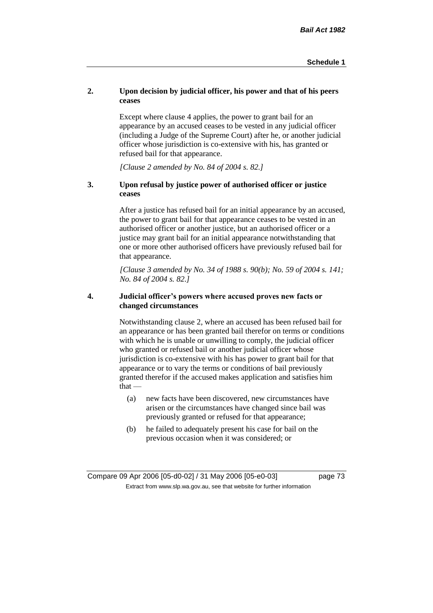## **2. Upon decision by judicial officer, his power and that of his peers ceases**

Except where clause 4 applies, the power to grant bail for an appearance by an accused ceases to be vested in any judicial officer (including a Judge of the Supreme Court) after he, or another judicial officer whose jurisdiction is co-extensive with his, has granted or refused bail for that appearance.

*[Clause 2 amended by No. 84 of 2004 s. 82.]*

#### **3. Upon refusal by justice power of authorised officer or justice ceases**

After a justice has refused bail for an initial appearance by an accused, the power to grant bail for that appearance ceases to be vested in an authorised officer or another justice, but an authorised officer or a justice may grant bail for an initial appearance notwithstanding that one or more other authorised officers have previously refused bail for that appearance.

*[Clause 3 amended by No. 34 of 1988 s. 90(b); No. 59 of 2004 s. 141; No. 84 of 2004 s. 82.]*

#### **4. Judicial officer's powers where accused proves new facts or changed circumstances**

Notwithstanding clause 2, where an accused has been refused bail for an appearance or has been granted bail therefor on terms or conditions with which he is unable or unwilling to comply, the judicial officer who granted or refused bail or another judicial officer whose jurisdiction is co-extensive with his has power to grant bail for that appearance or to vary the terms or conditions of bail previously granted therefor if the accused makes application and satisfies him  $that -$ 

- (a) new facts have been discovered, new circumstances have arisen or the circumstances have changed since bail was previously granted or refused for that appearance;
- (b) he failed to adequately present his case for bail on the previous occasion when it was considered; or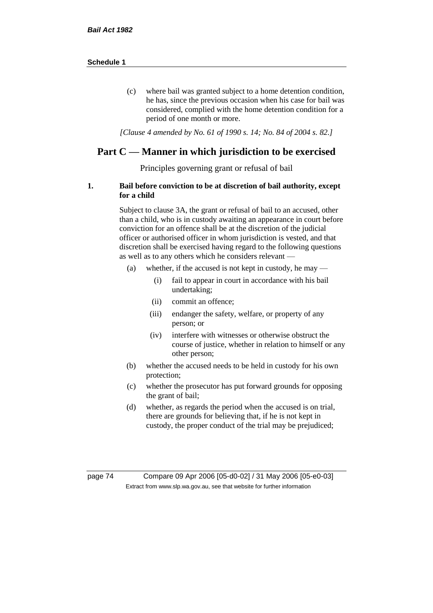(c) where bail was granted subject to a home detention condition, he has, since the previous occasion when his case for bail was considered, complied with the home detention condition for a period of one month or more.

*[Clause 4 amended by No. 61 of 1990 s. 14; No. 84 of 2004 s. 82.]*

# **Part C — Manner in which jurisdiction to be exercised**

Principles governing grant or refusal of bail

#### **1. Bail before conviction to be at discretion of bail authority, except for a child**

Subject to clause 3A, the grant or refusal of bail to an accused, other than a child, who is in custody awaiting an appearance in court before conviction for an offence shall be at the discretion of the judicial officer or authorised officer in whom jurisdiction is vested, and that discretion shall be exercised having regard to the following questions as well as to any others which he considers relevant —

- (a) whether, if the accused is not kept in custody, he may
	- (i) fail to appear in court in accordance with his bail undertaking;
	- (ii) commit an offence;
	- (iii) endanger the safety, welfare, or property of any person; or
	- (iv) interfere with witnesses or otherwise obstruct the course of justice, whether in relation to himself or any other person;
- (b) whether the accused needs to be held in custody for his own protection;
- (c) whether the prosecutor has put forward grounds for opposing the grant of bail;
- (d) whether, as regards the period when the accused is on trial, there are grounds for believing that, if he is not kept in custody, the proper conduct of the trial may be prejudiced;

page 74 Compare 09 Apr 2006 [05-d0-02] / 31 May 2006 [05-e0-03] Extract from www.slp.wa.gov.au, see that website for further information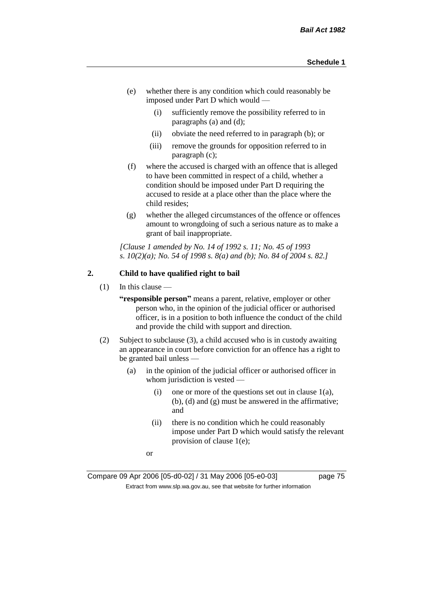- (e) whether there is any condition which could reasonably be imposed under Part D which would —
	- (i) sufficiently remove the possibility referred to in paragraphs (a) and (d);
	- (ii) obviate the need referred to in paragraph (b); or
	- (iii) remove the grounds for opposition referred to in paragraph (c);
- (f) where the accused is charged with an offence that is alleged to have been committed in respect of a child, whether a condition should be imposed under Part D requiring the accused to reside at a place other than the place where the child resides;
- (g) whether the alleged circumstances of the offence or offences amount to wrongdoing of such a serious nature as to make a grant of bail inappropriate.

*[Clause 1 amended by No. 14 of 1992 s. 11; No. 45 of 1993 s. 10(2)(a); No. 54 of 1998 s. 8(a) and (b); No. 84 of 2004 s. 82.]*

## **2. Child to have qualified right to bail**

 $(1)$  In this clause —

**"responsible person"** means a parent, relative, employer or other person who, in the opinion of the judicial officer or authorised officer, is in a position to both influence the conduct of the child and provide the child with support and direction.

- (2) Subject to subclause (3), a child accused who is in custody awaiting an appearance in court before conviction for an offence has a right to be granted bail unless —
	- (a) in the opinion of the judicial officer or authorised officer in whom jurisdiction is vested —
		- (i) one or more of the questions set out in clause  $1(a)$ , (b), (d) and (g) must be answered in the affirmative; and
		- (ii) there is no condition which he could reasonably impose under Part D which would satisfy the relevant provision of clause 1(e);
		- or

Compare 09 Apr 2006 [05-d0-02] / 31 May 2006 [05-e0-03] page 75 Extract from www.slp.wa.gov.au, see that website for further information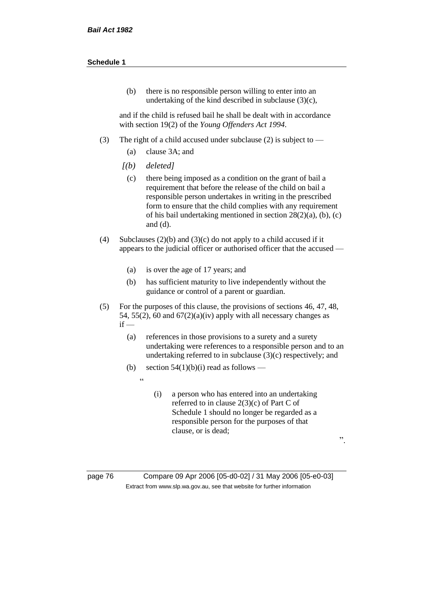(b) there is no responsible person willing to enter into an undertaking of the kind described in subclause (3)(c),

and if the child is refused bail he shall be dealt with in accordance with section 19(2) of the *Young Offenders Act 1994*.

- (3) The right of a child accused under subclause (2) is subject to
	- (a) clause 3A; and
	- *[(b) deleted]*

 $\overline{a}$ 

- (c) there being imposed as a condition on the grant of bail a requirement that before the release of the child on bail a responsible person undertakes in writing in the prescribed form to ensure that the child complies with any requirement of his bail undertaking mentioned in section 28(2)(a), (b), (c) and (d).
- (4) Subclauses (2)(b) and (3)(c) do not apply to a child accused if it appears to the judicial officer or authorised officer that the accused —
	- (a) is over the age of 17 years; and
	- (b) has sufficient maturity to live independently without the guidance or control of a parent or guardian.
- (5) For the purposes of this clause, the provisions of sections 46, 47, 48, 54, 55(2), 60 and  $67(2)(a)(iv)$  apply with all necessary changes as  $if -$ 
	- (a) references in those provisions to a surety and a surety undertaking were references to a responsible person and to an undertaking referred to in subclause (3)(c) respectively; and
	- (b) section  $54(1)(b)(i)$  read as follows
		- (i) a person who has entered into an undertaking referred to in clause 2(3)(c) of Part C of Schedule 1 should no longer be regarded as a responsible person for the purposes of that clause, or is dead;

".

page 76 Compare 09 Apr 2006 [05-d0-02] / 31 May 2006 [05-e0-03] Extract from www.slp.wa.gov.au, see that website for further information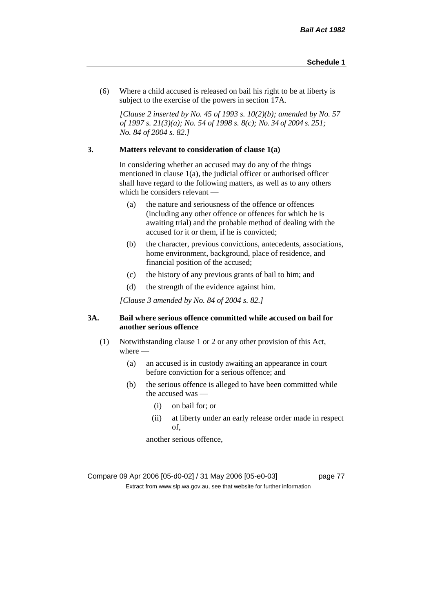(6) Where a child accused is released on bail his right to be at liberty is subject to the exercise of the powers in section 17A.

*[Clause 2 inserted by No. 45 of 1993 s. 10(2)(b); amended by No. 57 of 1997 s. 21(3)(a); No. 54 of 1998 s. 8(c); No. 34 of 2004 s. 251; No. 84 of 2004 s. 82.]*

## **3. Matters relevant to consideration of clause 1(a)**

In considering whether an accused may do any of the things mentioned in clause 1(a), the judicial officer or authorised officer shall have regard to the following matters, as well as to any others which he considers relevant —

- (a) the nature and seriousness of the offence or offences (including any other offence or offences for which he is awaiting trial) and the probable method of dealing with the accused for it or them, if he is convicted;
- (b) the character, previous convictions, antecedents, associations, home environment, background, place of residence, and financial position of the accused;
- (c) the history of any previous grants of bail to him; and
- (d) the strength of the evidence against him.

*[Clause 3 amended by No. 84 of 2004 s. 82.]*

#### **3A. Bail where serious offence committed while accused on bail for another serious offence**

- (1) Notwithstanding clause 1 or 2 or any other provision of this Act, where —
	- (a) an accused is in custody awaiting an appearance in court before conviction for a serious offence; and
	- (b) the serious offence is alleged to have been committed while the accused was —
		- (i) on bail for; or
		- (ii) at liberty under an early release order made in respect of,

another serious offence,

Compare 09 Apr 2006 [05-d0-02] / 31 May 2006 [05-e0-03] page 77 Extract from www.slp.wa.gov.au, see that website for further information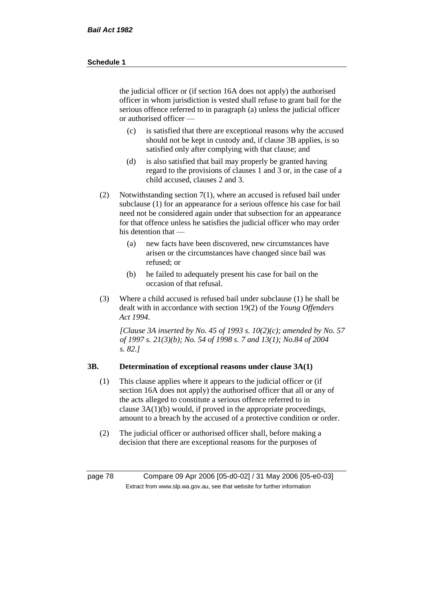the judicial officer or (if section 16A does not apply) the authorised officer in whom jurisdiction is vested shall refuse to grant bail for the serious offence referred to in paragraph (a) unless the judicial officer or authorised officer —

- (c) is satisfied that there are exceptional reasons why the accused should not be kept in custody and, if clause 3B applies, is so satisfied only after complying with that clause; and
- (d) is also satisfied that bail may properly be granted having regard to the provisions of clauses 1 and 3 or, in the case of a child accused, clauses 2 and 3.
- (2) Notwithstanding section 7(1), where an accused is refused bail under subclause (1) for an appearance for a serious offence his case for bail need not be considered again under that subsection for an appearance for that offence unless he satisfies the judicial officer who may order his detention that —
	- (a) new facts have been discovered, new circumstances have arisen or the circumstances have changed since bail was refused; or
	- (b) he failed to adequately present his case for bail on the occasion of that refusal.
- (3) Where a child accused is refused bail under subclause (1) he shall be dealt with in accordance with section 19(2) of the *Young Offenders Act 1994*.

*[Clause 3A inserted by No. 45 of 1993 s. 10(2)(c); amended by No. 57 of 1997 s. 21(3)(b); No. 54 of 1998 s. 7 and 13(1); No.84 of 2004 s. 82.]*

#### **3B. Determination of exceptional reasons under clause 3A(1)**

- (1) This clause applies where it appears to the judicial officer or (if section 16A does not apply) the authorised officer that all or any of the acts alleged to constitute a serious offence referred to in clause 3A(1)(b) would, if proved in the appropriate proceedings, amount to a breach by the accused of a protective condition or order.
- (2) The judicial officer or authorised officer shall, before making a decision that there are exceptional reasons for the purposes of

page 78 Compare 09 Apr 2006 [05-d0-02] / 31 May 2006 [05-e0-03] Extract from www.slp.wa.gov.au, see that website for further information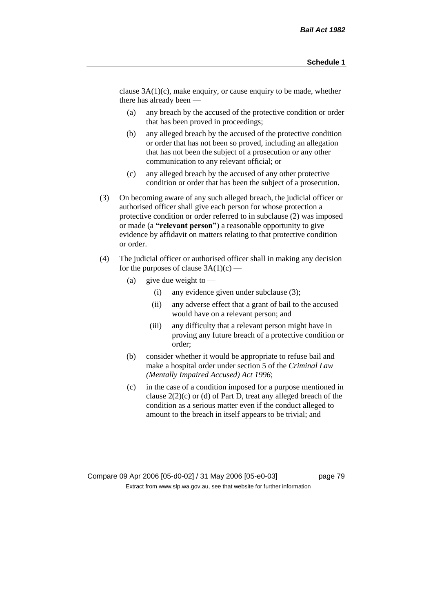clause 3A(1)(c), make enquiry, or cause enquiry to be made, whether there has already been —

- (a) any breach by the accused of the protective condition or order that has been proved in proceedings;
- (b) any alleged breach by the accused of the protective condition or order that has not been so proved, including an allegation that has not been the subject of a prosecution or any other communication to any relevant official; or
- (c) any alleged breach by the accused of any other protective condition or order that has been the subject of a prosecution.
- (3) On becoming aware of any such alleged breach, the judicial officer or authorised officer shall give each person for whose protection a protective condition or order referred to in subclause (2) was imposed or made (a **"relevant person"**) a reasonable opportunity to give evidence by affidavit on matters relating to that protective condition or order.
- (4) The judicial officer or authorised officer shall in making any decision for the purposes of clause  $3A(1)(c)$  —
	- (a) give due weight to  $\equiv$ 
		- (i) any evidence given under subclause (3);
		- (ii) any adverse effect that a grant of bail to the accused would have on a relevant person; and
		- (iii) any difficulty that a relevant person might have in proving any future breach of a protective condition or order;
	- (b) consider whether it would be appropriate to refuse bail and make a hospital order under section 5 of the *Criminal Law (Mentally Impaired Accused) Act 1996*;
	- (c) in the case of a condition imposed for a purpose mentioned in clause 2(2)(c) or (d) of Part D, treat any alleged breach of the condition as a serious matter even if the conduct alleged to amount to the breach in itself appears to be trivial; and

Compare 09 Apr 2006 [05-d0-02] / 31 May 2006 [05-e0-03] page 79 Extract from www.slp.wa.gov.au, see that website for further information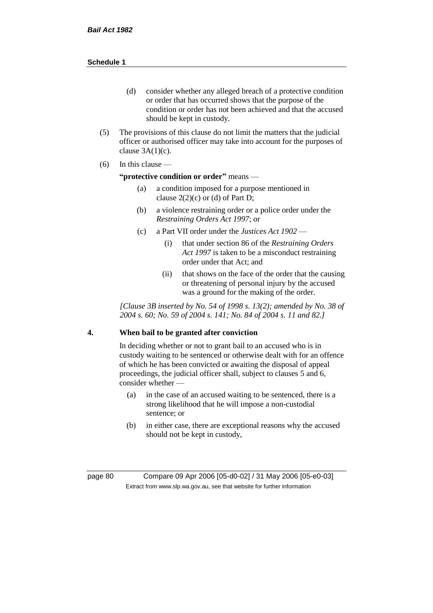- (d) consider whether any alleged breach of a protective condition or order that has occurred shows that the purpose of the condition or order has not been achieved and that the accused should be kept in custody.
- (5) The provisions of this clause do not limit the matters that the judicial officer or authorised officer may take into account for the purposes of clause  $3A(1)(c)$ .
- $(6)$  In this clause —

#### **"protective condition or order"** means —

- (a) a condition imposed for a purpose mentioned in clause  $2(2)(c)$  or (d) of Part D;
- (b) a violence restraining order or a police order under the *Restraining Orders Act 1997*; or
- (c) a Part VII order under the *Justices Act 1902*
	- (i) that under section 86 of the *Restraining Orders Act 1997* is taken to be a misconduct restraining order under that Act; and
	- (ii) that shows on the face of the order that the causing or threatening of personal injury by the accused was a ground for the making of the order.

*[Clause 3B inserted by No. 54 of 1998 s. 13(2); amended by No. 38 of 2004 s. 60; No. 59 of 2004 s. 141; No. 84 of 2004 s. 11 and 82.]*

#### **4. When bail to be granted after conviction**

In deciding whether or not to grant bail to an accused who is in custody waiting to be sentenced or otherwise dealt with for an offence of which he has been convicted or awaiting the disposal of appeal proceedings, the judicial officer shall, subject to clauses 5 and 6, consider whether -

- (a) in the case of an accused waiting to be sentenced, there is a strong likelihood that he will impose a non-custodial sentence; or
- (b) in either case, there are exceptional reasons why the accused should not be kept in custody,

page 80 Compare 09 Apr 2006 [05-d0-02] / 31 May 2006 [05-e0-03] Extract from www.slp.wa.gov.au, see that website for further information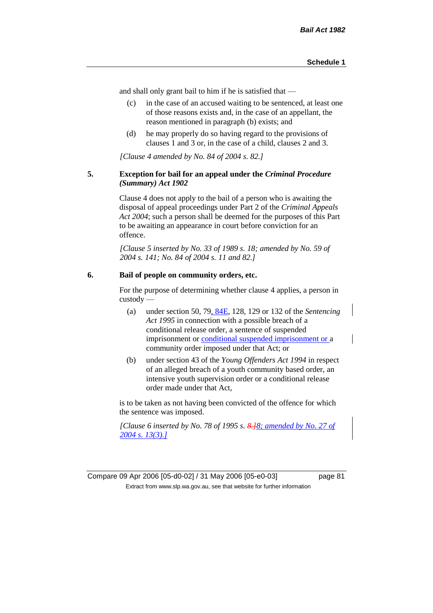and shall only grant bail to him if he is satisfied that —

- (c) in the case of an accused waiting to be sentenced, at least one of those reasons exists and, in the case of an appellant, the reason mentioned in paragraph (b) exists; and
- (d) he may properly do so having regard to the provisions of clauses 1 and 3 or, in the case of a child, clauses 2 and 3.

*[Clause 4 amended by No. 84 of 2004 s. 82.]*

#### **5. Exception for bail for an appeal under the** *Criminal Procedure (Summary) Act 1902*

Clause 4 does not apply to the bail of a person who is awaiting the disposal of appeal proceedings under Part 2 of the *Criminal Appeals Act 2004*; such a person shall be deemed for the purposes of this Part to be awaiting an appearance in court before conviction for an offence.

*[Clause 5 inserted by No. 33 of 1989 s. 18; amended by No. 59 of 2004 s. 141; No. 84 of 2004 s. 11 and 82.]*

#### **6. Bail of people on community orders, etc.**

For the purpose of determining whether clause 4 applies, a person in custody —

- (a) under section 50, 79, 84E, 128, 129 or 132 of the *Sentencing Act 1995* in connection with a possible breach of a conditional release order, a sentence of suspended imprisonment or conditional suspended imprisonment or a community order imposed under that Act; or
- (b) under section 43 of the *Young Offenders Act 1994* in respect of an alleged breach of a youth community based order, an intensive youth supervision order or a conditional release order made under that Act,

is to be taken as not having been convicted of the offence for which the sentence was imposed.

*[Clause 6 inserted by No. 78 of 1995 s. 8.]8; amended by No. 27 of 2004 s. 13(3).]*

Compare 09 Apr 2006 [05-d0-02] / 31 May 2006 [05-e0-03] page 81 Extract from www.slp.wa.gov.au, see that website for further information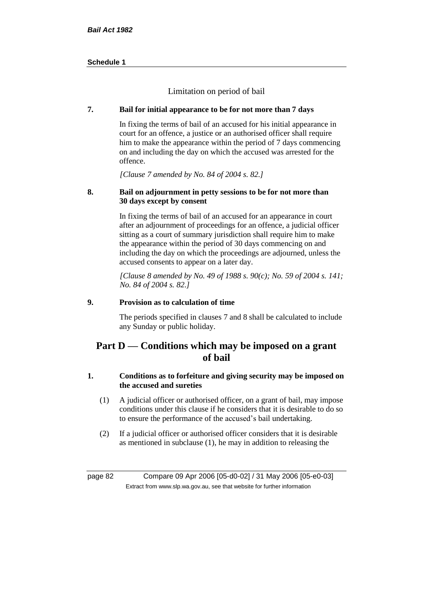Limitation on period of bail

## **7. Bail for initial appearance to be for not more than 7 days**

In fixing the terms of bail of an accused for his initial appearance in court for an offence, a justice or an authorised officer shall require him to make the appearance within the period of 7 days commencing on and including the day on which the accused was arrested for the offence.

*[Clause 7 amended by No. 84 of 2004 s. 82.]*

#### **8. Bail on adjournment in petty sessions to be for not more than 30 days except by consent**

In fixing the terms of bail of an accused for an appearance in court after an adjournment of proceedings for an offence, a judicial officer sitting as a court of summary jurisdiction shall require him to make the appearance within the period of 30 days commencing on and including the day on which the proceedings are adjourned, unless the accused consents to appear on a later day.

*[Clause 8 amended by No. 49 of 1988 s. 90(c); No. 59 of 2004 s. 141; No. 84 of 2004 s. 82.]*

## **9. Provision as to calculation of time**

The periods specified in clauses 7 and 8 shall be calculated to include any Sunday or public holiday.

# **Part D — Conditions which may be imposed on a grant of bail**

## **1. Conditions as to forfeiture and giving security may be imposed on the accused and sureties**

- (1) A judicial officer or authorised officer, on a grant of bail, may impose conditions under this clause if he considers that it is desirable to do so to ensure the performance of the accused's bail undertaking.
- (2) If a judicial officer or authorised officer considers that it is desirable as mentioned in subclause (1), he may in addition to releasing the

page 82 Compare 09 Apr 2006 [05-d0-02] / 31 May 2006 [05-e0-03] Extract from www.slp.wa.gov.au, see that website for further information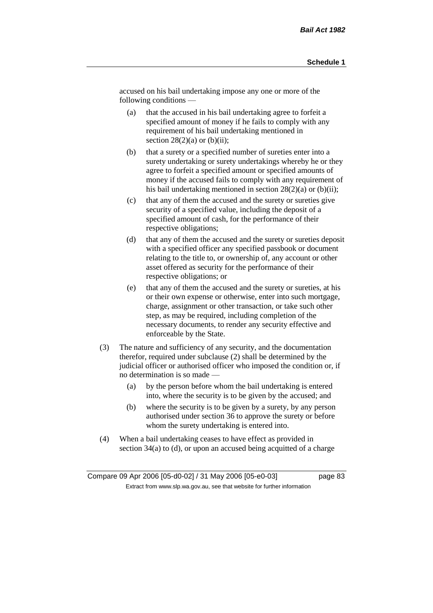accused on his bail undertaking impose any one or more of the following conditions —

- (a) that the accused in his bail undertaking agree to forfeit a specified amount of money if he fails to comply with any requirement of his bail undertaking mentioned in section  $28(2)(a)$  or  $(b)(ii)$ ;
- (b) that a surety or a specified number of sureties enter into a surety undertaking or surety undertakings whereby he or they agree to forfeit a specified amount or specified amounts of money if the accused fails to comply with any requirement of his bail undertaking mentioned in section  $28(2)(a)$  or (b)(ii);
- (c) that any of them the accused and the surety or sureties give security of a specified value, including the deposit of a specified amount of cash, for the performance of their respective obligations;
- (d) that any of them the accused and the surety or sureties deposit with a specified officer any specified passbook or document relating to the title to, or ownership of, any account or other asset offered as security for the performance of their respective obligations; or
- (e) that any of them the accused and the surety or sureties, at his or their own expense or otherwise, enter into such mortgage, charge, assignment or other transaction, or take such other step, as may be required, including completion of the necessary documents, to render any security effective and enforceable by the State.
- (3) The nature and sufficiency of any security, and the documentation therefor, required under subclause (2) shall be determined by the judicial officer or authorised officer who imposed the condition or, if no determination is so made —
	- (a) by the person before whom the bail undertaking is entered into, where the security is to be given by the accused; and
	- (b) where the security is to be given by a surety, by any person authorised under section 36 to approve the surety or before whom the surety undertaking is entered into.
- (4) When a bail undertaking ceases to have effect as provided in section 34(a) to (d), or upon an accused being acquitted of a charge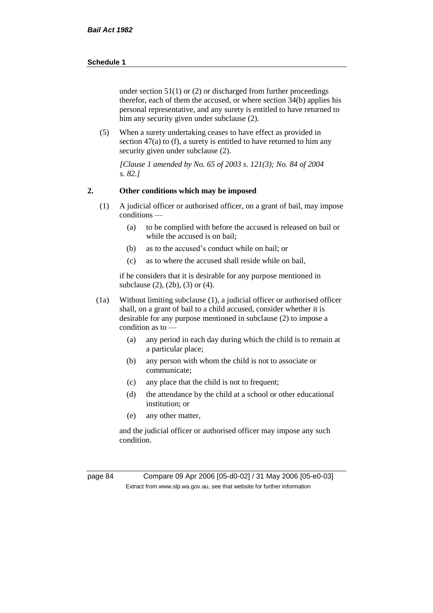under section  $51(1)$  or (2) or discharged from further proceedings therefor, each of them the accused, or where section 34(b) applies his personal representative, and any surety is entitled to have returned to him any security given under subclause (2).

(5) When a surety undertaking ceases to have effect as provided in section 47(a) to (f), a surety is entitled to have returned to him any security given under subclause (2).

*[Clause 1 amended by No. 65 of 2003 s. 121(3); No. 84 of 2004 s. 82.]*

#### **2. Other conditions which may be imposed**

- (1) A judicial officer or authorised officer, on a grant of bail, may impose conditions —
	- (a) to be complied with before the accused is released on bail or while the accused is on bail;
	- (b) as to the accused's conduct while on bail; or
	- (c) as to where the accused shall reside while on bail,

if he considers that it is desirable for any purpose mentioned in subclause (2), (2b), (3) or (4).

- (1a) Without limiting subclause (1), a judicial officer or authorised officer shall, on a grant of bail to a child accused, consider whether it is desirable for any purpose mentioned in subclause (2) to impose a condition as to —
	- (a) any period in each day during which the child is to remain at a particular place;
	- (b) any person with whom the child is not to associate or communicate;
	- (c) any place that the child is not to frequent;
	- (d) the attendance by the child at a school or other educational institution; or
	- (e) any other matter,

and the judicial officer or authorised officer may impose any such condition.

page 84 Compare 09 Apr 2006 [05-d0-02] / 31 May 2006 [05-e0-03] Extract from www.slp.wa.gov.au, see that website for further information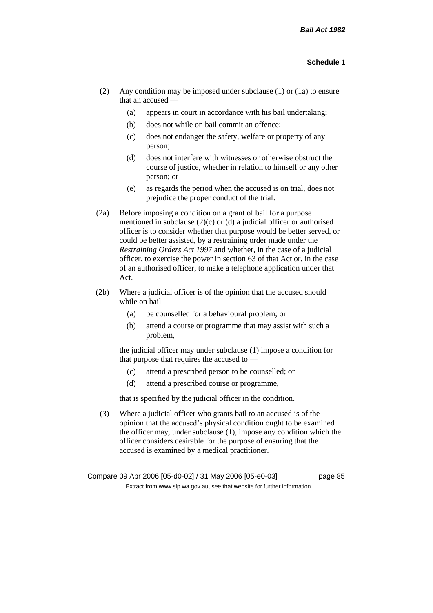- (2) Any condition may be imposed under subclause (1) or (1a) to ensure that an accused —
	- (a) appears in court in accordance with his bail undertaking;
	- (b) does not while on bail commit an offence;
	- (c) does not endanger the safety, welfare or property of any person;
	- (d) does not interfere with witnesses or otherwise obstruct the course of justice, whether in relation to himself or any other person; or
	- (e) as regards the period when the accused is on trial, does not prejudice the proper conduct of the trial.
- (2a) Before imposing a condition on a grant of bail for a purpose mentioned in subclause (2)(c) or (d) a judicial officer or authorised officer is to consider whether that purpose would be better served, or could be better assisted, by a restraining order made under the *Restraining Orders Act 1997* and whether, in the case of a judicial officer, to exercise the power in section 63 of that Act or, in the case of an authorised officer, to make a telephone application under that Act.
- (2b) Where a judicial officer is of the opinion that the accused should while on bail -
	- (a) be counselled for a behavioural problem; or
	- (b) attend a course or programme that may assist with such a problem,

the judicial officer may under subclause (1) impose a condition for that purpose that requires the accused to —

- (c) attend a prescribed person to be counselled; or
- (d) attend a prescribed course or programme,

that is specified by the judicial officer in the condition.

(3) Where a judicial officer who grants bail to an accused is of the opinion that the accused's physical condition ought to be examined the officer may, under subclause (1), impose any condition which the officer considers desirable for the purpose of ensuring that the accused is examined by a medical practitioner.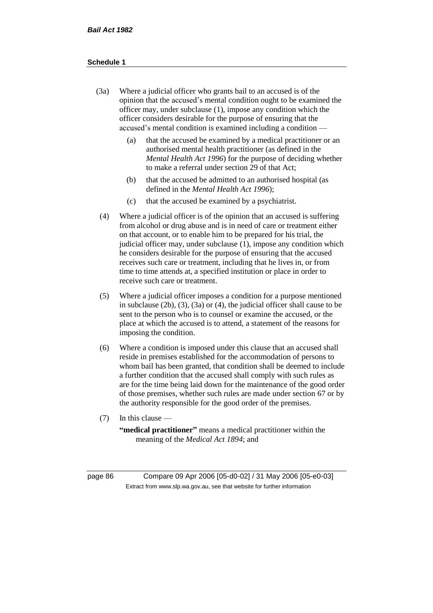- (3a) Where a judicial officer who grants bail to an accused is of the opinion that the accused's mental condition ought to be examined the officer may, under subclause (1), impose any condition which the officer considers desirable for the purpose of ensuring that the accused's mental condition is examined including a condition —
	- (a) that the accused be examined by a medical practitioner or an authorised mental health practitioner (as defined in the *Mental Health Act 1996*) for the purpose of deciding whether to make a referral under section 29 of that Act;
	- (b) that the accused be admitted to an authorised hospital (as defined in the *Mental Health Act 1996*);
	- (c) that the accused be examined by a psychiatrist.
- (4) Where a judicial officer is of the opinion that an accused is suffering from alcohol or drug abuse and is in need of care or treatment either on that account, or to enable him to be prepared for his trial, the judicial officer may, under subclause (1), impose any condition which he considers desirable for the purpose of ensuring that the accused receives such care or treatment, including that he lives in, or from time to time attends at, a specified institution or place in order to receive such care or treatment.
- (5) Where a judicial officer imposes a condition for a purpose mentioned in subclause (2b), (3), (3a) or (4), the judicial officer shall cause to be sent to the person who is to counsel or examine the accused, or the place at which the accused is to attend, a statement of the reasons for imposing the condition.
- (6) Where a condition is imposed under this clause that an accused shall reside in premises established for the accommodation of persons to whom bail has been granted, that condition shall be deemed to include a further condition that the accused shall comply with such rules as are for the time being laid down for the maintenance of the good order of those premises, whether such rules are made under section 67 or by the authority responsible for the good order of the premises.
- (7) In this clause —

**"medical practitioner"** means a medical practitioner within the meaning of the *Medical Act 1894*; and

page 86 Compare 09 Apr 2006 [05-d0-02] / 31 May 2006 [05-e0-03] Extract from www.slp.wa.gov.au, see that website for further information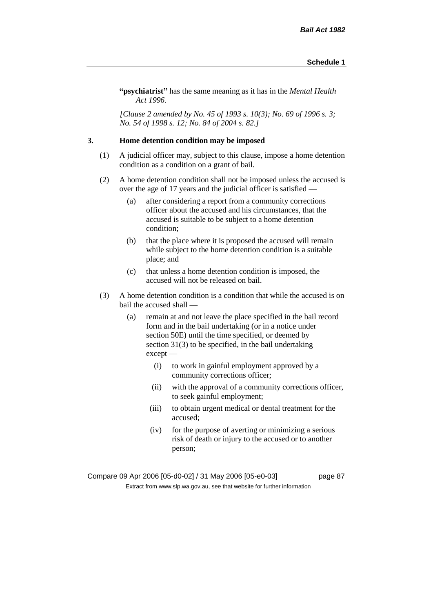**"psychiatrist"** has the same meaning as it has in the *Mental Health Act 1996*.

*[Clause 2 amended by No. 45 of 1993 s. 10(3); No. 69 of 1996 s. 3; No. 54 of 1998 s. 12; No. 84 of 2004 s. 82.]*

#### **3. Home detention condition may be imposed**

- (1) A judicial officer may, subject to this clause, impose a home detention condition as a condition on a grant of bail.
- (2) A home detention condition shall not be imposed unless the accused is over the age of 17 years and the judicial officer is satisfied —
	- (a) after considering a report from a community corrections officer about the accused and his circumstances, that the accused is suitable to be subject to a home detention condition;
	- (b) that the place where it is proposed the accused will remain while subject to the home detention condition is a suitable place; and
	- (c) that unless a home detention condition is imposed, the accused will not be released on bail.
- (3) A home detention condition is a condition that while the accused is on bail the accused shall —
	- (a) remain at and not leave the place specified in the bail record form and in the bail undertaking (or in a notice under section 50E) until the time specified, or deemed by section 31(3) to be specified, in the bail undertaking except —
		- (i) to work in gainful employment approved by a community corrections officer;
		- (ii) with the approval of a community corrections officer, to seek gainful employment;
		- (iii) to obtain urgent medical or dental treatment for the accused;
		- (iv) for the purpose of averting or minimizing a serious risk of death or injury to the accused or to another person;

Compare 09 Apr 2006 [05-d0-02] / 31 May 2006 [05-e0-03] page 87 Extract from www.slp.wa.gov.au, see that website for further information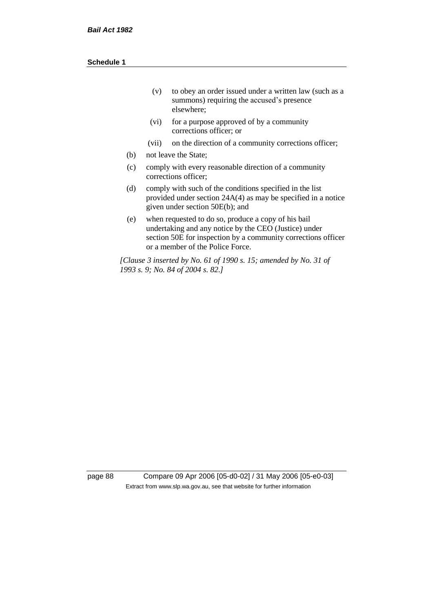| (v) | to obey an order issued under a written law (such as a |
|-----|--------------------------------------------------------|
|     | summons) requiring the accused's presence              |
|     | elsewhere:                                             |

- (vi) for a purpose approved of by a community corrections officer; or
- (vii) on the direction of a community corrections officer;
- (b) not leave the State;
- (c) comply with every reasonable direction of a community corrections officer;
- (d) comply with such of the conditions specified in the list provided under section 24A(4) as may be specified in a notice given under section 50E(b); and
- (e) when requested to do so, produce a copy of his bail undertaking and any notice by the CEO (Justice) under section 50E for inspection by a community corrections officer or a member of the Police Force.

*[Clause 3 inserted by No. 61 of 1990 s. 15; amended by No. 31 of 1993 s. 9; No. 84 of 2004 s. 82.]*

page 88 Compare 09 Apr 2006 [05-d0-02] / 31 May 2006 [05-e0-03] Extract from www.slp.wa.gov.au, see that website for further information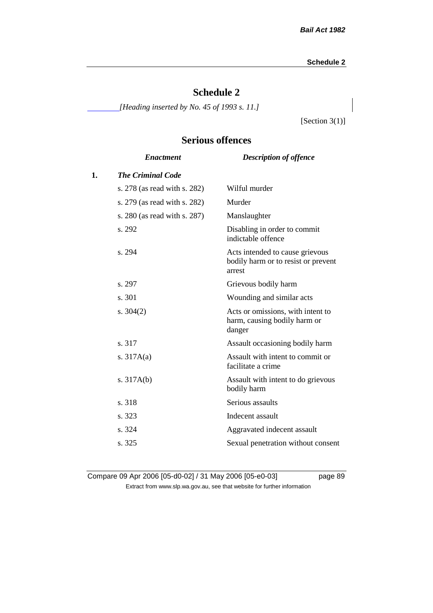# **Schedule 2**

*[Heading inserted by No. 45 of 1993 s. 11.]*

[Section 3(1)]

# **Serious offences**

|    | <b>Enactment</b>             | <b>Description of offence</b>                                                    |
|----|------------------------------|----------------------------------------------------------------------------------|
| 1. | <b>The Criminal Code</b>     |                                                                                  |
|    | s. 278 (as read with s. 282) | Wilful murder                                                                    |
|    | s. 279 (as read with s. 282) | Murder                                                                           |
|    | s. 280 (as read with s. 287) | Manslaughter                                                                     |
|    | s. 292                       | Disabling in order to commit<br>indictable offence                               |
|    | s. 294                       | Acts intended to cause grievous<br>bodily harm or to resist or prevent<br>arrest |
|    | s. 297                       | Grievous bodily harm                                                             |
|    | s. 301                       | Wounding and similar acts                                                        |
|    | s. $304(2)$                  | Acts or omissions, with intent to<br>harm, causing bodily harm or<br>danger      |
|    | s. 317                       | Assault occasioning bodily harm                                                  |
|    | s. $317A(a)$                 | Assault with intent to commit or<br>facilitate a crime                           |
|    | s. $317A(b)$                 | Assault with intent to do grievous<br>bodily harm                                |
|    | s. 318                       | Serious assaults                                                                 |
|    | s. 323                       | Indecent assault                                                                 |
|    | s. 324                       | Aggravated indecent assault                                                      |
|    | s. 325                       | Sexual penetration without consent                                               |
|    |                              |                                                                                  |

Compare 09 Apr 2006 [05-d0-02] / 31 May 2006 [05-e0-03] page 89 Extract from www.slp.wa.gov.au, see that website for further information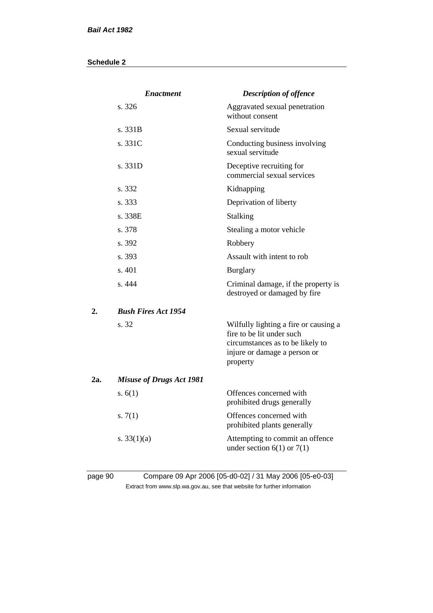|     | <b>Enactment</b>                | <b>Description of offence</b>                                                                                                                      |
|-----|---------------------------------|----------------------------------------------------------------------------------------------------------------------------------------------------|
|     | s. 326                          | Aggravated sexual penetration<br>without consent                                                                                                   |
|     | s. 331B                         | Sexual servitude                                                                                                                                   |
|     | s. 331C                         | Conducting business involving<br>sexual servitude                                                                                                  |
|     | s. 331D                         | Deceptive recruiting for<br>commercial sexual services                                                                                             |
|     | s. 332                          | Kidnapping                                                                                                                                         |
|     | s. 333                          | Deprivation of liberty                                                                                                                             |
|     | s. 338E                         | Stalking                                                                                                                                           |
|     | s. 378                          | Stealing a motor vehicle                                                                                                                           |
|     | s. 392                          | Robbery                                                                                                                                            |
|     | s. 393                          | Assault with intent to rob                                                                                                                         |
|     | s. 401                          | <b>Burglary</b>                                                                                                                                    |
|     | s. 444                          | Criminal damage, if the property is<br>destroyed or damaged by fire                                                                                |
| 2.  | <b>Bush Fires Act 1954</b>      |                                                                                                                                                    |
|     | s. 32                           | Wilfully lighting a fire or causing a<br>fire to be lit under such<br>circumstances as to be likely to<br>injure or damage a person or<br>property |
| 2a. | <b>Misuse of Drugs Act 1981</b> |                                                                                                                                                    |
|     | s. $6(1)$                       | Offences concerned with<br>prohibited drugs generally                                                                                              |
|     | s. $7(1)$                       | Offences concerned with<br>prohibited plants generally                                                                                             |
|     | s. $33(1)(a)$                   | Attempting to commit an offence<br>under section $6(1)$ or $7(1)$                                                                                  |
|     |                                 |                                                                                                                                                    |

# page 90 Compare 09 Apr 2006 [05-d0-02] / 31 May 2006 [05-e0-03] Extract from www.slp.wa.gov.au, see that website for further information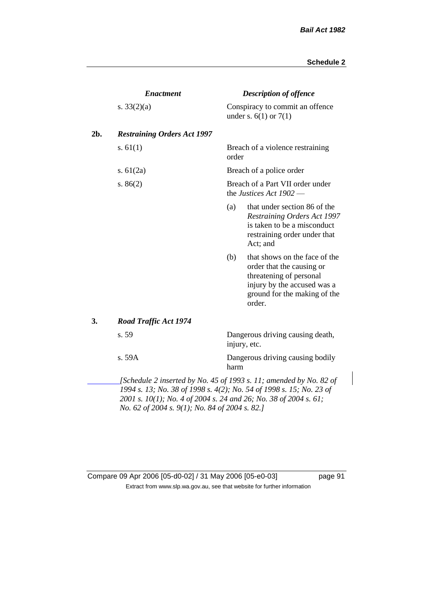|     | <b>Enactment</b>                                                                                                                                                                                                                                                |       | <b>Description of offence</b>                                                                                                                                  |  |  |  |
|-----|-----------------------------------------------------------------------------------------------------------------------------------------------------------------------------------------------------------------------------------------------------------------|-------|----------------------------------------------------------------------------------------------------------------------------------------------------------------|--|--|--|
|     | s. $33(2)(a)$                                                                                                                                                                                                                                                   |       | Conspiracy to commit an offence<br>under s. $6(1)$ or $7(1)$                                                                                                   |  |  |  |
| 2b. | <b>Restraining Orders Act 1997</b>                                                                                                                                                                                                                              |       |                                                                                                                                                                |  |  |  |
|     | s. $61(1)$                                                                                                                                                                                                                                                      | order | Breach of a violence restraining                                                                                                                               |  |  |  |
|     | s. $61(2a)$                                                                                                                                                                                                                                                     |       | Breach of a police order                                                                                                                                       |  |  |  |
|     | s. $86(2)$                                                                                                                                                                                                                                                      |       | Breach of a Part VII order under<br>the Justices Act 1902 -                                                                                                    |  |  |  |
|     |                                                                                                                                                                                                                                                                 | (a)   | that under section 86 of the<br><b>Restraining Orders Act 1997</b><br>is taken to be a misconduct<br>restraining order under that<br>Act; and                  |  |  |  |
|     |                                                                                                                                                                                                                                                                 | (b)   | that shows on the face of the<br>order that the causing or<br>threatening of personal<br>injury by the accused was a<br>ground for the making of the<br>order. |  |  |  |
| 3.  | <b>Road Traffic Act 1974</b>                                                                                                                                                                                                                                    |       |                                                                                                                                                                |  |  |  |
|     | s. 59                                                                                                                                                                                                                                                           |       | Dangerous driving causing death,<br>injury, etc.                                                                                                               |  |  |  |
|     | s. 59A                                                                                                                                                                                                                                                          | harm  | Dangerous driving causing bodily                                                                                                                               |  |  |  |
|     | [Schedule 2 inserted by No. 45 of 1993 s. 11; amended by No. 82 of<br>1994 s. 13; No. 38 of 1998 s. 4(2); No. 54 of 1998 s. 15; No. 23 of<br>2001 s. 10(1); No. 4 of 2004 s. 24 and 26; No. 38 of 2004 s. 61;<br>No. 62 of 2004 s. 9(1); No. 84 of 2004 s. 82.] |       |                                                                                                                                                                |  |  |  |

Compare 09 Apr 2006 [05-d0-02] / 31 May 2006 [05-e0-03] page 91 Extract from www.slp.wa.gov.au, see that website for further information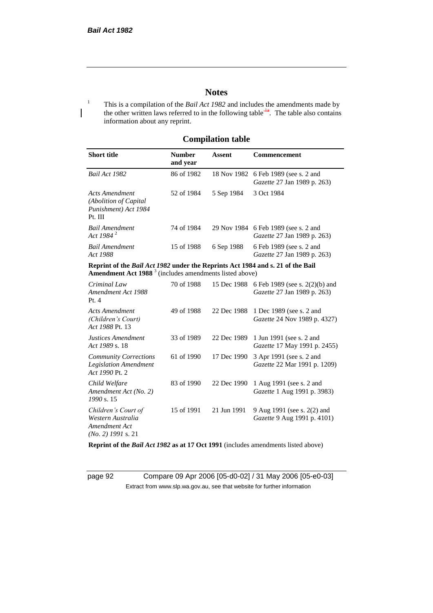## **Notes**

<sup>1</sup> This is a compilation of the *Bail Act 1982* and includes the amendments made by the other written laws referred to in the following table  $4a$ . The table also contains information about any reprint.

## **Compilation table**

| <b>Short title</b>                                                          | <b>Number</b><br>and year | Assent     | <b>Commencement</b>                                                        |
|-----------------------------------------------------------------------------|---------------------------|------------|----------------------------------------------------------------------------|
| Bail Act 1982                                                               | 86 of 1982                |            | 18 Nov 1982 6 Feb 1989 (see s. 2 and<br><i>Gazette</i> 27 Jan 1989 p. 263) |
| Acts Amendment<br>(Abolition of Capital)<br>Punishment) Act 1984<br>Pt. III | 52 of 1984                | 5 Sep 1984 | 3 Oct 1984                                                                 |
| Bail Amendment<br>Act 1984 <sup>2</sup>                                     | 74 of 1984                |            | 29 Nov 1984 6 Feb 1989 (see s. 2 and<br><i>Gazette</i> 27 Jan 1989 p. 263) |
| Bail Amendment<br>Act 1988                                                  | 15 of 1988                | 6 Sep 1988 | 6 Feb 1989 (see s. 2 and<br><i>Gazette</i> 27 Jan 1989 p. 263)             |

**Reprint of the** *Bail Act 1982* **under the Reprints Act 1984 and s. 21 of the Bail Amendment Act 1988** <sup>3</sup> (includes amendments listed above)

| Criminal Law<br>Amendment Act 1988<br>Pt.4                                        | 70 of 1988 | 15 Dec 1988 | 6 Feb 1989 (see s. 2(2)(b) and<br>Gazette 27 Jan 1989 p. 263)     |
|-----------------------------------------------------------------------------------|------------|-------------|-------------------------------------------------------------------|
| <b>Acts Amendment</b><br>(Children's Court)<br>Act 1988 Pt. 13                    | 49 of 1988 | 22 Dec 1988 | 1 Dec 1989 (see s. 2 and<br><i>Gazette</i> 24 Nov 1989 p. 4327)   |
| Justices Amendment<br>Act 1989 s. 18                                              | 33 of 1989 | 22 Dec 1989 | 1 Jun 1991 (see s. 2 and<br><i>Gazette</i> 17 May 1991 p. 2455)   |
| <b>Community Corrections</b><br><b>Legislation Amendment</b><br>Act 1990 Pt. 2    | 61 of 1990 | 17 Dec 1990 | 3 Apr 1991 (see s. 2 and<br><i>Gazette</i> 22 Mar 1991 p. 1209)   |
| Child Welfare<br>Amendment Act (No. 2)<br>1990 s. 15                              | 83 of 1990 | 22 Dec 1990 | 1 Aug 1991 (see s. 2 and<br><i>Gazette</i> 1 Aug 1991 p. 3983)    |
| Children's Court of<br>Western Australia<br>Amendment Act<br>$(No. 2)$ 1991 s. 21 | 15 of 1991 | 21 Jun 1991 | 9 Aug 1991 (see s. 2(2) and<br><i>Gazette</i> 9 Aug 1991 p. 4101) |

**Reprint of the** *Bail Act 1982* **as at 17 Oct 1991** (includes amendments listed above)

page 92 Compare 09 Apr 2006 [05-d0-02] / 31 May 2006 [05-e0-03] Extract from www.slp.wa.gov.au, see that website for further information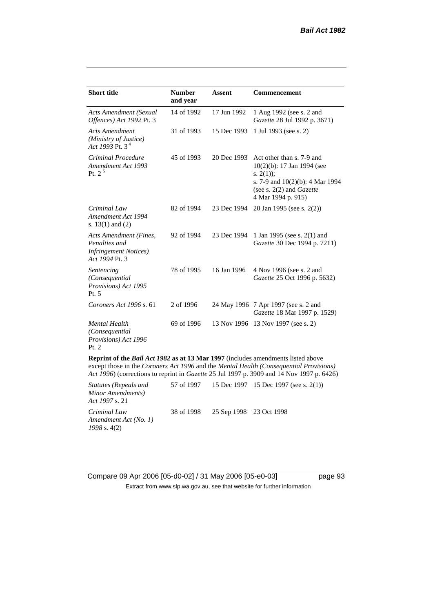| <b>Short title</b>                                                                                                                                                                                                                                                             | <b>Number</b><br>and year | <b>Assent</b> | <b>Commencement</b>                                                                                                                                                     |  |
|--------------------------------------------------------------------------------------------------------------------------------------------------------------------------------------------------------------------------------------------------------------------------------|---------------------------|---------------|-------------------------------------------------------------------------------------------------------------------------------------------------------------------------|--|
| <b>Acts Amendment (Sexual</b><br>Offences) Act 1992 Pt. 3                                                                                                                                                                                                                      | 14 of 1992                | 17 Jun 1992   | 1 Aug 1992 (see s. 2 and<br>Gazette 28 Jul 1992 p. 3671)                                                                                                                |  |
| <b>Acts Amendment</b><br>(Ministry of Justice)<br>Act 1993 Pt. 3 <sup>4</sup>                                                                                                                                                                                                  | 31 of 1993                | 15 Dec 1993   | 1 Jul 1993 (see s. 2)                                                                                                                                                   |  |
| Criminal Procedure<br>Amendment Act 1993<br>Pt. $2^5$                                                                                                                                                                                                                          | 45 of 1993                | 20 Dec 1993   | Act other than s. 7-9 and<br>$10(2)(b)$ : 17 Jan 1994 (see<br>s. $2(1)$ ;<br>s. 7-9 and 10(2)(b): 4 Mar 1994<br>(see s. $2(2)$ and <i>Gazette</i><br>4 Mar 1994 p. 915) |  |
| Criminal Law<br>Amendment Act 1994<br>s. $13(1)$ and $(2)$                                                                                                                                                                                                                     | 82 of 1994                | 23 Dec 1994   | 20 Jan 1995 (see s. 2(2))                                                                                                                                               |  |
| <b>Acts Amendment (Fines,</b><br>Penalties and<br><b>Infringement Notices</b> )<br>Act 1994 Pt. 3                                                                                                                                                                              | 92 of 1994                | 23 Dec 1994   | 1 Jan 1995 (see s. 2(1) and<br>Gazette 30 Dec 1994 p. 7211)                                                                                                             |  |
| Sentencing<br>(Consequential<br>Provisions) Act 1995<br>Pt. 5                                                                                                                                                                                                                  | 78 of 1995                | 16 Jan 1996   | 4 Nov 1996 (see s. 2 and<br>Gazette 25 Oct 1996 p. 5632)                                                                                                                |  |
| Coroners Act 1996 s. 61                                                                                                                                                                                                                                                        | 2 of 1996                 |               | 24 May 1996 7 Apr 1997 (see s. 2 and<br>Gazette 18 Mar 1997 p. 1529)                                                                                                    |  |
| <b>Mental Health</b><br>(Consequential<br>Provisions) Act 1996<br>Pt. 2                                                                                                                                                                                                        | 69 of 1996                |               | 13 Nov 1996 13 Nov 1997 (see s. 2)                                                                                                                                      |  |
| Reprint of the <i>Bail Act 1982</i> as at 13 Mar 1997 (includes amendments listed above<br>except those in the Coroners Act 1996 and the Mental Health (Consequential Provisions)<br>Act 1996) (corrections to reprint in Gazette 25 Jul 1997 p. 3909 and 14 Nov 1997 p. 6426) |                           |               |                                                                                                                                                                         |  |

| <i>Statutes (Repeals and</i><br>Minor Amendments)<br>Act 1997 s. 21 |                                    | 57 of 1997 15 Dec 1997 15 Dec 1997 (see s. 2(1)) |
|---------------------------------------------------------------------|------------------------------------|--------------------------------------------------|
| Criminal Law<br>Amendment Act (No. 1)<br>$1998$ s. 4(2)             | 38 of 1998 25 Sep 1998 23 Oct 1998 |                                                  |

Compare 09 Apr 2006 [05-d0-02] / 31 May 2006 [05-e0-03] page 93 Extract from www.slp.wa.gov.au, see that website for further information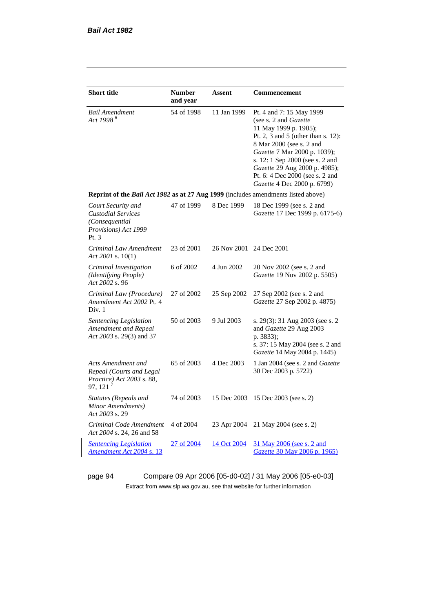| <b>Short title</b>                                                                                    | <b>Number</b><br>and year | Assent                  | Commencement                                                                                                                                                                                                                                                                                                              |  |  |
|-------------------------------------------------------------------------------------------------------|---------------------------|-------------------------|---------------------------------------------------------------------------------------------------------------------------------------------------------------------------------------------------------------------------------------------------------------------------------------------------------------------------|--|--|
| <b>Bail Amendment</b><br>Act 1998 <sup>6</sup>                                                        | 54 of 1998                | 11 Jan 1999             | Pt. 4 and 7: 15 May 1999<br>(see s. 2 and <i>Gazette</i><br>11 May 1999 p. 1905);<br>Pt. 2, 3 and 5 (other than s. 12):<br>8 Mar 2000 (see s. 2 and<br>Gazette 7 Mar 2000 p. 1039);<br>s. 12: 1 Sep 2000 (see s. 2 and<br>Gazette 29 Aug 2000 p. 4985);<br>Pt. 6: 4 Dec 2000 (see s. 2 and<br>Gazette 4 Dec 2000 p. 6799) |  |  |
| Reprint of the Bail Act 1982 as at 27 Aug 1999 (includes amendments listed above)                     |                           |                         |                                                                                                                                                                                                                                                                                                                           |  |  |
| Court Security and<br><b>Custodial Services</b><br>(Consequential)<br>Provisions) Act 1999<br>Pt. $3$ | 47 of 1999                | 8 Dec 1999              | 18 Dec 1999 (see s. 2 and<br>Gazette 17 Dec 1999 p. 6175-6)                                                                                                                                                                                                                                                               |  |  |
| Criminal Law Amendment<br>Act 2001 s. $10(1)$                                                         | 23 of 2001                | 26 Nov 2001 24 Dec 2001 |                                                                                                                                                                                                                                                                                                                           |  |  |
| Criminal Investigation<br>(Identifying People)<br>Act 2002 s. 96                                      | 6 of 2002                 | 4 Jun 2002              | 20 Nov 2002 (see s. 2 and<br>Gazette 19 Nov 2002 p. 5505)                                                                                                                                                                                                                                                                 |  |  |
| Criminal Law (Procedure)<br>Amendment Act 2002 Pt. 4<br>Div. 1                                        | 27 of 2002                | 25 Sep 2002             | 27 Sep 2002 (see s. 2 and<br>Gazette 27 Sep 2002 p. 4875)                                                                                                                                                                                                                                                                 |  |  |
| Sentencing Legislation<br>Amendment and Repeal<br>Act 2003 s. 29(3) and 37                            | 50 of 2003                | 9 Jul 2003              | s. 29(3): 31 Aug 2003 (see s. 2)<br>and Gazette 29 Aug 2003<br>p. 3833);<br>s. 37: 15 May 2004 (see s. 2 and<br>Gazette 14 May 2004 p. 1445)                                                                                                                                                                              |  |  |
| Acts Amendment and<br>Repeal (Courts and Legal<br><i>Practice</i> ) <i>Act</i> 2003 s. 88,<br>97, 121 | 65 of 2003                | 4 Dec 2003              | 1 Jan 2004 (see s. 2 and <i>Gazette</i><br>30 Dec 2003 p. 5722)                                                                                                                                                                                                                                                           |  |  |
| Statutes (Repeals and<br>Minor Amendments)<br>Act 2003 s. 29                                          | 74 of 2003                | 15 Dec 2003             | 15 Dec 2003 (see s. 2)                                                                                                                                                                                                                                                                                                    |  |  |
| Criminal Code Amendment<br>Act 2004 s. 24, 26 and 58                                                  | 4 of 2004                 | 23 Apr 2004             | 21 May 2004 (see s. 2)                                                                                                                                                                                                                                                                                                    |  |  |
| <b>Sentencing Legislation</b><br><u>Amendment Act 2004 s. 13</u>                                      | 27 of 2004                | 14 Oct 2004             | <u>31 May 2006 (see s. 2 and</u><br><u>Gazette 30 May 2006 p. 1965)</u>                                                                                                                                                                                                                                                   |  |  |

page 94 Compare 09 Apr 2006 [05-d0-02] / 31 May 2006 [05-e0-03] Extract from www.slp.wa.gov.au, see that website for further information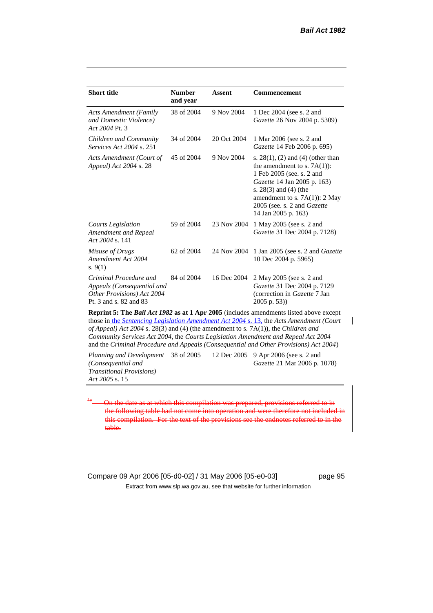| <b>Short title</b>                                                                                           | <b>Number</b><br>and year | Assent      | Commencement                                                                                                                                                                                                                                          |
|--------------------------------------------------------------------------------------------------------------|---------------------------|-------------|-------------------------------------------------------------------------------------------------------------------------------------------------------------------------------------------------------------------------------------------------------|
| <b>Acts Amendment (Family</b><br>and Domestic Violence)<br>Act 2004 Pt. 3                                    | 38 of 2004                | 9 Nov 2004  | 1 Dec 2004 (see s. 2 and<br><i>Gazette</i> 26 Nov 2004 p. 5309)                                                                                                                                                                                       |
| Children and Community<br><i>Services Act 2004 s. 251</i>                                                    | 34 of 2004                | 20 Oct 2004 | 1 Mar 2006 (see s. 2 and<br>Gazette 14 Feb 2006 p. 695)                                                                                                                                                                                               |
| Acts Amendment (Court of<br>Appeal) Act 2004 s. 28                                                           | 45 of 2004                | 9 Nov 2004  | s. $28(1)$ , (2) and (4) (other than<br>the amendment to s. $7A(1)$ :<br>1 Feb 2005 (see. s. 2 and<br>Gazette 14 Jan 2005 p. 163)<br>s. $28(3)$ and $(4)$ (the<br>amendment to s. 7A(1)): 2 May<br>2005 (see. s. 2 and Gazette<br>14 Jan 2005 p. 163) |
| <b>Courts Legislation</b><br>Amendment and Repeal<br>Act 2004 s. 141                                         | 59 of 2004                | 23 Nov 2004 | 1 May 2005 (see s. 2 and<br>Gazette 31 Dec 2004 p. 7128)                                                                                                                                                                                              |
| Misuse of Drugs<br>Amendment Act 2004<br>s. $9(1)$                                                           | 62 of 2004                | 24 Nov 2004 | 1 Jan 2005 (see s. 2 and <i>Gazette</i><br>10 Dec 2004 p. 5965)                                                                                                                                                                                       |
| Criminal Procedure and<br>Appeals (Consequential and<br>Other Provisions) Act 2004<br>Pt. 3 and s. 82 and 83 | 84 of 2004                | 16 Dec 2004 | 2 May 2005 (see s. 2 and<br>Gazette 31 Dec 2004 p. 7129<br>(correction in Gazette 7 Jan<br>$2005$ p. 53))                                                                                                                                             |
| of Annoal) Act 2004 $\epsilon$ , 28(3) and (4) (the among the $\epsilon$ , $(7\Lambda(1))$ the Children and  |                           |             | <b>Reprint 5: The Bail Act 1982 as at 1 Apr 2005</b> (includes amendments listed above except<br>those in the Sentencing Legislation Amendment Act 2004 s. 13, the Acts Amendment (Court                                                              |

*of Appeal) Act 2004* s. 28(3) and (4) (the amendment to s. 7A(1)), the *Children and Community Services Act 2004*, the *Courts Legislation Amendment and Repeal Act 2004* and the *Criminal Procedure and Appeals (Consequential and Other Provisions) Act 2004*)

*Planning and Development (Consequential and Transitional Provisions) Act 2005* s. 15 12 Dec 2005 9 Apr 2006 (see s. 2 and *Gazette* 21 Mar 2006 p. 1078)

On the date as at which this compilation was prepared, provisions referred to in the following table had not come into operation and were therefore not included in this compilation. For the text of the provisions see the endnotes referred to in the table.

Compare 09 Apr 2006 [05-d0-02] / 31 May 2006 [05-e0-03] page 95 Extract from www.slp.wa.gov.au, see that website for further information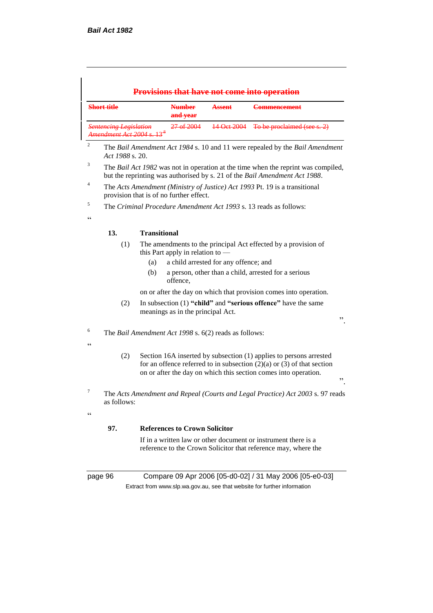|                                                                        | <b>Short title</b> |                                                                                                                                                                                                                           | <b>Number</b><br>and year                                                                                | <b>Assent</b>                                         | <b>Commencement</b>                                                                                                              |  |  |
|------------------------------------------------------------------------|--------------------|---------------------------------------------------------------------------------------------------------------------------------------------------------------------------------------------------------------------------|----------------------------------------------------------------------------------------------------------|-------------------------------------------------------|----------------------------------------------------------------------------------------------------------------------------------|--|--|
| <b>Sentencing Legislation</b><br>Amendment Act 2004 s. 13 <sup>8</sup> |                    | 27 of 2004                                                                                                                                                                                                                | 14 Oct 2004                                                                                              | To be proclaimed (see s. 2)                           |                                                                                                                                  |  |  |
| 2                                                                      | Act 1988 s. 20.    |                                                                                                                                                                                                                           |                                                                                                          |                                                       | The Bail Amendment Act 1984 s. 10 and 11 were repealed by the Bail Amendment                                                     |  |  |
| 3                                                                      |                    | The Bail Act 1982 was not in operation at the time when the reprint was compiled,<br>but the reprinting was authorised by s. 21 of the Bail Amendment Act 1988.                                                           |                                                                                                          |                                                       |                                                                                                                                  |  |  |
| 4                                                                      |                    |                                                                                                                                                                                                                           | provision that is of no further effect.                                                                  |                                                       | The Acts Amendment (Ministry of Justice) Act 1993 Pt. 19 is a transitional                                                       |  |  |
| 5<br>cc                                                                |                    |                                                                                                                                                                                                                           |                                                                                                          |                                                       | The Criminal Procedure Amendment Act 1993 s. 13 reads as follows:                                                                |  |  |
|                                                                        | 13.                | <b>Transitional</b>                                                                                                                                                                                                       |                                                                                                          |                                                       |                                                                                                                                  |  |  |
|                                                                        | (1)                | (a)<br>(b)                                                                                                                                                                                                                | this Part apply in relation to -<br>offence,                                                             | a child arrested for any offence; and                 | The amendments to the principal Act effected by a provision of<br>a person, other than a child, arrested for a serious           |  |  |
|                                                                        |                    |                                                                                                                                                                                                                           |                                                                                                          |                                                       | on or after the day on which that provision comes into operation.                                                                |  |  |
|                                                                        | (2)                |                                                                                                                                                                                                                           | In subsection (1) "child" and "serious offence" have the same<br>meanings as in the principal Act.<br>,, |                                                       |                                                                                                                                  |  |  |
| 6<br>cc                                                                |                    |                                                                                                                                                                                                                           |                                                                                                          | The Bail Amendment Act 1998 s. 6(2) reads as follows: |                                                                                                                                  |  |  |
|                                                                        | (2)                | Section 16A inserted by subsection (1) applies to persons arrested<br>for an offence referred to in subsection $(2)(a)$ or $(3)$ of that section<br>on or after the day on which this section comes into operation.<br>,, |                                                                                                          |                                                       |                                                                                                                                  |  |  |
| 7<br>$\epsilon$                                                        | as follows:        |                                                                                                                                                                                                                           |                                                                                                          |                                                       | The Acts Amendment and Repeal (Courts and Legal Practice) Act 2003 s. 97 reads                                                   |  |  |
|                                                                        | 97.                |                                                                                                                                                                                                                           | <b>References to Crown Solicitor</b>                                                                     |                                                       |                                                                                                                                  |  |  |
|                                                                        |                    |                                                                                                                                                                                                                           |                                                                                                          |                                                       | If in a written law or other document or instrument there is a<br>reference to the Crown Solicitor that reference may, where the |  |  |